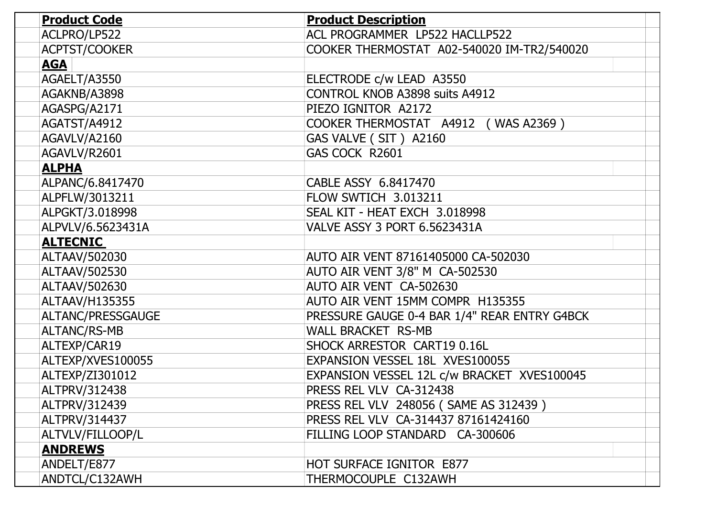| <b>Product Code</b> | <b>Product Description</b>                   |
|---------------------|----------------------------------------------|
| ACLPRO/LP522        | ACL PROGRAMMER LP522 HACLLP522               |
| ACPTST/COOKER       | COOKER THERMOSTAT A02-540020 IM-TR2/540020   |
| <u>AGA</u>          |                                              |
| AGAELT/A3550        | ELECTRODE c/w LEAD A3550                     |
| AGAKNB/A3898        | <b>CONTROL KNOB A3898 suits A4912</b>        |
| AGASPG/A2171        | PIEZO IGNITOR A2172                          |
| AGATST/A4912        | COOKER THERMOSTAT A4912 (WAS A2369)          |
| AGAVLV/A2160        | GAS VALVE (SIT) A2160                        |
| AGAVLV/R2601        | GAS COCK R2601                               |
| <u>ALPHA</u>        |                                              |
| ALPANC/6.8417470    | CABLE ASSY 6.8417470                         |
| ALPFLW/3013211      | FLOW SWTICH 3.013211                         |
| ALPGKT/3.018998     | SEAL KIT - HEAT EXCH 3.018998                |
| ALPVLV/6.5623431A   | <b>VALVE ASSY 3 PORT 6.5623431A</b>          |
| <b>ALTECNIC</b>     |                                              |
| ALTAAV/502030       | AUTO AIR VENT 87161405000 CA-502030          |
| ALTAAV/502530       | AUTO AIR VENT 3/8" M CA-502530               |
| ALTAAV/502630       | AUTO AIR VENT CA-502630                      |
| ALTAAV/H135355      | AUTO AIR VENT 15MM COMPR H135355             |
| ALTANC/PRESSGAUGE   | PRESSURE GAUGE 0-4 BAR 1/4" REAR ENTRY G4BCK |
| <b>ALTANC/RS-MB</b> | <b>WALL BRACKET RS-MB</b>                    |
| ALTEXP/CAR19        | SHOCK ARRESTOR CART19 0.16L                  |
| ALTEXP/XVES100055   | EXPANSION VESSEL 18L XVES100055              |
| ALTEXP/ZI301012     | EXPANSION VESSEL 12L c/w BRACKET XVES100045  |
| ALTPRV/312438       | PRESS REL VLV CA-312438                      |
| ALTPRV/312439       | PRESS REL VLV 248056 (SAME AS 312439)        |
| ALTPRV/314437       | PRESS REL VLV CA-314437 87161424160          |
| ALTVLV/FILLOOP/L    | FILLING LOOP STANDARD CA-300606              |
| <b>ANDREWS</b>      |                                              |
| ANDELT/E877         | HOT SURFACE IGNITOR E877                     |
| ANDTCL/C132AWH      | THERMOCOUPLE C132AWH                         |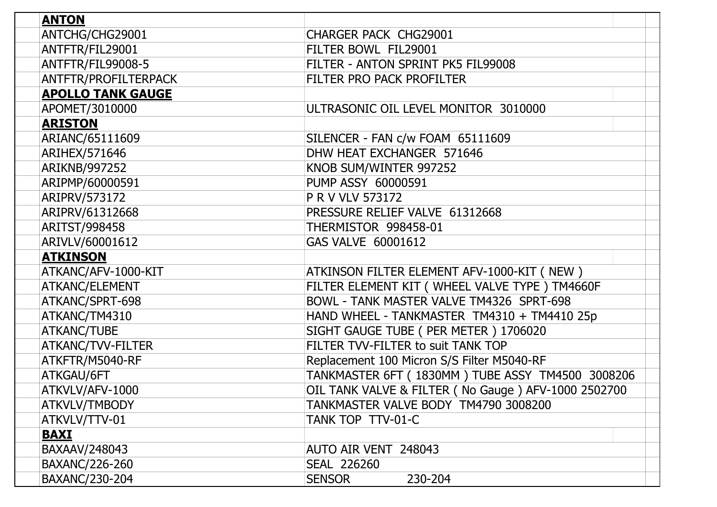| <b>ANTON</b>             |                                                     |
|--------------------------|-----------------------------------------------------|
| ANTCHG/CHG29001          | <b>CHARGER PACK CHG29001</b>                        |
| ANTFTR/FIL29001          | FILTER BOWL FIL29001                                |
| ANTFTR/FIL99008-5        | FILTER - ANTON SPRINT PK5 FIL99008                  |
| ANTFTR/PROFILTERPACK     | FILTER PRO PACK PROFILTER                           |
| <b>APOLLO TANK GAUGE</b> |                                                     |
| APOMET/3010000           | ULTRASONIC OIL LEVEL MONITOR 3010000                |
| <b>ARISTON</b>           |                                                     |
| ARIANC/65111609          | SILENCER - FAN c/w FOAM 65111609                    |
| ARIHEX/571646            | DHW HEAT EXCHANGER 571646                           |
| ARIKNB/997252            | KNOB SUM/WINTER 997252                              |
| ARIPMP/60000591          | PUMP ASSY 60000591                                  |
| ARIPRV/573172            | P R V VLV 573172                                    |
| ARIPRV/61312668          | PRESSURE RELIEF VALVE 61312668                      |
| ARITST/998458            | THERMISTOR 998458-01                                |
| ARIVLV/60001612          | GAS VALVE 60001612                                  |
| <b>ATKINSON</b>          |                                                     |
| ATKANC/AFV-1000-KIT      | ATKINSON FILTER ELEMENT AFV-1000-KIT (NEW)          |
| ATKANC/ELEMENT           | FILTER ELEMENT KIT ( WHEEL VALVE TYPE ) TM4660F     |
| ATKANC/SPRT-698          | BOWL - TANK MASTER VALVE TM4326 SPRT-698            |
| ATKANC/TM4310            | HAND WHEEL - TANKMASTER TM4310 + TM4410 25p         |
| <b>ATKANC/TUBE</b>       | SIGHT GAUGE TUBE ( PER METER ) 1706020              |
| ATKANC/TVV-FILTER        | FILTER TVV-FILTER to suit TANK TOP                  |
| ATKFTR/M5040-RF          | Replacement 100 Micron S/S Filter M5040-RF          |
| ATKGAU/6FT               | TANKMASTER 6FT (1830MM) TUBE ASSY TM4500 3008206    |
| ATKVLV/AFV-1000          | OIL TANK VALVE & FILTER (No Gauge) AFV-1000 2502700 |
| ATKVLV/TMBODY            | TANKMASTER VALVE BODY TM4790 3008200                |
| ATKVLV/TTV-01            | TANK TOP TTV-01-C                                   |
| <b>BAXI</b>              |                                                     |
| BAXAAV/248043            | AUTO AIR VENT 248043                                |
| BAXANC/226-260           | <b>SEAL 226260</b>                                  |
| BAXANC/230-204           | 230-204<br><b>SENSOR</b>                            |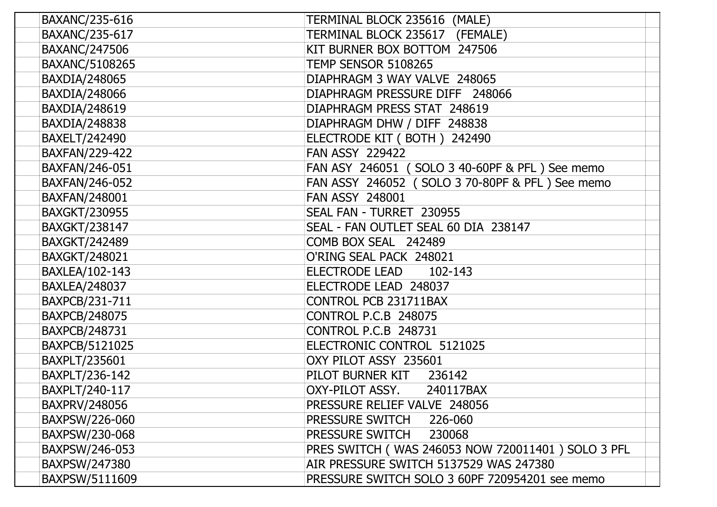| BAXANC/235-616       | TERMINAL BLOCK 235616<br>(MALE)                   |
|----------------------|---------------------------------------------------|
| BAXANC/235-617       | TERMINAL BLOCK 235617 (FEMALE)                    |
| <b>BAXANC/247506</b> | KIT BURNER BOX BOTTOM 247506                      |
| BAXANC/5108265       | <b>TEMP SENSOR 5108265</b>                        |
| BAXDIA/248065        | DIAPHRAGM 3 WAY VALVE 248065                      |
| BAXDIA/248066        | DIAPHRAGM PRESSURE DIFF 248066                    |
| <b>BAXDIA/248619</b> | DIAPHRAGM PRESS STAT 248619                       |
| BAXDIA/248838        | DIAPHRAGM DHW / DIFF 248838                       |
| BAXELT/242490        | ELECTRODE KIT (BOTH) 242490                       |
| BAXFAN/229-422       | <b>FAN ASSY 229422</b>                            |
| BAXFAN/246-051       | FAN ASY 246051 (SOLO 3 40-60PF & PFL) See memo    |
| BAXFAN/246-052       | FAN ASSY 246052 (SOLO 3 70-80PF & PFL) See memo   |
| BAXFAN/248001        | <b>FAN ASSY 248001</b>                            |
| <b>BAXGKT/230955</b> | SEAL FAN - TURRET 230955                          |
| <b>BAXGKT/238147</b> | SEAL - FAN OUTLET SEAL 60 DIA 238147              |
| <b>BAXGKT/242489</b> | COMB BOX SEAL 242489                              |
| <b>BAXGKT/248021</b> | O'RING SEAL PACK 248021                           |
| BAXLEA/102-143       | <b>ELECTRODE LEAD</b><br>102-143                  |
| <b>BAXLEA/248037</b> | ELECTRODE LEAD 248037                             |
| BAXPCB/231-711       | CONTROL PCB 231711BAX                             |
| <b>BAXPCB/248075</b> | <b>CONTROL P.C.B 248075</b>                       |
| BAXPCB/248731        | <b>CONTROL P.C.B 248731</b>                       |
| BAXPCB/5121025       | ELECTRONIC CONTROL 5121025                        |
| BAXPLT/235601        | OXY PILOT ASSY 235601                             |
| BAXPLT/236-142       | PILOT BURNER KIT<br>236142                        |
| BAXPLT/240-117       | OXY-PILOT ASSY.<br>240117BAX                      |
| BAXPRV/248056        | PRESSURE RELIEF VALVE 248056                      |
| BAXPSW/226-060       | PRESSURE SWITCH<br>226-060                        |
| BAXPSW/230-068       | PRESSURE SWITCH<br>230068                         |
| BAXPSW/246-053       | PRES SWITCH (WAS 246053 NOW 720011401) SOLO 3 PFL |
| BAXPSW/247380        | AIR PRESSURE SWITCH 5137529 WAS 247380            |
| BAXPSW/5111609       | PRESSURE SWITCH SOLO 3 60PF 720954201 see memo    |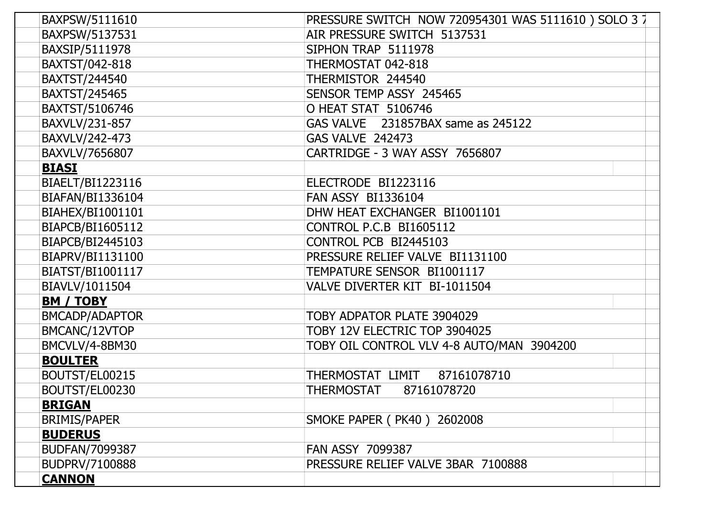| BAXPSW/5111610   | PRESSURE SWITCH NOW 720954301 WAS 5111610) SOLO 3 7 |
|------------------|-----------------------------------------------------|
| BAXPSW/5137531   | AIR PRESSURE SWITCH 5137531                         |
| BAXSIP/5111978   | SIPHON TRAP 5111978                                 |
| BAXTST/042-818   | THERMOSTAT 042-818                                  |
| BAXTST/244540    | THERMISTOR 244540                                   |
| BAXTST/245465    | SENSOR TEMP ASSY 245465                             |
| BAXTST/5106746   | O HEAT STAT 5106746                                 |
| BAXVLV/231-857   | GAS VALVE 231857BAX same as 245122                  |
| BAXVLV/242-473   | <b>GAS VALVE 242473</b>                             |
| BAXVLV/7656807   | CARTRIDGE - 3 WAY ASSY 7656807                      |
| <b>BIASI</b>     |                                                     |
| BIAELT/BI1223116 | ELECTRODE BI1223116                                 |
| BIAFAN/BI1336104 | <b>FAN ASSY BI1336104</b>                           |
| BIAHEX/BI1001101 | DHW HEAT EXCHANGER BI1001101                        |
| BIAPCB/BI1605112 | <b>CONTROL P.C.B BI1605112</b>                      |
| BIAPCB/BI2445103 | CONTROL PCB BI2445103                               |
| BIAPRV/BI1131100 | PRESSURE RELIEF VALVE BI1131100                     |
| BIATST/BI1001117 | TEMPATURE SENSOR BI1001117                          |
| BIAVLV/1011504   | VALVE DIVERTER KIT BI-1011504                       |
| <b>BM / TOBY</b> |                                                     |
| BMCADP/ADAPTOR   | TOBY ADPATOR PLATE 3904029                          |
| BMCANC/12VTOP    | TOBY 12V ELECTRIC TOP 3904025                       |
| BMCVLV/4-8BM30   | TOBY OIL CONTROL VLV 4-8 AUTO/MAN 3904200           |
| <b>BOULTER</b>   |                                                     |
| BOUTST/EL00215   | THERMOSTAT LIMIT<br>87161078710                     |
| BOUTST/EL00230   | THERMOSTAT<br>87161078720                           |
| <b>BRIGAN</b>    |                                                     |
| BRIMIS/PAPER     | SMOKE PAPER (PK40) 2602008                          |
| <b>BUDERUS</b>   |                                                     |
| BUDFAN/7099387   | <b>FAN ASSY 7099387</b>                             |
| BUDPRV/7100888   | PRESSURE RELIEF VALVE 3BAR 7100888                  |
| <b>CANNON</b>    |                                                     |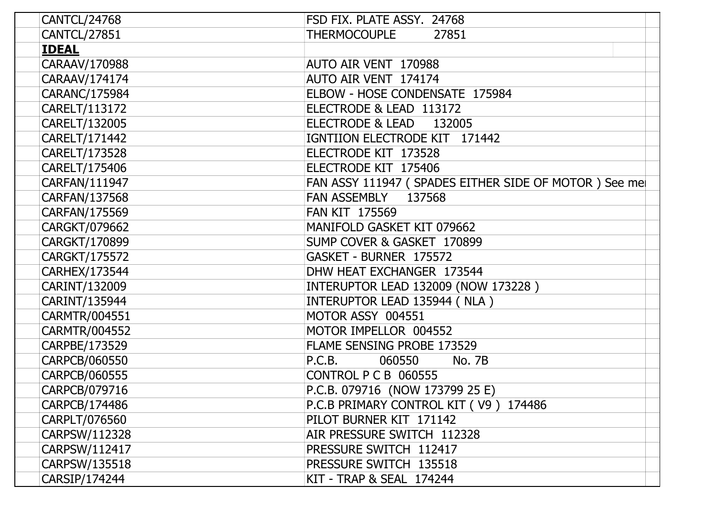| <b>CANTCL/24768</b>  | FSD FIX. PLATE ASSY. 24768                             |
|----------------------|--------------------------------------------------------|
| <b>CANTCL/27851</b>  | THERMOCOUPLE<br>27851                                  |
| <b>IDEAL</b>         |                                                        |
| CARAAV/170988        | AUTO AIR VENT 170988                                   |
| CARAAV/174174        | AUTO AIR VENT 174174                                   |
| CARANC/175984        | ELBOW - HOSE CONDENSATE 175984                         |
| CARELT/113172        | ELECTRODE & LEAD 113172                                |
| CARELT/132005        | ELECTRODE & LEAD<br>132005                             |
| CARELT/171442        | IGNTIION ELECTRODE KIT 171442                          |
| CARELT/173528        | ELECTRODE KIT 173528                                   |
| CARELT/175406        | ELECTRODE KIT 175406                                   |
| CARFAN/111947        | FAN ASSY 111947 ( SPADES EITHER SIDE OF MOTOR ) See me |
| CARFAN/137568        | FAN ASSEMBLY 137568                                    |
| CARFAN/175569        | <b>FAN KIT 175569</b>                                  |
| CARGKT/079662        | MANIFOLD GASKET KIT 079662                             |
| CARGKT/170899        | SUMP COVER & GASKET 170899                             |
| CARGKT/175572        | GASKET - BURNER 175572                                 |
| <b>CARHEX/173544</b> | DHW HEAT EXCHANGER 173544                              |
| CARINT/132009        | INTERUPTOR LEAD 132009 (NOW 173228)                    |
| CARINT/135944        | INTERUPTOR LEAD 135944 (NLA)                           |
| CARMTR/004551        | MOTOR ASSY 004551                                      |
| <b>CARMTR/004552</b> | MOTOR IMPELLOR 004552                                  |
| CARPBE/173529        | FLAME SENSING PROBE 173529                             |
| CARPCB/060550        | 060550<br>P.C.B.<br>No. 7B                             |
| CARPCB/060555        | <b>CONTROL P C B 060555</b>                            |
| CARPCB/079716        | P.C.B. 079716 (NOW 173799 25 E)                        |
| CARPCB/174486        | P.C.B PRIMARY CONTROL KIT (V9) 174486                  |
| CARPLT/076560        | PILOT BURNER KIT 171142                                |
| CARPSW/112328        | AIR PRESSURE SWITCH 112328                             |
| CARPSW/112417        | PRESSURE SWITCH 112417                                 |
| CARPSW/135518        | PRESSURE SWITCH 135518                                 |
| CARSIP/174244        | KIT - TRAP & SEAL 174244                               |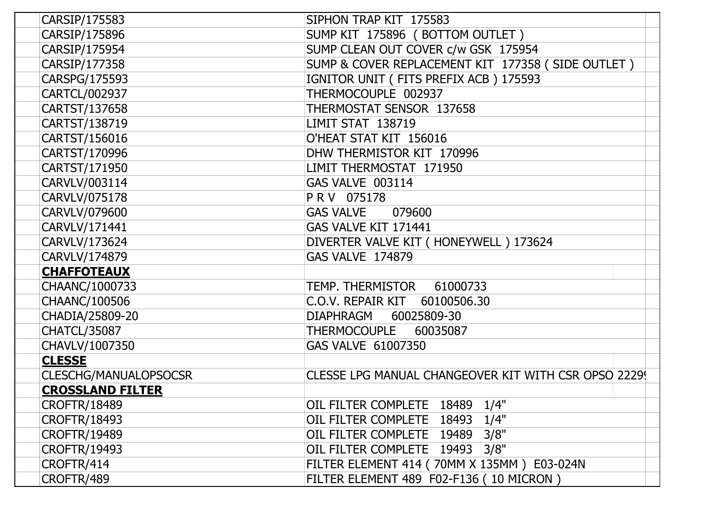| CARSIP/175583                | SIPHON TRAP KIT 175583                              |
|------------------------------|-----------------------------------------------------|
| CARSIP/175896                | SUMP KIT 175896 (BOTTOM OUTLET)                     |
| CARSIP/175954                | SUMP CLEAN OUT COVER c/w GSK 175954                 |
| CARSIP/177358                | SUMP & COVER REPLACEMENT KIT 177358 (SIDE OUTLET)   |
| CARSPG/175593                | IGNITOR UNIT (FITS PREFIX ACB) 175593               |
| CARTCL/002937                | THERMOCOUPLE 002937                                 |
| CARTST/137658                | THERMOSTAT SENSOR 137658                            |
| CARTST/138719                | <b>LIMIT STAT 138719</b>                            |
| CARTST/156016                | O'HEAT STAT KIT 156016                              |
| CARTST/170996                | DHW THERMISTOR KIT 170996                           |
| CARTST/171950                | LIMIT THERMOSTAT 171950                             |
| CARVLV/003114                | <b>GAS VALVE 003114</b>                             |
| CARVLV/075178                | PRV 075178                                          |
| CARVLV/079600                | <b>GAS VALVE</b><br>079600                          |
| CARVLV/171441                | GAS VALVE KIT 171441                                |
| CARVLV/173624                | DIVERTER VALVE KIT ( HONEYWELL ) 173624             |
| CARVLV/174879                | <b>GAS VALVE 174879</b>                             |
| <b>CHAFFOTEAUX</b>           |                                                     |
| CHAANC/1000733               | TEMP. THERMISTOR<br>61000733                        |
| CHAANC/100506                | C.O.V. REPAIR KIT<br>60100506.30                    |
| CHADIA/25809-20              | DIAPHRAGM<br>60025809-30                            |
| <b>CHATCL/35087</b>          | THERMOCOUPLE<br>60035087                            |
| CHAVLV/1007350               | GAS VALVE 61007350                                  |
| <b>CLESSE</b>                |                                                     |
| <b>CLESCHG/MANUALOPSOCSR</b> | CLESSE LPG MANUAL CHANGEOVER KIT WITH CSR OPSO 2229 |
| <b>CROSSLAND FILTER</b>      |                                                     |
| <b>CROFTR/18489</b>          | 1/4"<br>OIL FILTER COMPLETE<br>18489                |
| <b>CROFTR/18493</b>          | OIL FILTER COMPLETE 18493 1/4"                      |
| <b>CROFTR/19489</b>          | 3/8"<br>OIL FILTER COMPLETE 19489                   |
| <b>CROFTR/19493</b>          | 3/8"<br>OIL FILTER COMPLETE 19493                   |
| CROFTR/414                   | FILTER ELEMENT 414 ( 70MM X 135MM ) E03-024N        |
| CROFTR/489                   | FILTER ELEMENT 489 F02-F136 (10 MICRON)             |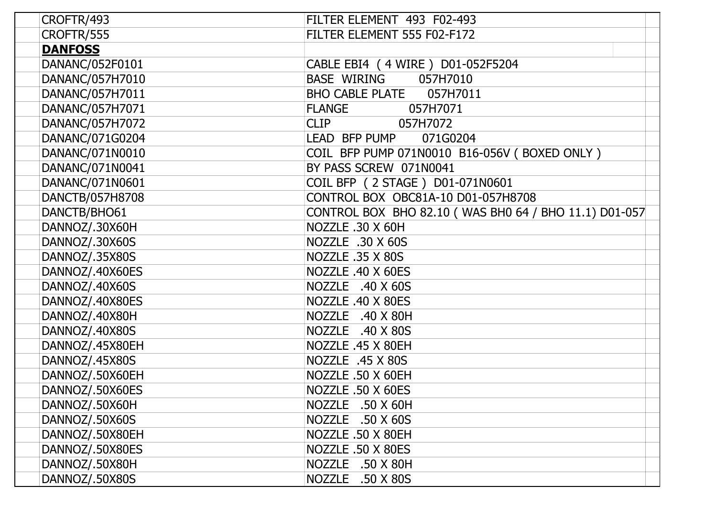| CROFTR/493      | FILTER ELEMENT 493 F02-493                            |
|-----------------|-------------------------------------------------------|
| CROFTR/555      | FILTER ELEMENT 555 F02-F172                           |
| <b>DANFOSS</b>  |                                                       |
| DANANC/052F0101 | CABLE EBI4 (4 WIRE) D01-052F5204                      |
| DANANC/057H7010 | BASE WIRING<br>057H7010                               |
| DANANC/057H7011 | <b>BHO CABLE PLATE</b><br>057H7011                    |
| DANANC/057H7071 | <b>FLANGE</b><br>057H7071                             |
| DANANC/057H7072 | <b>CLIP</b><br>057H7072                               |
| DANANC/071G0204 | LEAD BFP PUMP<br>071G0204                             |
| DANANC/071N0010 | COIL BFP PUMP 071N0010 B16-056V (BOXED ONLY)          |
| DANANC/071N0041 | BY PASS SCREW 071N0041                                |
| DANANC/071N0601 | COIL BFP (2 STAGE) D01-071N0601                       |
| DANCTB/057H8708 | CONTROL BOX OBC81A-10 D01-057H8708                    |
| DANCTB/BHO61    | CONTROL BOX BHO 82.10 (WAS BHO 64 / BHO 11.1) D01-057 |
| DANNOZ/.30X60H  | NOZZLE .30 X 60H                                      |
| DANNOZ/.30X60S  | NOZZLE .30 X 60S                                      |
| DANNOZ/.35X80S  | NOZZLE .35 X 80S                                      |
| DANNOZ/.40X60ES | NOZZLE .40 X 60ES                                     |
| DANNOZ/.40X60S  | NOZZLE .40 X 60S                                      |
| DANNOZ/.40X80ES | NOZZLE .40 X 80ES                                     |
| DANNOZ/.40X80H  | NOZZLE .40 X 80H                                      |
| DANNOZ/.40X80S  | NOZZLE .40 X 80S                                      |
| DANNOZ/.45X80EH | NOZZLE .45 X 80EH                                     |
| DANNOZ/.45X80S  | NOZZLE .45 X 80S                                      |
| DANNOZ/.50X60EH | NOZZLE .50 X 60EH                                     |
| DANNOZ/.50X60ES | NOZZLE .50 X 60ES                                     |
| DANNOZ/.50X60H  | NOZZLE .50 X 60H                                      |
| DANNOZ/.50X60S  | NOZZLE .50 X 60S                                      |
| DANNOZ/.50X80EH | NOZZLE .50 X 80EH                                     |
| DANNOZ/.50X80ES | NOZZLE .50 X 80ES                                     |
| DANNOZ/.50X80H  | NOZZLE .50 X 80H                                      |
| DANNOZ/.50X80S  | NOZZLE .50 X 80S                                      |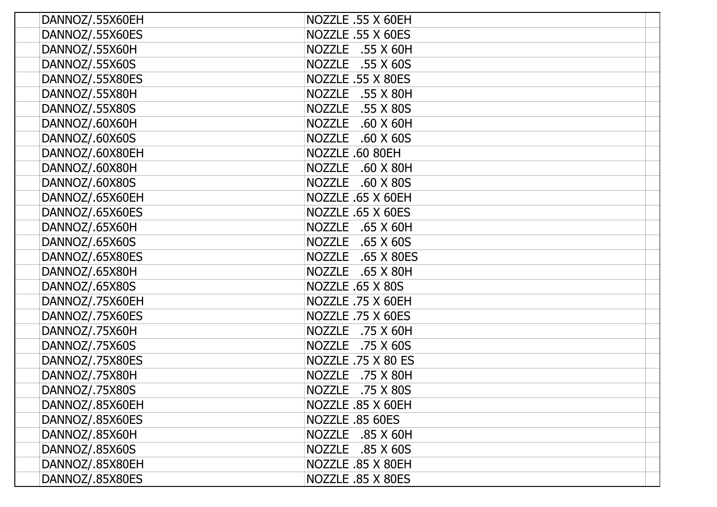| DANNOZ/.55X60EH | NOZZLE .55 X 60EH                 |
|-----------------|-----------------------------------|
| DANNOZ/.55X60ES | NOZZLE .55 X 60ES                 |
| DANNOZ/.55X60H  | NOZZLE .55 X 60H                  |
| DANNOZ/.55X60S  | <b>NOZZLE</b><br>.55 X 60S        |
| DANNOZ/.55X80ES | NOZZLE .55 X 80ES                 |
| DANNOZ/.55X80H  | NOZZLE .55 X 80H                  |
| DANNOZ/.55X80S  | NOZZLE .55 X 80S                  |
| DANNOZ/.60X60H  | NOZZLE .60 X 60H                  |
| DANNOZ/.60X60S  | NOZZLE .60 X 60S                  |
| DANNOZ/.60X80EH | NOZZLE .60 80EH                   |
| DANNOZ/.60X80H  | <b>NOZZLE</b><br>$.60$ X 80H      |
| DANNOZ/.60X80S  | <b>NOZZLE</b><br>$.60 \times 80S$ |
| DANNOZ/.65X60EH | NOZZLE .65 X 60EH                 |
| DANNOZ/.65X60ES | NOZZLE .65 X 60ES                 |
| DANNOZ/.65X60H  | <b>NOZZLE</b><br>$.65$ X 60H      |
| DANNOZ/.65X60S  | NOZZLE .65 X 60S                  |
| DANNOZ/.65X80ES | NOZZLE .65 X 80ES                 |
| DANNOZ/.65X80H  | NOZZLE .65 X 80H                  |
| DANNOZ/.65X80S  | <b>NOZZLE .65 X 80S</b>           |
| DANNOZ/.75X60EH | NOZZLE .75 X 60EH                 |
| DANNOZ/.75X60ES | NOZZLE .75 X 60ES                 |
| DANNOZ/.75X60H  | NOZZLE .75 X 60H                  |
| DANNOZ/.75X60S  | NOZZLE .75 X 60S                  |
| DANNOZ/.75X80ES | NOZZLE .75 X 80 ES                |
| DANNOZ/.75X80H  | NOZZLE .75 X 80H                  |
| DANNOZ/.75X80S  | NOZZLE .75 X 80S                  |
| DANNOZ/.85X60EH | NOZZLE .85 X 60EH                 |
| DANNOZ/.85X60ES | NOZZLE .85 60ES                   |
| DANNOZ/.85X60H  | NOZZLE .85 X 60H                  |
| DANNOZ/.85X60S  | NOZZLE .85 X 60S                  |
| DANNOZ/.85X80EH | NOZZLE .85 X 80EH                 |
| DANNOZ/.85X80ES | NOZZLE .85 X 80ES                 |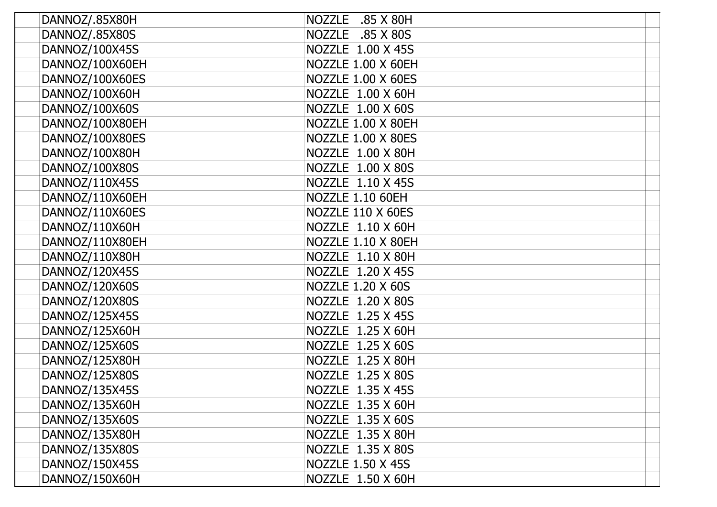| DANNOZ/.85X80H  | NOZZLE .85 X 80H           |
|-----------------|----------------------------|
| DANNOZ/.85X80S  | <b>NOZZLE</b><br>.85 X 80S |
| DANNOZ/100X45S  | NOZZLE 1.00 X 45S          |
| DANNOZ/100X60EH | NOZZLE 1.00 X 60EH         |
| DANNOZ/100X60ES | NOZZLE 1.00 X 60ES         |
| DANNOZ/100X60H  | NOZZLE 1.00 X 60H          |
| DANNOZ/100X60S  | NOZZLE 1.00 X 60S          |
| DANNOZ/100X80EH | NOZZLE 1.00 X 80EH         |
| DANNOZ/100X80ES | NOZZLE 1.00 X 80ES         |
| DANNOZ/100X80H  | NOZZLE 1.00 X 80H          |
| DANNOZ/100X80S  | NOZZLE 1.00 X 80S          |
| DANNOZ/110X45S  | NOZZLE 1.10 X 45S          |
| DANNOZ/110X60EH | <b>NOZZLE 1.10 60EH</b>    |
| DANNOZ/110X60ES | NOZZLE 110 X 60ES          |
| DANNOZ/110X60H  | NOZZLE 1.10 X 60H          |
| DANNOZ/110X80EH | NOZZLE 1.10 X 80EH         |
| DANNOZ/110X80H  | NOZZLE 1.10 X 80H          |
| DANNOZ/120X45S  | NOZZLE 1.20 X 45S          |
| DANNOZ/120X60S  | <b>NOZZLE 1.20 X 60S</b>   |
| DANNOZ/120X80S  | NOZZLE 1.20 X 80S          |
| DANNOZ/125X45S  | NOZZLE 1.25 X 45S          |
| DANNOZ/125X60H  | NOZZLE 1.25 X 60H          |
| DANNOZ/125X60S  | NOZZLE 1.25 X 60S          |
| DANNOZ/125X80H  | NOZZLE 1.25 X 80H          |
| DANNOZ/125X80S  | NOZZLE 1.25 X 80S          |
| DANNOZ/135X45S  | NOZZLE 1.35 X 45S          |
| DANNOZ/135X60H  | NOZZLE 1.35 X 60H          |
| DANNOZ/135X60S  | NOZZLE 1.35 X 60S          |
| DANNOZ/135X80H  | NOZZLE 1.35 X 80H          |
| DANNOZ/135X80S  | NOZZLE 1.35 X 80S          |
| DANNOZ/150X45S  | NOZZLE 1.50 X 45S          |
| DANNOZ/150X60H  | NOZZLE 1.50 X 60H          |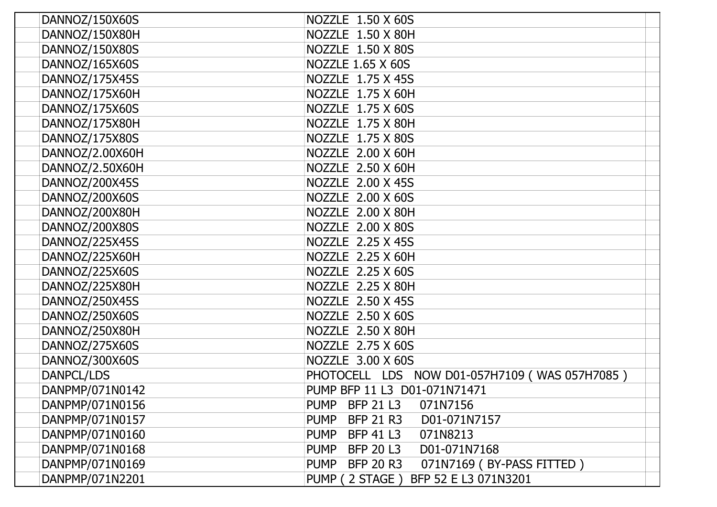| DANNOZ/150X60S  | NOZZLE 1.50 X 60S                                            |
|-----------------|--------------------------------------------------------------|
| DANNOZ/150X80H  | NOZZLE 1.50 X 80H                                            |
| DANNOZ/150X80S  | NOZZLE 1.50 X 80S                                            |
| DANNOZ/165X60S  | <b>NOZZLE 1.65 X 60S</b>                                     |
| DANNOZ/175X45S  | NOZZLE 1.75 X 45S                                            |
| DANNOZ/175X60H  | NOZZLE 1.75 X 60H                                            |
| DANNOZ/175X60S  | NOZZLE 1.75 X 60S                                            |
| DANNOZ/175X80H  | NOZZLE 1.75 X 80H                                            |
| DANNOZ/175X80S  | NOZZLE 1.75 X 80S                                            |
| DANNOZ/2.00X60H | NOZZLE 2.00 X 60H                                            |
| DANNOZ/2.50X60H | NOZZLE 2.50 X 60H                                            |
| DANNOZ/200X45S  | NOZZLE 2.00 X 45S                                            |
| DANNOZ/200X60S  | NOZZLE 2.00 X 60S                                            |
| DANNOZ/200X80H  | NOZZLE 2.00 X 80H                                            |
| DANNOZ/200X80S  | NOZZLE 2.00 X 80S                                            |
| DANNOZ/225X45S  | NOZZLE 2.25 X 45S                                            |
| DANNOZ/225X60H  | NOZZLE 2.25 X 60H                                            |
| DANNOZ/225X60S  | NOZZLE 2.25 X 60S                                            |
| DANNOZ/225X80H  | NOZZLE 2.25 X 80H                                            |
| DANNOZ/250X45S  | NOZZLE 2.50 X 45S                                            |
| DANNOZ/250X60S  | NOZZLE 2.50 X 60S                                            |
| DANNOZ/250X80H  | NOZZLE 2.50 X 80H                                            |
| DANNOZ/275X60S  | NOZZLE 2.75 X 60S                                            |
| DANNOZ/300X60S  | NOZZLE 3.00 X 60S                                            |
| DANPCL/LDS      | PHOTOCELL LDS NOW D01-057H7109 (WAS 057H7085)                |
| DANPMP/071N0142 | PUMP BFP 11 L3 D01-071N71471                                 |
| DANPMP/071N0156 | <b>PUMP</b><br><b>BFP 21 L3</b><br>071N7156                  |
| DANPMP/071N0157 | <b>BFP 21 R3</b><br><b>PUMP</b><br>D01-071N7157              |
| DANPMP/071N0160 | PUMP BFP 41 L3<br>071N8213                                   |
| DANPMP/071N0168 | PUMP BFP 20 L3<br>D01-071N7168                               |
| DANPMP/071N0169 | 071N7169 (BY-PASS FITTED)<br><b>BFP 20 R3</b><br><b>PUMP</b> |
| DANPMP/071N2201 | BFP 52 E L3 071N3201<br>PUMP (2 STAGE)                       |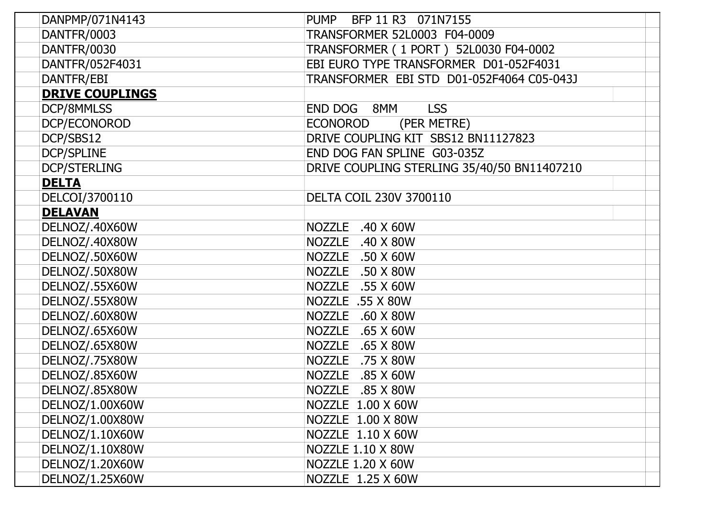| DANPMP/071N4143        | PUMP BFP 11 R3 071N7155                     |
|------------------------|---------------------------------------------|
| DANTFR/0003            | TRANSFORMER 52L0003 F04-0009                |
| <b>DANTFR/0030</b>     | TRANSFORMER (1 PORT) 52L0030 F04-0002       |
| DANTFR/052F4031        | EBI EURO TYPE TRANSFORMER D01-052F4031      |
| DANTFR/EBI             | TRANSFORMER EBI STD D01-052F4064 C05-043J   |
| <b>DRIVE COUPLINGS</b> |                                             |
| DCP/8MMLSS             | END DOG 8MM<br><b>LSS</b>                   |
| DCP/ECONOROD           | (PER METRE)<br><b>ECONOROD</b>              |
| DCP/SBS12              | DRIVE COUPLING KIT SBS12 BN11127823         |
| <b>DCP/SPLINE</b>      | END DOG FAN SPLINE G03-035Z                 |
| <b>DCP/STERLING</b>    | DRIVE COUPLING STERLING 35/40/50 BN11407210 |
| <b>DELTA</b>           |                                             |
| DELCOI/3700110         | DELTA COIL 230V 3700110                     |
| <b>DELAVAN</b>         |                                             |
| DELNOZ/.40X60W         | NOZZLE .40 X 60W                            |
| DELNOZ/.40X80W         | NOZZLE .40 X 80W                            |
| DELNOZ/.50X60W         | NOZZLE .50 X 60W                            |
| DELNOZ/.50X80W         | NOZZLE .50 X 80W                            |
| DELNOZ/.55X60W         | NOZZLE .55 X 60W                            |
| DELNOZ/.55X80W         | NOZZLE .55 X 80W                            |
| DELNOZ/.60X80W         | NOZZLE .60 X 80W                            |
| DELNOZ/.65X60W         | NOZZLE .65 X 60W                            |
| DELNOZ/.65X80W         | NOZZLE .65 X 80W                            |
| DELNOZ/.75X80W         | NOZZLE .75 X 80W                            |
| DELNOZ/.85X60W         | NOZZLE .85 X 60W                            |
| DELNOZ/.85X80W         | NOZZLE .85 X 80W                            |
| DELNOZ/1.00X60W        | NOZZLE 1.00 X 60W                           |
| DELNOZ/1.00X80W        | NOZZLE 1.00 X 80W                           |
| DELNOZ/1.10X60W        | NOZZLE 1.10 X 60W                           |
| DELNOZ/1.10X80W        | NOZZLE 1.10 X 80W                           |
| DELNOZ/1.20X60W        | NOZZLE 1.20 X 60W                           |
| DELNOZ/1.25X60W        | NOZZLE 1.25 X 60W                           |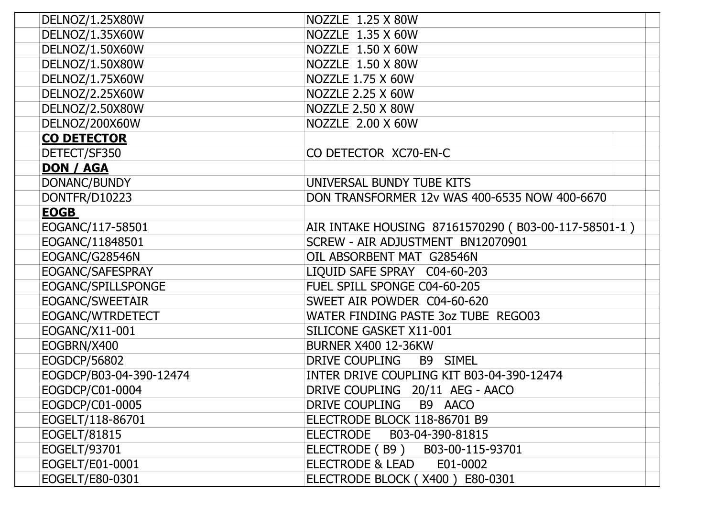| DELNOZ/1.25X80W         | NOZZLE 1.25 X 80W                                   |
|-------------------------|-----------------------------------------------------|
| DELNOZ/1.35X60W         | NOZZLE 1.35 X 60W                                   |
| DELNOZ/1.50X60W         | NOZZLE 1.50 X 60W                                   |
| DELNOZ/1.50X80W         | NOZZLE 1.50 X 80W                                   |
| DELNOZ/1.75X60W         | NOZZLE 1.75 X 60W                                   |
| DELNOZ/2.25X60W         | <b>NOZZLE 2.25 X 60W</b>                            |
| DELNOZ/2.50X80W         | NOZZLE 2.50 X 80W                                   |
| DELNOZ/200X60W          | NOZZLE 2.00 X 60W                                   |
| <b>CO DETECTOR</b>      |                                                     |
| DETECT/SF350            | CO DETECTOR XC70-EN-C                               |
| <b>DON / AGA</b>        |                                                     |
| DONANC/BUNDY            | UNIVERSAL BUNDY TUBE KITS                           |
| DONTFR/D10223           | DON TRANSFORMER 12v WAS 400-6535 NOW 400-6670       |
| <b>EOGB</b>             |                                                     |
| EOGANC/117-58501        | AIR INTAKE HOUSING 87161570290 (B03-00-117-58501-1) |
| EOGANC/11848501         | SCREW - AIR ADJUSTMENT BN12070901                   |
| EOGANC/G28546N          | OIL ABSORBENT MAT G28546N                           |
| EOGANC/SAFESPRAY        | LIQUID SAFE SPRAY C04-60-203                        |
| EOGANC/SPILLSPONGE      | FUEL SPILL SPONGE C04-60-205                        |
| EOGANC/SWEETAIR         | SWEET AIR POWDER C04-60-620                         |
| EOGANC/WTRDETECT        | WATER FINDING PASTE 3oz TUBE REGO03                 |
| EOGANC/X11-001          | SILICONE GASKET X11-001                             |
| EOGBRN/X400             | <b>BURNER X400 12-36KW</b>                          |
| EOGDCP/56802            | DRIVE COUPLING<br>B9 SIMEL                          |
| EOGDCP/B03-04-390-12474 | INTER DRIVE COUPLING KIT B03-04-390-12474           |
| EOGDCP/C01-0004         | DRIVE COUPLING 20/11 AEG - AACO                     |
| EOGDCP/C01-0005         | DRIVE COUPLING<br>B9 AACO                           |
| EOGELT/118-86701        | ELECTRODE BLOCK 118-86701 B9                        |
| EOGELT/81815            | ELECTRODE B03-04-390-81815                          |
| EOGELT/93701            | ELECTRODE (B9) B03-00-115-93701                     |
| EOGELT/E01-0001         | <b>ELECTRODE &amp; LEAD</b><br>E01-0002             |
| EOGELT/E80-0301         | ELECTRODE BLOCK (X400) E80-0301                     |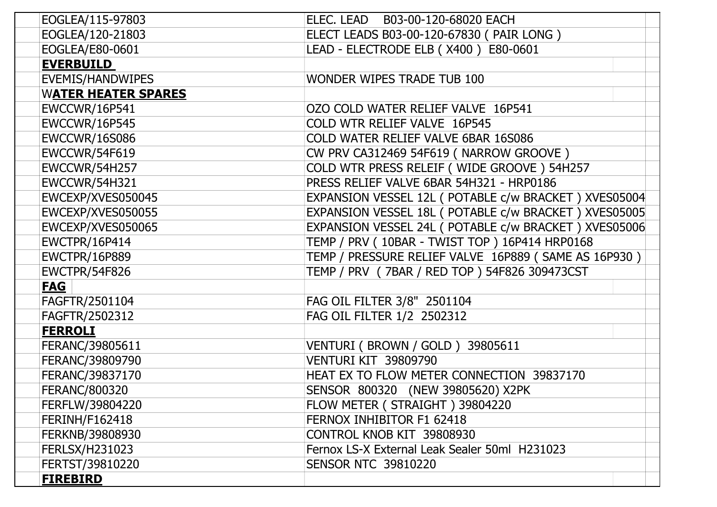| <u>FIREBIRD</u>            |                                                        |
|----------------------------|--------------------------------------------------------|
| FERTST/39810220            | <b>SENSOR NTC 39810220</b>                             |
| <b>FERLSX/H231023</b>      | Fernox LS-X External Leak Sealer 50ml H231023          |
| FERKNB/39808930            | CONTROL KNOB KIT 39808930                              |
| <b>FERINH/F162418</b>      | FERNOX INHIBITOR F1 62418                              |
| FERFLW/39804220            | FLOW METER (STRAIGHT) 39804220                         |
| <b>FERANC/800320</b>       | SENSOR 800320 (NEW 39805620) X2PK                      |
| FERANC/39837170            | HEAT EX TO FLOW METER CONNECTION 39837170              |
| FERANC/39809790            | VENTURI KIT 39809790                                   |
| FERANC/39805611            | VENTURI (BROWN / GOLD ) 39805611                       |
| <b>FERROLI</b>             |                                                        |
| FAGFTR/2502312             | FAG OIL FILTER 1/2 2502312                             |
| FAGFTR/2501104             | FAG OIL FILTER 3/8" 2501104                            |
| <b>FAG</b>                 |                                                        |
| <b>EWCTPR/54F826</b>       | TEMP / PRV (7BAR / RED TOP) 54F826 309473CST           |
| <b>EWCTPR/16P889</b>       | TEMP / PRESSURE RELIEF VALVE 16P889 (SAME AS 16P930)   |
| <b>EWCTPR/16P414</b>       | TEMP / PRV (10BAR - TWIST TOP) 16P414 HRP0168          |
| EWCEXP/XVES050065          | EXPANSION VESSEL 24L ( POTABLE c/w BRACKET ) XVES05006 |
| EWCEXP/XVES050055          | EXPANSION VESSEL 18L ( POTABLE c/w BRACKET ) XVES05005 |
| EWCEXP/XVES050045          | EXPANSION VESSEL 12L ( POTABLE c/w BRACKET ) XVES05004 |
| <b>EWCCWR/54H321</b>       | PRESS RELIEF VALVE 6BAR 54H321 - HRP0186               |
| <b>EWCCWR/54H257</b>       | COLD WTR PRESS RELEIF (WIDE GROOVE) 54H257             |
| <b>EWCCWR/54F619</b>       | CW PRV CA312469 54F619 ( NARROW GROOVE )               |
| <b>EWCCWR/16S086</b>       | COLD WATER RELIEF VALVE 6BAR 16S086                    |
| <b>EWCCWR/16P545</b>       | COLD WTR RELIEF VALVE 16P545                           |
| <b>EWCCWR/16P541</b>       | OZO COLD WATER RELIEF VALVE 16P541                     |
| <b>WATER HEATER SPARES</b> |                                                        |
| <b>EVEMIS/HANDWIPES</b>    | WONDER WIPES TRADE TUB 100                             |
| <b>EVERBUILD</b>           |                                                        |
| EOGLEA/E80-0601            | LEAD - ELECTRODE ELB (X400) E80-0601                   |
| EOGLEA/120-21803           | ELECT LEADS B03-00-120-67830 (PAIR LONG)               |
| EOGLEA/115-97803           | ELEC. LEAD B03-00-120-68020 EACH                       |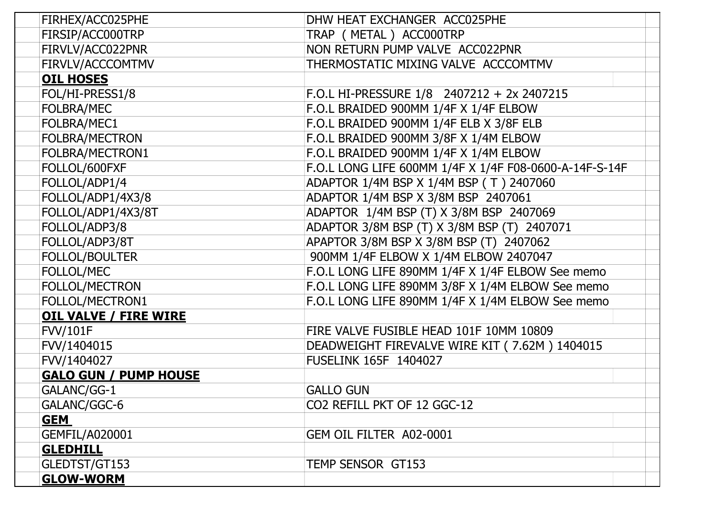| FIRHEX/ACC025PHE             | DHW HEAT EXCHANGER ACC025PHE                           |
|------------------------------|--------------------------------------------------------|
| FIRSIP/ACC000TRP             | TRAP (METAL) ACC000TRP                                 |
| FIRVLV/ACC022PNR             | NON RETURN PUMP VALVE ACC022PNR                        |
| FIRVLV/ACCCOMTMV             | THERMOSTATIC MIXING VALVE ACCCOMTMV                    |
| <b>OIL HOSES</b>             |                                                        |
| FOL/HI-PRESS1/8              | F.O.L HI-PRESSURE $1/8$ 2407212 + 2x 2407215           |
| <b>FOLBRA/MEC</b>            | F.O.L BRAIDED 900MM 1/4F X 1/4F ELBOW                  |
| FOLBRA/MEC1                  | F.O.L BRAIDED 900MM 1/4F ELB X 3/8F ELB                |
| FOLBRA/MECTRON               | F.O.L BRAIDED 900MM 3/8F X 1/4M ELBOW                  |
| FOLBRA/MECTRON1              | F.O.L BRAIDED 900MM 1/4F X 1/4M ELBOW                  |
| FOLLOL/600FXF                | F.O.L LONG LIFE 600MM 1/4F X 1/4F F08-0600-A-14F-S-14F |
| FOLLOL/ADP1/4                | ADAPTOR 1/4M BSP X 1/4M BSP (T) 2407060                |
| FOLLOL/ADP1/4X3/8            | ADAPTOR 1/4M BSP X 3/8M BSP 2407061                    |
| FOLLOL/ADP1/4X3/8T           | ADAPTOR 1/4M BSP (T) X 3/8M BSP 2407069                |
| FOLLOL/ADP3/8                | ADAPTOR 3/8M BSP (T) X 3/8M BSP (T) 2407071            |
| FOLLOL/ADP3/8T               | APAPTOR 3/8M BSP X 3/8M BSP (T) 2407062                |
| <b>FOLLOL/BOULTER</b>        | 900MM 1/4F ELBOW X 1/4M ELBOW 2407047                  |
| <b>FOLLOL/MEC</b>            | F.O.L LONG LIFE 890MM 1/4F X 1/4F ELBOW See memo       |
| <b>FOLLOL/MECTRON</b>        | F.O.L LONG LIFE 890MM 3/8F X 1/4M ELBOW See memo       |
| FOLLOL/MECTRON1              | F.O.L LONG LIFE 890MM 1/4F X 1/4M ELBOW See memo       |
| <b>OIL VALVE / FIRE WIRE</b> |                                                        |
| <b>FVV/101F</b>              | FIRE VALVE FUSIBLE HEAD 101F 10MM 10809                |
| FVV/1404015                  | DEADWEIGHT FIREVALVE WIRE KIT (7.62M) 1404015          |
| FVV/1404027                  | <b>FUSELINK 165F 1404027</b>                           |
| <b>GALO GUN / PUMP HOUSE</b> |                                                        |
| GALANC/GG-1                  | <b>GALLO GUN</b>                                       |
| GALANC/GGC-6                 | CO2 REFILL PKT OF 12 GGC-12                            |
| <u>GEM</u>                   |                                                        |
| <b>GEMFIL/A020001</b>        | GEM OIL FILTER A02-0001                                |
| <b>GLEDHILL</b>              |                                                        |
| GLEDTST/GT153                | TEMP SENSOR GT153                                      |
| <b>GLOW-WORM</b>             |                                                        |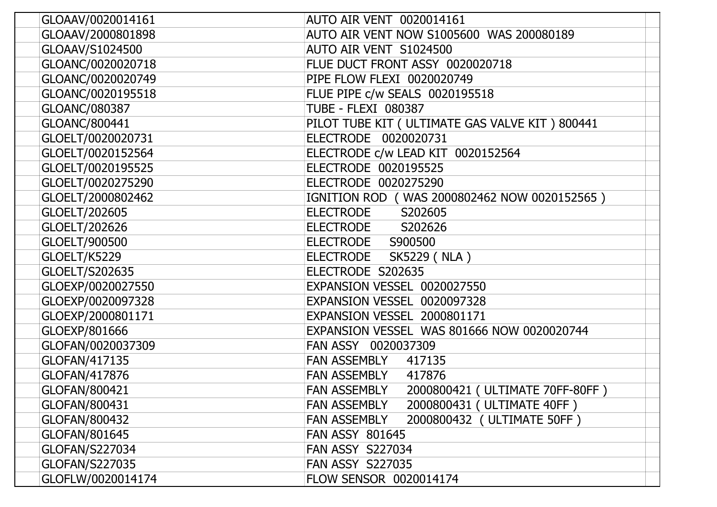| GLOAAV/0020014161     | <b>AUTO AIR VENT 0020014161</b>                     |
|-----------------------|-----------------------------------------------------|
| GLOAAV/2000801898     | AUTO AIR VENT NOW S1005600 WAS 200080189            |
| GLOAAV/S1024500       | AUTO AIR VENT S1024500                              |
| GLOANC/0020020718     | FLUE DUCT FRONT ASSY 0020020718                     |
| GLOANC/0020020749     | PIPE FLOW FLEXI 0020020749                          |
| GLOANC/0020195518     | FLUE PIPE c/w SEALS 0020195518                      |
| GLOANC/080387         | <b>TUBE - FLEXI 080387</b>                          |
| GLOANC/800441         | PILOT TUBE KIT ( ULTIMATE GAS VALVE KIT ) 800441    |
| GLOELT/0020020731     | ELECTRODE 0020020731                                |
| GLOELT/0020152564     | ELECTRODE c/w LEAD KIT 0020152564                   |
| GLOELT/0020195525     | ELECTRODE 0020195525                                |
| GLOELT/0020275290     | ELECTRODE 0020275290                                |
| GLOELT/2000802462     | IGNITION ROD (WAS 2000802462 NOW 0020152565)        |
| GLOELT/202605         | S202605<br><b>ELECTRODE</b>                         |
| GLOELT/202626         | <b>ELECTRODE</b><br>S202626                         |
| GLOELT/900500         | ELECTRODE S900500                                   |
| GLOELT/K5229          | <b>ELECTRODE</b><br><b>SK5229 (NLA)</b>             |
| GLOELT/S202635        | ELECTRODE S202635                                   |
| GLOEXP/0020027550     | EXPANSION VESSEL 0020027550                         |
| GLOEXP/0020097328     | EXPANSION VESSEL 0020097328                         |
| GLOEXP/2000801171     | EXPANSION VESSEL 2000801171                         |
| GLOEXP/801666         | EXPANSION VESSEL WAS 801666 NOW 0020020744          |
| GLOFAN/0020037309     | FAN ASSY 0020037309                                 |
| GLOFAN/417135         | <b>FAN ASSEMBLY</b><br>417135                       |
| GLOFAN/417876         | <b>FAN ASSEMBLY</b><br>417876                       |
| GLOFAN/800421         | 2000800421 ( ULTIMATE 70FF-80FF )<br>FAN ASSEMBLY   |
| GLOFAN/800431         | 2000800431 ( ULTIMATE 40FF )<br><b>FAN ASSEMBLY</b> |
| GLOFAN/800432         | 2000800432 ( ULTIMATE 50FF )<br><b>FAN ASSEMBLY</b> |
| GLOFAN/801645         | <b>FAN ASSY 801645</b>                              |
| GLOFAN/S227034        | <b>FAN ASSY S227034</b>                             |
| <b>GLOFAN/S227035</b> | <b>FAN ASSY S227035</b>                             |
| GLOFLW/0020014174     | FLOW SENSOR 0020014174                              |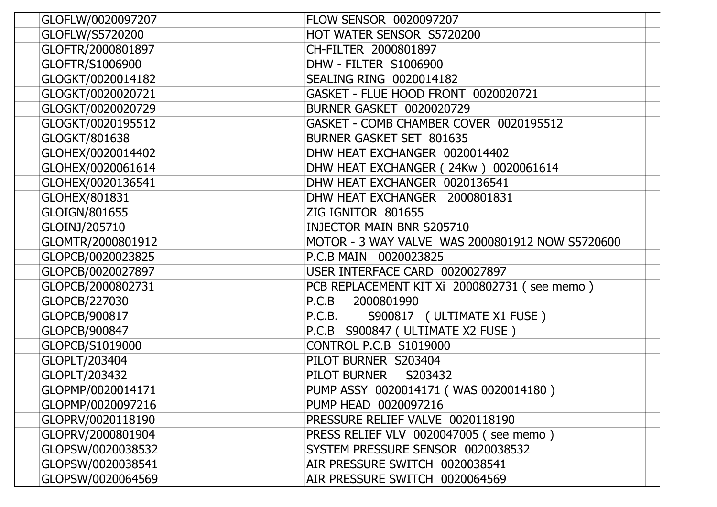| GLOFLW/0020097207 | <b>FLOW SENSOR 0020097207</b>                   |
|-------------------|-------------------------------------------------|
| GLOFLW/S5720200   | HOT WATER SENSOR S5720200                       |
| GLOFTR/2000801897 | CH-FILTER 2000801897                            |
| GLOFTR/S1006900   | DHW - FILTER S1006900                           |
| GLOGKT/0020014182 | <b>SEALING RING 0020014182</b>                  |
| GLOGKT/0020020721 | GASKET - FLUE HOOD FRONT 0020020721             |
| GLOGKT/0020020729 | <b>BURNER GASKET 0020020729</b>                 |
| GLOGKT/0020195512 | GASKET - COMB CHAMBER COVER 0020195512          |
| GLOGKT/801638     | BURNER GASKET SET 801635                        |
| GLOHEX/0020014402 | DHW HEAT EXCHANGER 0020014402                   |
| GLOHEX/0020061614 | DHW HEAT EXCHANGER (24Kw) 0020061614            |
| GLOHEX/0020136541 | DHW HEAT EXCHANGER 0020136541                   |
| GLOHEX/801831     | DHW HEAT EXCHANGER 2000801831                   |
| GLOIGN/801655     | ZIG IGNITOR 801655                              |
| GLOINJ/205710     | <b>INJECTOR MAIN BNR S205710</b>                |
| GLOMTR/2000801912 | MOTOR - 3 WAY VALVE WAS 2000801912 NOW S5720600 |
| GLOPCB/0020023825 | P.C.B MAIN 0020023825                           |
| GLOPCB/0020027897 | USER INTERFACE CARD 0020027897                  |
| GLOPCB/2000802731 | PCB REPLACEMENT KIT Xi 2000802731 (see memo)    |
| GLOPCB/227030     | P.C.B 2000801990                                |
| GLOPCB/900817     | S900817 (ULTIMATE X1 FUSE)<br>P.C.B.            |
| GLOPCB/900847     | P.C.B S900847 (ULTIMATE X2 FUSE)                |
| GLOPCB/S1019000   | <b>CONTROL P.C.B S1019000</b>                   |
| GLOPLT/203404     | PILOT BURNER S203404                            |
| GLOPLT/203432     | PILOT BURNER<br>S203432                         |
| GLOPMP/0020014171 | PUMP ASSY 0020014171 (WAS 0020014180)           |
| GLOPMP/0020097216 | PUMP HEAD 0020097216                            |
| GLOPRV/0020118190 | PRESSURE RELIEF VALVE 0020118190                |
| GLOPRV/2000801904 | PRESS RELIEF VLV 0020047005 (see memo)          |
| GLOPSW/0020038532 | SYSTEM PRESSURE SENSOR 0020038532               |
| GLOPSW/0020038541 | AIR PRESSURE SWITCH 0020038541                  |
| GLOPSW/0020064569 | AIR PRESSURE SWITCH 0020064569                  |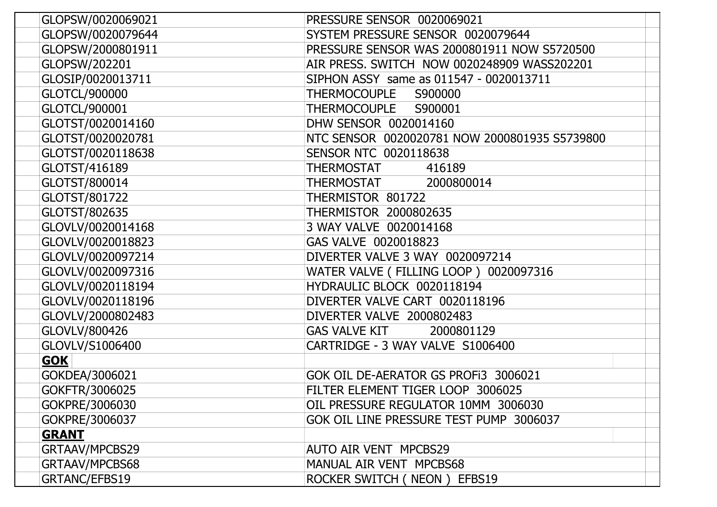| GLOPSW/0020069021    | PRESSURE SENSOR 0020069021                    |
|----------------------|-----------------------------------------------|
| GLOPSW/0020079644    | SYSTEM PRESSURE SENSOR 0020079644             |
| GLOPSW/2000801911    | PRESSURE SENSOR WAS 2000801911 NOW S5720500   |
| GLOPSW/202201        | AIR PRESS. SWITCH NOW 0020248909 WASS202201   |
| GLOSIP/0020013711    | SIPHON ASSY same as 011547 - 0020013711       |
| <b>GLOTCL/900000</b> | THERMOCOUPLE S900000                          |
| GLOTCL/900001        | THERMOCOUPLE S900001                          |
| GLOTST/0020014160    | DHW SENSOR 0020014160                         |
| GLOTST/0020020781    | NTC SENSOR 0020020781 NOW 2000801935 S5739800 |
| GLOTST/0020118638    | <b>SENSOR NTC 0020118638</b>                  |
| GLOTST/416189        | THERMOSTAT<br>416189                          |
| GLOTST/800014        | 2000800014<br>THERMOSTAT                      |
| GLOTST/801722        | THERMISTOR 801722                             |
| GLOTST/802635        | THERMISTOR 2000802635                         |
| GLOVLV/0020014168    | 3 WAY VALVE 0020014168                        |
| GLOVLV/0020018823    | GAS VALVE 0020018823                          |
| GLOVLV/0020097214    | DIVERTER VALVE 3 WAY 0020097214               |
| GLOVLV/0020097316    | WATER VALVE (FILLING LOOP) 0020097316         |
| GLOVLV/0020118194    | HYDRAULIC BLOCK 0020118194                    |
| GLOVLV/0020118196    | DIVERTER VALVE CART 0020118196                |
| GLOVLV/2000802483    | DIVERTER VALVE 2000802483                     |
| GLOVLV/800426        | <b>GAS VALVE KIT</b><br>2000801129            |
| GLOVLV/S1006400      | CARTRIDGE - 3 WAY VALVE S1006400              |
| <b>GOK</b>           |                                               |
| GOKDEA/3006021       | GOK OIL DE-AERATOR GS PROFI3 3006021          |
| GOKFTR/3006025       | FILTER ELEMENT TIGER LOOP 3006025             |
| GOKPRE/3006030       | OIL PRESSURE REGULATOR 10MM 3006030           |
| GOKPRE/3006037       | GOK OIL LINE PRESSURE TEST PUMP 3006037       |
| <b>GRANT</b>         |                                               |
| GRTAAV/MPCBS29       | AUTO AIR VENT MPCBS29                         |
| GRTAAV/MPCBS68       | MANUAL AIR VENT MPCBS68                       |
| GRTANC/EFBS19        | ROCKER SWITCH (NEON) EFBS19                   |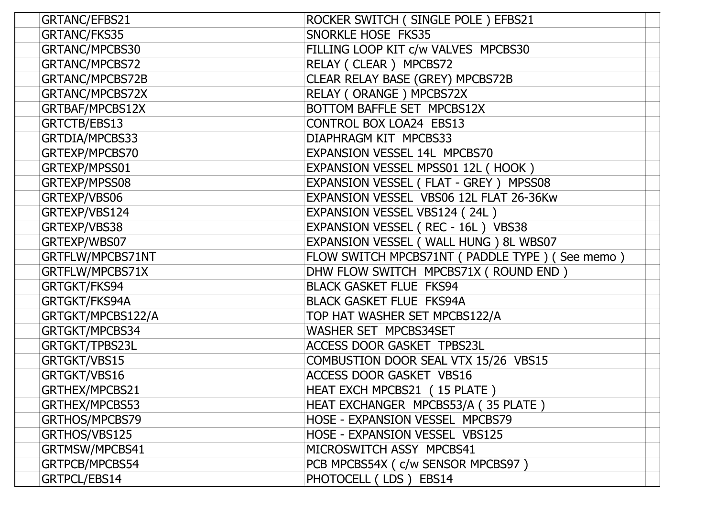| GRTANC/EFBS21     | ROCKER SWITCH (SINGLE POLE) EFBS21             |
|-------------------|------------------------------------------------|
| GRTANC/FKS35      | SNORKLE HOSE FKS35                             |
| GRTANC/MPCBS30    | FILLING LOOP KIT c/w VALVES MPCBS30            |
| GRTANC/MPCBS72    | RELAY (CLEAR) MPCBS72                          |
| GRTANC/MPCBS72B   | CLEAR RELAY BASE (GREY) MPCBS72B               |
| GRTANC/MPCBS72X   | RELAY (ORANGE) MPCBS72X                        |
| GRTBAF/MPCBS12X   | BOTTOM BAFFLE SET MPCBS12X                     |
| GRTCTB/EBS13      | <b>CONTROL BOX LOA24 EBS13</b>                 |
| GRTDIA/MPCBS33    | DIAPHRAGM KIT MPCBS33                          |
| GRTEXP/MPCBS70    | EXPANSION VESSEL 14L MPCBS70                   |
| GRTEXP/MPSS01     | EXPANSION VESSEL MPSS01 12L (HOOK)             |
| GRTEXP/MPSS08     | EXPANSION VESSEL (FLAT - GREY) MPSS08          |
| GRTEXP/VBS06      | EXPANSION VESSEL VBS06 12L FLAT 26-36Kw        |
| GRTEXP/VBS124     | EXPANSION VESSEL VBS124 (24L)                  |
| GRTEXP/VBS38      | EXPANSION VESSEL (REC - 16L) VBS38             |
| GRTEXP/WBS07      | EXPANSION VESSEL (WALL HUNG) 8L WBS07          |
| GRTFLW/MPCBS71NT  | FLOW SWITCH MPCBS71NT (PADDLE TYPE) (See memo) |
| GRTFLW/MPCBS71X   | DHW FLOW SWITCH MPCBS71X (ROUND END)           |
| GRTGKT/FKS94      | <b>BLACK GASKET FLUE FKS94</b>                 |
| GRTGKT/FKS94A     | <b>BLACK GASKET FLUE FKS94A</b>                |
| GRTGKT/MPCBS122/A | TOP HAT WASHER SET MPCBS122/A                  |
| GRTGKT/MPCBS34    | WASHER SET MPCBS34SET                          |
| GRTGKT/TPBS23L    | ACCESS DOOR GASKET TPBS23L                     |
| GRTGKT/VBS15      | COMBUSTION DOOR SEAL VTX 15/26 VBS15           |
| GRTGKT/VBS16      | <b>ACCESS DOOR GASKET VBS16</b>                |
| GRTHEX/MPCBS21    | HEAT EXCH MPCBS21 (15 PLATE)                   |
| GRTHEX/MPCBS53    | HEAT EXCHANGER MPCBS53/A (35 PLATE)            |
| GRTHOS/MPCBS79    | HOSE - EXPANSION VESSEL MPCBS79                |
| GRTHOS/VBS125     | HOSE - EXPANSION VESSEL VBS125                 |
| GRTMSW/MPCBS41    | MICROSWITCH ASSY MPCBS41                       |
| GRTPCB/MPCBS54    | PCB MPCBS54X ( c/w SENSOR MPCBS97 )            |
| GRTPCL/EBS14      | PHOTOCELL (LDS) EBS14                          |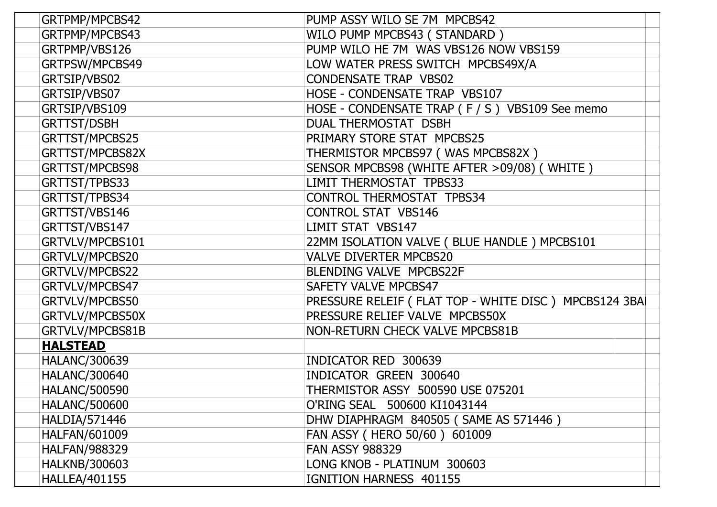| GRTPMP/MPCBS42       | PUMP ASSY WILO SE 7M MPCBS42                         |
|----------------------|------------------------------------------------------|
| GRTPMP/MPCBS43       | WILO PUMP MPCBS43 (STANDARD)                         |
| GRTPMP/VBS126        | PUMP WILO HE 7M WAS VBS126 NOW VBS159                |
| GRTPSW/MPCBS49       | LOW WATER PRESS SWITCH MPCBS49X/A                    |
| GRTSIP/VBS02         | <b>CONDENSATE TRAP VBS02</b>                         |
| GRTSIP/VBS07         | HOSE - CONDENSATE TRAP VBS107                        |
| GRTSIP/VBS109        | HOSE - CONDENSATE TRAP (F / S) VBS109 See memo       |
| <b>GRTTST/DSBH</b>   | <b>DUAL THERMOSTAT DSBH</b>                          |
| GRTTST/MPCBS25       | PRIMARY STORE STAT MPCBS25                           |
| GRTTST/MPCBS82X      | THERMISTOR MPCBS97 (WAS MPCBS82X)                    |
| GRTTST/MPCBS98       | SENSOR MPCBS98 (WHITE AFTER >09/08) (WHITE)          |
| GRTTST/TPBS33        | LIMIT THERMOSTAT TPBS33                              |
| GRTTST/TPBS34        | <b>CONTROL THERMOSTAT TPBS34</b>                     |
| GRTTST/VBS146        | <b>CONTROL STAT VBS146</b>                           |
| GRTTST/VBS147        | LIMIT STAT VBS147                                    |
| GRTVLV/MPCBS101      | 22MM ISOLATION VALVE ( BLUE HANDLE ) MPCBS101        |
| GRTVLV/MPCBS20       | <b>VALVE DIVERTER MPCBS20</b>                        |
| GRTVLV/MPCBS22       | BLENDING VALVE MPCBS22F                              |
| GRTVLV/MPCBS47       | SAFETY VALVE MPCBS47                                 |
| GRTVLV/MPCBS50       | PRESSURE RELEIF (FLAT TOP - WHITE DISC) MPCBS124 3BA |
| GRTVLV/MPCBS50X      | PRESSURE RELIEF VALVE MPCBS50X                       |
| GRTVLV/MPCBS81B      | NON-RETURN CHECK VALVE MPCBS81B                      |
| <b>HALSTEAD</b>      |                                                      |
| <b>HALANC/300639</b> | INDICATOR RED 300639                                 |
| <b>HALANC/300640</b> | INDICATOR GREEN 300640                               |
| <b>HALANC/500590</b> | THERMISTOR ASSY 500590 USE 075201                    |
| <b>HALANC/500600</b> | O'RING SEAL 500600 KI1043144                         |
| HALDIA/571446        | DHW DIAPHRAGM 840505 (SAME AS 571446)                |
| <b>HALFAN/601009</b> | FAN ASSY ( HERO 50/60 ) 601009                       |
| <b>HALFAN/988329</b> | <b>FAN ASSY 988329</b>                               |
| <b>HALKNB/300603</b> | LONG KNOB - PLATINUM 300603                          |
| <b>HALLEA/401155</b> | IGNITION HARNESS 401155                              |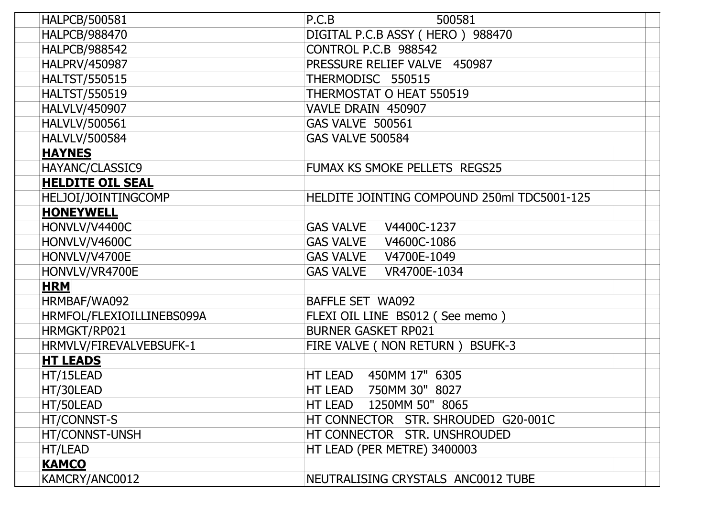| <b>HALPCB/500581</b>      | 500581<br>P.C.B                             |
|---------------------------|---------------------------------------------|
| <b>HALPCB/988470</b>      | DIGITAL P.C.B ASSY (HERO) 988470            |
| <b>HALPCB/988542</b>      | CONTROL P.C.B 988542                        |
| HALPRV/450987             | PRESSURE RELIEF VALVE 450987                |
| <b>HALTST/550515</b>      | THERMODISC 550515                           |
| <b>HALTST/550519</b>      | THERMOSTAT O HEAT 550519                    |
| HALVLV/450907             | VAVLE DRAIN 450907                          |
| <b>HALVLV/500561</b>      | <b>GAS VALVE 500561</b>                     |
| <b>HALVLV/500584</b>      | <b>GAS VALVE 500584</b>                     |
| <b>HAYNES</b>             |                                             |
| HAYANC/CLASSIC9           | FUMAX KS SMOKE PELLETS REGS25               |
| <b>HELDITE OIL SEAL</b>   |                                             |
| HELJOI/JOINTINGCOMP       | HELDITE JOINTING COMPOUND 250ml TDC5001-125 |
| <b>HONEYWELL</b>          |                                             |
| HONVLV/V4400C             |                                             |
| HONVLV/V4600C             |                                             |
| HONVLV/V4700E             |                                             |
| HONVLV/VR4700E            |                                             |
| <b>HRM</b>                |                                             |
| HRMBAF/WA092              | BAFFLE SET WA092                            |
| HRMFOL/FLEXIOILLINEBS099A | FLEXI OIL LINE BS012 (See memo)             |
| HRMGKT/RP021              | <b>BURNER GASKET RP021</b>                  |
| HRMVLV/FIREVALVEBSUFK-1   | FIRE VALVE ( NON RETURN ) BSUFK-3           |
| <b>HT LEADS</b>           |                                             |
| HT/15LEAD                 | HT LEAD<br>450MM 17" 6305                   |
| HT/30LEAD                 | HT LEAD 750MM 30" 8027                      |
| HT/50LEAD                 | HT LEAD 1250MM 50" 8065                     |
| HT/CONNST-S               | HT CONNECTOR STR. SHROUDED G20-001C         |
| HT/CONNST-UNSH            | HT CONNECTOR STR. UNSHROUDED                |
| HT/LEAD                   | HT LEAD (PER METRE) 3400003                 |
| <b>KAMCO</b>              |                                             |
| KAMCRY/ANC0012            | NEUTRALISING CRYSTALS ANC0012 TUBE          |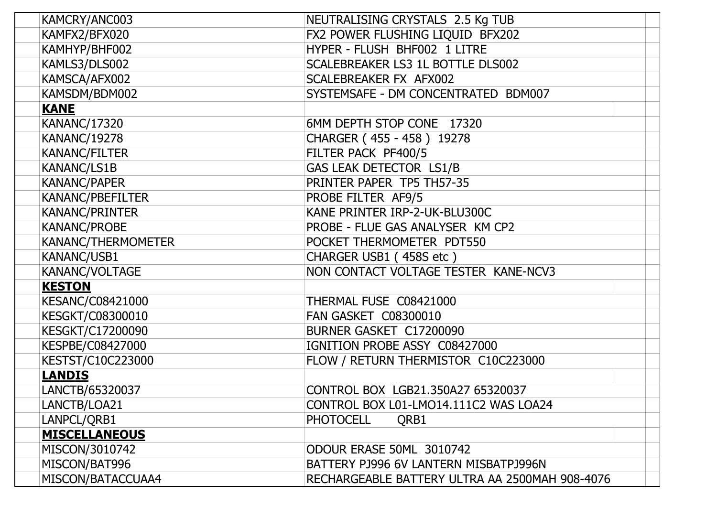| KAMCRY/ANC003        | NEUTRALISING CRYSTALS 2.5 Kg TUB               |
|----------------------|------------------------------------------------|
| KAMFX2/BFX020        | FX2 POWER FLUSHING LIQUID BFX202               |
| KAMHYP/BHF002        | HYPER - FLUSH BHF002 1 LITRE                   |
| KAMLS3/DLS002        | SCALEBREAKER LS3 1L BOTTLE DLS002              |
| KAMSCA/AFX002        | SCALEBREAKER FX AFX002                         |
| KAMSDM/BDM002        | SYSTEMSAFE - DM CONCENTRATED BDM007            |
| <b>KANE</b>          |                                                |
| <b>KANANC/17320</b>  | 6MM DEPTH STOP CONE 17320                      |
| <b>KANANC/19278</b>  | CHARGER (455 - 458) 19278                      |
| <b>KANANC/FILTER</b> | FILTER PACK PF400/5                            |
| <b>KANANC/LS1B</b>   | <b>GAS LEAK DETECTOR LS1/B</b>                 |
| <b>KANANC/PAPER</b>  | PRINTER PAPER TP5 TH57-35                      |
| KANANC/PBEFILTER     | PROBE FILTER AF9/5                             |
| KANANC/PRINTER       | KANE PRINTER IRP-2-UK-BLU300C                  |
| KANANC/PROBE         | PROBE - FLUE GAS ANALYSER KM CP2               |
| KANANC/THERMOMETER   | POCKET THERMOMETER PDT550                      |
| KANANC/USB1          | CHARGER USB1 (458S etc)                        |
| KANANC/VOLTAGE       | NON CONTACT VOLTAGE TESTER KANE-NCV3           |
| <b>KESTON</b>        |                                                |
| KESANC/C08421000     | THERMAL FUSE C08421000                         |
| KESGKT/C08300010     | <b>FAN GASKET C08300010</b>                    |
| KESGKT/C17200090     | BURNER GASKET C17200090                        |
| KESPBE/C08427000     | IGNITION PROBE ASSY C08427000                  |
| KESTST/C10C223000    | FLOW / RETURN THERMISTOR C10C223000            |
| <b>LANDIS</b>        |                                                |
| LANCTB/65320037      | CONTROL BOX LGB21.350A27 65320037              |
| LANCTB/LOA21         | CONTROL BOX L01-LMO14.111C2 WAS LOA24          |
| LANPCL/QRB1          | <b>PHOTOCELL</b><br>QRB1                       |
| <b>MISCELLANEOUS</b> |                                                |
| MISCON/3010742       | ODOUR ERASE 50ML 3010742                       |
| MISCON/BAT996        | BATTERY PJ996 6V LANTERN MISBATPJ996N          |
| MISCON/BATACCUAA4    | RECHARGEABLE BATTERY ULTRA AA 2500MAH 908-4076 |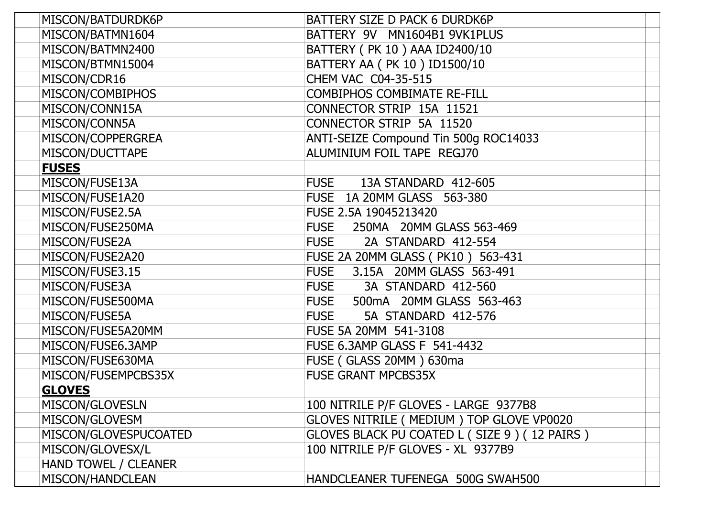| MISCON/BATDURDK6P     | BATTERY SIZE D PACK 6 DURDK6P                |
|-----------------------|----------------------------------------------|
| MISCON/BATMN1604      | BATTERY 9V MN1604B1 9VK1PLUS                 |
| MISCON/BATMN2400      | BATTERY ( PK 10 ) AAA ID2400/10              |
| MISCON/BTMN15004      | BATTERY AA ( PK 10 ) ID1500/10               |
| MISCON/CDR16          | CHEM VAC C04-35-515                          |
| MISCON/COMBIPHOS      | <b>COMBIPHOS COMBIMATE RE-FILL</b>           |
| MISCON/CONN15A        | CONNECTOR STRIP 15A 11521                    |
| MISCON/CONN5A         | <b>CONNECTOR STRIP 5A 11520</b>              |
| MISCON/COPPERGREA     | ANTI-SEIZE Compound Tin 500g ROC14033        |
| MISCON/DUCTTAPE       | ALUMINIUM FOIL TAPE REGJ70                   |
| <b>FUSES</b>          |                                              |
| MISCON/FUSE13A        | <b>FUSE</b><br>13A STANDARD 412-605          |
| MISCON/FUSE1A20       | FUSE 1A 20MM GLASS 563-380                   |
| MISCON/FUSE2.5A       | FUSE 2.5A 19045213420                        |
| MISCON/FUSE250MA      | FUSE 250MA 20MM GLASS 563-469                |
| MISCON/FUSE2A         | 2A STANDARD 412-554<br><b>FUSE</b>           |
| MISCON/FUSE2A20       | FUSE 2A 20MM GLASS ( PK10 ) 563-431          |
| MISCON/FUSE3.15       | FUSE 3.15A 20MM GLASS 563-491                |
| MISCON/FUSE3A         | <b>FUSE</b><br>3A STANDARD 412-560           |
| MISCON/FUSE500MA      | FUSE 500mA 20MM GLASS 563-463                |
| MISCON/FUSE5A         | <b>FUSE</b><br>5A STANDARD 412-576           |
| MISCON/FUSE5A20MM     | FUSE 5A 20MM 541-3108                        |
| MISCON/FUSE6.3AMP     | <b>FUSE 6.3AMP GLASS F 541-4432</b>          |
| MISCON/FUSE630MA      | FUSE (GLASS 20MM) 630ma                      |
| MISCON/FUSEMPCBS35X   | <b>FUSE GRANT MPCBS35X</b>                   |
| <b>GLOVES</b>         |                                              |
| MISCON/GLOVESLN       | 100 NITRILE P/F GLOVES - LARGE 9377B8        |
| MISCON/GLOVESM        | GLOVES NITRILE ( MEDIUM ) TOP GLOVE VP0020   |
| MISCON/GLOVESPUCOATED | GLOVES BLACK PU COATED L (SIZE 9) (12 PAIRS) |
| MISCON/GLOVESX/L      | 100 NITRILE P/F GLOVES - XL 9377B9           |
| HAND TOWEL / CLEANER  |                                              |
| MISCON/HANDCLEAN      | HANDCLEANER TUFENEGA 500G SWAH500            |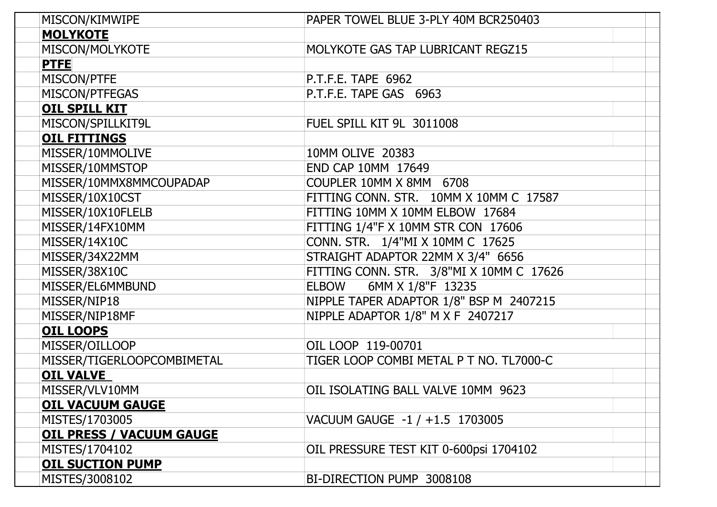| MISCON/KIMWIPE                  | PAPER TOWEL BLUE 3-PLY 40M BCR250403     |
|---------------------------------|------------------------------------------|
| <b>MOLYKOTE</b>                 |                                          |
| MISCON/MOLYKOTE                 | MOLYKOTE GAS TAP LUBRICANT REGZ15        |
| <b>PTFE</b>                     |                                          |
| MISCON/PTFE                     | P.T.F.E. TAPE 6962                       |
| MISCON/PTFEGAS                  | P.T.F.E. TAPE GAS 6963                   |
| <b>OIL SPILL KIT</b>            |                                          |
| MISCON/SPILLKIT9L               | FUEL SPILL KIT 9L 3011008                |
| <b>OIL FITTINGS</b>             |                                          |
| MISSER/10MMOLIVE                | 10MM OLIVE 20383                         |
| MISSER/10MMSTOP                 | END CAP 10MM 17649                       |
| MISSER/10MMX8MMCOUPADAP         | COUPLER 10MM X 8MM 6708                  |
| MISSER/10X10CST                 | FITTING CONN. STR. 10MM X 10MM C 17587   |
| MISSER/10X10FLELB               | FITTING 10MM X 10MM ELBOW 17684          |
| MISSER/14FX10MM                 | FITTING 1/4"F X 10MM STR CON 17606       |
| MISSER/14X10C                   | CONN. STR. 1/4"MI X 10MM C 17625         |
| MISSER/34X22MM                  | STRAIGHT ADAPTOR 22MM X 3/4" 6656        |
| MISSER/38X10C                   | FITTING CONN. STR. 3/8"MI X 10MM C 17626 |
| MISSER/EL6MMBUND                | 6MM X 1/8"F 13235<br>ELBOW               |
| MISSER/NIP18                    | NIPPLE TAPER ADAPTOR 1/8" BSP M 2407215  |
| MISSER/NIP18MF                  | NIPPLE ADAPTOR 1/8" M X F 2407217        |
| <b>OIL LOOPS</b>                |                                          |
| MISSER/OILLOOP                  | OIL LOOP 119-00701                       |
| MISSER/TIGERLOOPCOMBIMETAL      | TIGER LOOP COMBI METAL P T NO. TL7000-C  |
| <b>OIL VALVE</b>                |                                          |
| MISSER/VLV10MM                  | OIL ISOLATING BALL VALVE 10MM 9623       |
| <b>OIL VACUUM GAUGE</b>         |                                          |
| MISTES/1703005                  | VACUUM GAUGE -1 / +1.5 1703005           |
| <b>OIL PRESS / VACUUM GAUGE</b> |                                          |
| MISTES/1704102                  | OIL PRESSURE TEST KIT 0-600psi 1704102   |
| <b>OIL SUCTION PUMP</b>         |                                          |
| MISTES/3008102                  | BI-DIRECTION PUMP 3008108                |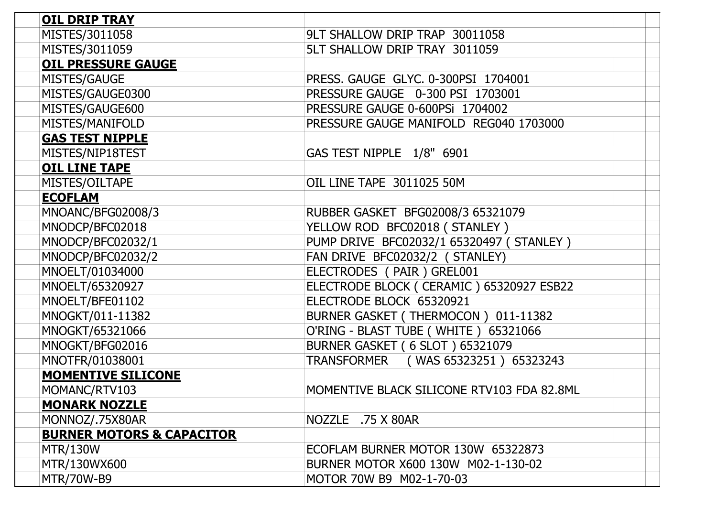| <b>OIL DRIP TRAY</b>                 |                                            |
|--------------------------------------|--------------------------------------------|
| MISTES/3011058                       | 9LT SHALLOW DRIP TRAP 30011058             |
| MISTES/3011059                       | 5LT SHALLOW DRIP TRAY 3011059              |
| <b>OIL PRESSURE GAUGE</b>            |                                            |
| MISTES/GAUGE                         | PRESS. GAUGE GLYC. 0-300PSI 1704001        |
| MISTES/GAUGE0300                     | PRESSURE GAUGE 0-300 PSI 1703001           |
| MISTES/GAUGE600                      | PRESSURE GAUGE 0-600PSi 1704002            |
| MISTES/MANIFOLD                      | PRESSURE GAUGE MANIFOLD REG040 1703000     |
| <b>GAS TEST NIPPLE</b>               |                                            |
| MISTES/NIP18TEST                     | GAS TEST NIPPLE 1/8" 6901                  |
| <b>OIL LINE TAPE</b>                 |                                            |
| MISTES/OILTAPE                       | OIL LINE TAPE 3011025 50M                  |
| <b>ECOFLAM</b>                       |                                            |
| MNOANC/BFG02008/3                    | RUBBER GASKET BFG02008/3 65321079          |
| MNODCP/BFC02018                      | YELLOW ROD BFC02018 (STANLEY)              |
| MNODCP/BFC02032/1                    | PUMP DRIVE BFC02032/1 65320497 (STANLEY)   |
| MNODCP/BFC02032/2                    | FAN DRIVE BFC02032/2 (STANLEY)             |
| MNOELT/01034000                      | ELECTRODES (PAIR) GREL001                  |
| MNOELT/65320927                      | ELECTRODE BLOCK (CERAMIC) 65320927 ESB22   |
| MNOELT/BFE01102                      | ELECTRODE BLOCK 65320921                   |
| MNOGKT/011-11382                     | BURNER GASKET (THERMOCON) 011-11382        |
| MNOGKT/65321066                      | O'RING - BLAST TUBE (WHITE) 65321066       |
| MNOGKT/BFG02016                      | <b>BURNER GASKET (6 SLOT) 65321079</b>     |
| MNOTFR/01038001                      | TRANSFORMER (WAS 65323251) 65323243        |
| <b>MOMENTIVE SILICONE</b>            |                                            |
| MOMANC/RTV103                        | MOMENTIVE BLACK SILICONE RTV103 FDA 82.8ML |
| <b>MONARK NOZZLE</b>                 |                                            |
| MONNOZ/.75X80AR                      | NOZZLE .75 X 80AR                          |
| <b>BURNER MOTORS &amp; CAPACITOR</b> |                                            |
| <b>MTR/130W</b>                      | ECOFLAM BURNER MOTOR 130W 65322873         |
| MTR/130WX600                         | BURNER MOTOR X600 130W M02-1-130-02        |
| <b>MTR/70W-B9</b>                    | MOTOR 70W B9 M02-1-70-03                   |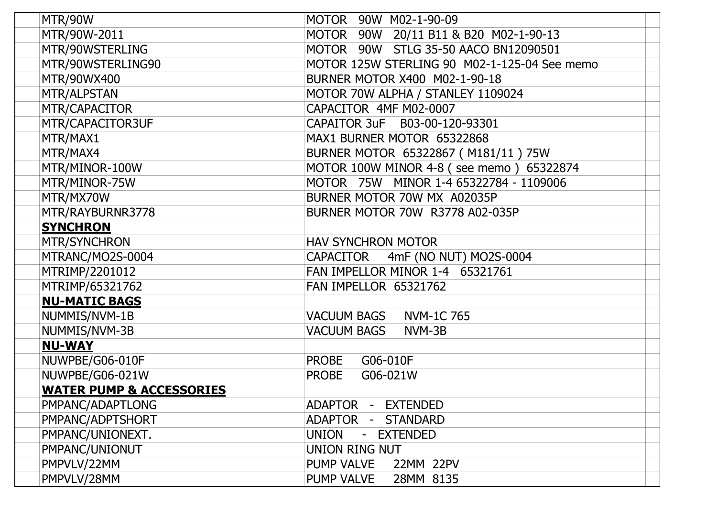| MTR/90W                             | <b>MOTOR</b><br>90W M02-1-90-09                     |
|-------------------------------------|-----------------------------------------------------|
| MTR/90W-2011                        | 90W 20/11 B11 & B20 M02-1-90-13<br><b>MOTOR</b>     |
| MTR/90WSTERLING                     | 90W STLG 35-50 AACO BN12090501<br><b>MOTOR</b>      |
| MTR/90WSTERLING90                   | MOTOR 125W STERLING 90 M02-1-125-04 See memo        |
| MTR/90WX400                         | BURNER MOTOR X400 M02-1-90-18                       |
| MTR/ALPSTAN                         | MOTOR 70W ALPHA / STANLEY 1109024                   |
| MTR/CAPACITOR                       | CAPACITOR 4MF M02-0007                              |
| MTR/CAPACITOR3UF                    | CAPAITOR 3uF B03-00-120-93301                       |
| MTR/MAX1                            | MAX1 BURNER MOTOR 65322868                          |
| MTR/MAX4                            | BURNER MOTOR 65322867 (M181/11) 75W                 |
| MTR/MINOR-100W                      | MOTOR 100W MINOR 4-8 (see memo) 65322874            |
| MTR/MINOR-75W                       | MOTOR 75W MINOR 1-4 65322784 - 1109006              |
| MTR/MX70W                           | BURNER MOTOR 70W MX A02035P                         |
| MTR/RAYBURNR3778                    | BURNER MOTOR 70W R3778 A02-035P                     |
| <b>SYNCHRON</b>                     |                                                     |
| MTR/SYNCHRON                        | <b>HAV SYNCHRON MOTOR</b>                           |
| MTRANC/MO2S-0004                    | CAPACITOR 4mF (NO NUT) MO2S-0004                    |
| MTRIMP/2201012                      | FAN IMPELLOR MINOR 1-4 65321761                     |
| MTRIMP/65321762                     | FAN IMPELLOR 65321762                               |
| <b>NU-MATIC BAGS</b>                |                                                     |
| NUMMIS/NVM-1B                       | <b>VACUUM BAGS</b><br><b>NVM-1C765</b>              |
| NUMMIS/NVM-3B                       | <b>VACUUM BAGS</b><br>NVM-3B                        |
| <b>NU-WAY</b>                       |                                                     |
| NUWPBE/G06-010F                     | <b>PROBE</b><br>G06-010F                            |
| NUWPBE/G06-021W                     | G06-021W<br><b>PROBE</b>                            |
| <b>WATER PUMP &amp; ACCESSORIES</b> |                                                     |
| PMPANC/ADAPTLONG                    | <b>ADAPTOR</b><br><b>EXTENDED</b><br>$\pm$          |
| PMPANC/ADPTSHORT                    | <b>ADAPTOR</b><br><b>STANDARD</b><br>$\blacksquare$ |
| PMPANC/UNIONEXT.                    | <b>UNION</b><br><b>EXTENDED</b><br>$\blacksquare$   |
| PMPANC/UNIONUT                      | UNION RING NUT                                      |
| PMPVLV/22MM                         | <b>PUMP VALVE</b><br>22MM 22PV                      |
| PMPVLV/28MM                         | <b>PUMP VALVE</b><br>28MM 8135                      |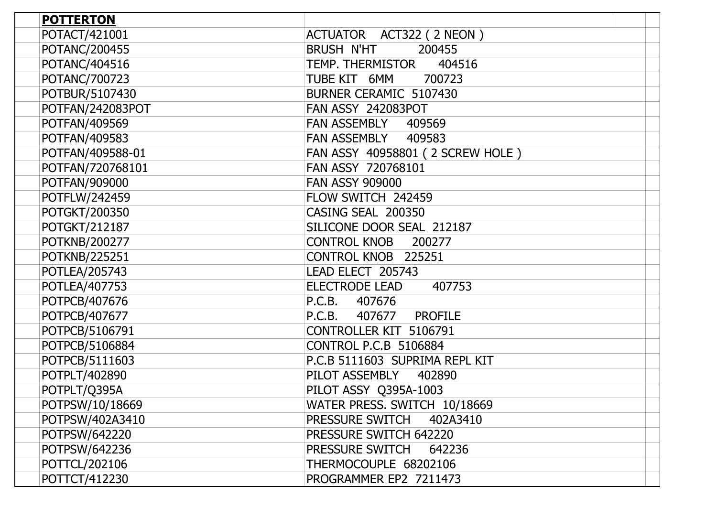| <b>POTTERTON</b>     |                                    |
|----------------------|------------------------------------|
| POTACT/421001        | ACTUATOR ACT322 (2 NEON)           |
| POTANC/200455        | <b>BRUSH N'HT</b><br>200455        |
| POTANC/404516        | TEMP. THERMISTOR<br>404516         |
| POTANC/700723        | TUBE KIT 6MM<br>700723             |
| POTBUR/5107430       | BURNER CERAMIC 5107430             |
| POTFAN/242083POT     | <b>FAN ASSY 242083POT</b>          |
| POTFAN/409569        | <b>FAN ASSEMBLY</b><br>409569      |
| POTFAN/409583        | <b>FAN ASSEMBLY</b><br>409583      |
| POTFAN/409588-01     | FAN ASSY 40958801 (2 SCREW HOLE)   |
| POTFAN/720768101     | FAN ASSY 720768101                 |
| POTFAN/909000        | <b>FAN ASSY 909000</b>             |
| POTFLW/242459        | FLOW SWITCH 242459                 |
| POTGKT/200350        | CASING SEAL 200350                 |
| POTGKT/212187        | SILICONE DOOR SEAL 212187          |
| POTKNB/200277        | <b>CONTROL KNOB</b><br>200277      |
| <b>POTKNB/225251</b> | CONTROL KNOB 225251                |
| POTLEA/205743        | LEAD ELECT 205743                  |
| POTLEA/407753        | <b>ELECTRODE LEAD</b><br>407753    |
| POTPCB/407676        | P.C.B.<br>407676                   |
| POTPCB/407677        | P.C.B.<br><b>PROFILE</b><br>407677 |
| POTPCB/5106791       | CONTROLLER KIT 5106791             |
| POTPCB/5106884       | <b>CONTROL P.C.B 5106884</b>       |
| POTPCB/5111603       | P.C.B 5111603 SUPRIMA REPL KIT     |
| POTPLT/402890        | PILOT ASSEMBLY<br>402890           |
| POTPLT/Q395A         | PILOT ASSY Q395A-1003              |
| POTPSW/10/18669      | WATER PRESS. SWITCH 10/18669       |
| POTPSW/402A3410      | PRESSURE SWITCH<br>402A3410        |
| POTPSW/642220        | PRESSURE SWITCH 642220             |
| POTPSW/642236        | PRESSURE SWITCH<br>642236          |
| POTTCL/202106        | THERMOCOUPLE 68202106              |
| POTTCT/412230        | PROGRAMMER EP2 7211473             |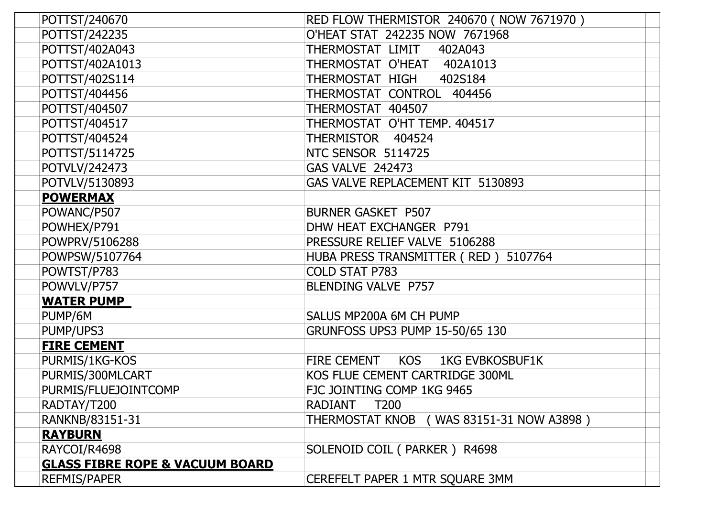| POTTST/240670                              | RED FLOW THERMISTOR 240670 (NOW 7671970)   |
|--------------------------------------------|--------------------------------------------|
| POTTST/242235                              | O'HEAT STAT 242235 NOW 7671968             |
| POTTST/402A043                             | THERMOSTAT LIMIT<br>402A043                |
| POTTST/402A1013                            | THERMOSTAT O'HEAT<br>402A1013              |
| POTTST/402S114                             | THERMOSTAT HIGH<br>402S184                 |
| POTTST/404456                              | THERMOSTAT CONTROL<br>404456               |
| POTTST/404507                              | THERMOSTAT 404507                          |
| POTTST/404517                              | THERMOSTAT O'HT TEMP. 404517               |
| POTTST/404524                              | THERMISTOR 404524                          |
| POTTST/5114725                             | NTC SENSOR 5114725                         |
| POTVLV/242473                              | <b>GAS VALVE 242473</b>                    |
| POTVLV/5130893                             | GAS VALVE REPLACEMENT KIT 5130893          |
| <b>POWERMAX</b>                            |                                            |
| POWANC/P507                                | <b>BURNER GASKET P507</b>                  |
| POWHEX/P791                                | DHW HEAT EXCHANGER P791                    |
| POWPRV/5106288                             | PRESSURE RELIEF VALVE 5106288              |
| POWPSW/5107764                             | HUBA PRESS TRANSMITTER (RED) 5107764       |
| POWTST/P783                                | <b>COLD STAT P783</b>                      |
| POWVLV/P757                                | BLENDING VALVE P757                        |
| <b>WATER PUMP</b>                          |                                            |
| PUMP/6M                                    | SALUS MP200A 6M CH PUMP                    |
| PUMP/UPS3                                  | GRUNFOSS UPS3 PUMP 15-50/65 130            |
| <b>FIRE CEMENT</b>                         |                                            |
| PURMIS/1KG-KOS                             | FIRE CEMENT KOS 1KG EVBKOSBUF1K            |
| PURMIS/300MLCART                           | KOS FLUE CEMENT CARTRIDGE 300ML            |
| PURMIS/FLUEJOINTCOMP                       | FJC JOINTING COMP 1KG 9465                 |
| RADTAY/T200                                | T200<br>RADIANT                            |
| RANKNB/83151-31                            | THERMOSTAT KNOB ( WAS 83151-31 NOW A3898 ) |
| <b>RAYBURN</b>                             |                                            |
| RAYCOI/R4698                               | SOLENOID COIL (PARKER) R4698               |
| <b>GLASS FIBRE ROPE &amp; VACUUM BOARD</b> |                                            |
| <b>REFMIS/PAPER</b>                        | CEREFELT PAPER 1 MTR SQUARE 3MM            |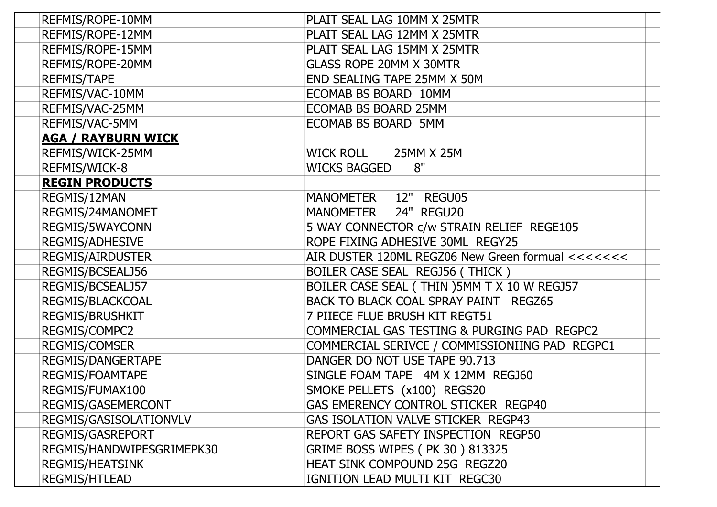| REFMIS/ROPE-10MM          | PLAIT SEAL LAG 10MM X 25MTR                       |
|---------------------------|---------------------------------------------------|
| REFMIS/ROPE-12MM          | PLAIT SEAL LAG 12MM X 25MTR                       |
| REFMIS/ROPE-15MM          | PLAIT SEAL LAG 15MM X 25MTR                       |
| REFMIS/ROPE-20MM          | <b>GLASS ROPE 20MM X 30MTR</b>                    |
| <b>REFMIS/TAPE</b>        | END SEALING TAPE 25MM X 50M                       |
| REFMIS/VAC-10MM           | ECOMAB BS BOARD 10MM                              |
| REFMIS/VAC-25MM           | ECOMAB BS BOARD 25MM                              |
| REFMIS/VAC-5MM            | ECOMAB BS BOARD 5MM                               |
| <b>AGA / RAYBURN WICK</b> |                                                   |
| REFMIS/WICK-25MM          | <b>WICK ROLL</b><br>25MM X 25M                    |
| REFMIS/WICK-8             | 8"<br><b>WICKS BAGGED</b>                         |
| <b>REGIN PRODUCTS</b>     |                                                   |
| REGMIS/12MAN              | MANOMETER 12" REGU05                              |
| REGMIS/24MANOMET          | 24" REGU20<br><b>MANOMETER</b>                    |
| REGMIS/5WAYCONN           | 5 WAY CONNECTOR c/w STRAIN RELIEF REGE105         |
| <b>REGMIS/ADHESIVE</b>    | ROPE FIXING ADHESIVE 30ML REGY25                  |
| <b>REGMIS/AIRDUSTER</b>   | AIR DUSTER 120ML REGZ06 New Green formual <<<<<<< |
| REGMIS/BCSEALJ56          | BOILER CASE SEAL REGJ56 (THICK)                   |
| REGMIS/BCSEALJ57          | BOILER CASE SEAL (THIN) 5MM T X 10 W REGJ57       |
| REGMIS/BLACKCOAL          | BACK TO BLACK COAL SPRAY PAINT REGZ65             |
| <b>REGMIS/BRUSHKIT</b>    | 7 PIIECE FLUE BRUSH KIT REGT51                    |
| REGMIS/COMPC2             | COMMERCIAL GAS TESTING & PURGING PAD REGPC2       |
| <b>REGMIS/COMSER</b>      | COMMERCIAL SERIVCE / COMMISSIONIING PAD REGPC1    |
| REGMIS/DANGERTAPE         | DANGER DO NOT USE TAPE 90.713                     |
| REGMIS/FOAMTAPE           | SINGLE FOAM TAPE 4M X 12MM REGJ60                 |
| REGMIS/FUMAX100           | SMOKE PELLETS (x100) REGS20                       |
| REGMIS/GASEMERCONT        | GAS EMERENCY CONTROL STICKER REGP40               |
| REGMIS/GASISOLATIONVLV    | GAS ISOLATION VALVE STICKER REGP43                |
| <b>REGMIS/GASREPORT</b>   | REPORT GAS SAFETY INSPECTION REGP50               |
| REGMIS/HANDWIPESGRIMEPK30 | <b>GRIME BOSS WIPES (PK 30) 813325</b>            |
| <b>REGMIS/HEATSINK</b>    | HEAT SINK COMPOUND 25G REGZ20                     |
| <b>REGMIS/HTLEAD</b>      | IGNITION LEAD MULTI KIT REGC30                    |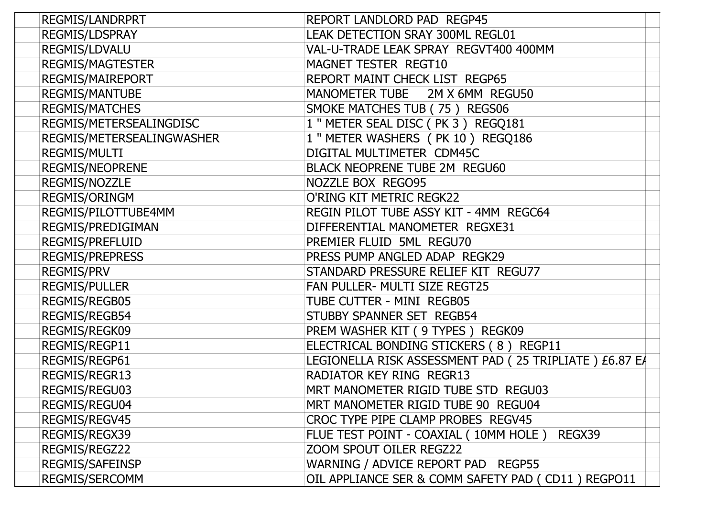| <b>REGMIS/LANDRPRT</b>    | REPORT LANDLORD PAD REGP45                             |
|---------------------------|--------------------------------------------------------|
| <b>REGMIS/LDSPRAY</b>     | LEAK DETECTION SRAY 300ML REGL01                       |
| REGMIS/LDVALU             | VAL-U-TRADE LEAK SPRAY REGVT400 400MM                  |
| <b>REGMIS/MAGTESTER</b>   | MAGNET TESTER REGT10                                   |
| <b>REGMIS/MAIREPORT</b>   | REPORT MAINT CHECK LIST REGP65                         |
| <b>REGMIS/MANTUBE</b>     | MANOMETER TUBE 2M X 6MM REGU50                         |
| <b>REGMIS/MATCHES</b>     | SMOKE MATCHES TUB (75) REGS06                          |
| REGMIS/METERSEALINGDISC   | 1 " METER SEAL DISC (PK 3) REGQ181                     |
| REGMIS/METERSEALINGWASHER | 1 " METER WASHERS (PK 10) REGQ186                      |
| <b>REGMIS/MULTI</b>       | DIGITAL MULTIMETER CDM45C                              |
| <b>REGMIS/NEOPRENE</b>    | BLACK NEOPRENE TUBE 2M REGU60                          |
| REGMIS/NOZZLE             | NOZZLE BOX REGO95                                      |
| <b>REGMIS/ORINGM</b>      | O'RING KIT METRIC REGK22                               |
| REGMIS/PILOTTUBE4MM       | REGIN PILOT TUBE ASSY KIT - 4MM REGC64                 |
| REGMIS/PREDIGIMAN         | DIFFERENTIAL MANOMETER REGXE31                         |
| <b>REGMIS/PREFLUID</b>    | PREMIER FLUID 5ML REGU70                               |
| <b>REGMIS/PREPRESS</b>    | PRESS PUMP ANGLED ADAP REGK29                          |
| <b>REGMIS/PRV</b>         | STANDARD PRESSURE RELIEF KIT REGU77                    |
| <b>REGMIS/PULLER</b>      | FAN PULLER- MULTI SIZE REGT25                          |
| REGMIS/REGB05             | TUBE CUTTER - MINI REGB05                              |
| REGMIS/REGB54             | STUBBY SPANNER SET REGB54                              |
| REGMIS/REGK09             | PREM WASHER KIT ( 9 TYPES ) REGK09                     |
| REGMIS/REGP11             | ELECTRICAL BONDING STICKERS (8) REGP11                 |
| REGMIS/REGP61             | LEGIONELLA RISK ASSESSMENT PAD (25 TRIPLIATE) £6.87 EA |
| REGMIS/REGR13             | RADIATOR KEY RING REGR13                               |
| REGMIS/REGU03             | MRT MANOMETER RIGID TUBE STD REGU03                    |
| REGMIS/REGU04             | MRT MANOMETER RIGID TUBE 90 REGU04                     |
| REGMIS/REGV45             | CROC TYPE PIPE CLAMP PROBES REGV45                     |
| REGMIS/REGX39             | FLUE TEST POINT - COAXIAL (10MM HOLE) REGX39           |
| REGMIS/REGZ22             | ZOOM SPOUT OILER REGZ22                                |
| REGMIS/SAFEINSP           | WARNING / ADVICE REPORT PAD REGP55                     |
| <b>REGMIS/SERCOMM</b>     | OIL APPLIANCE SER & COMM SAFETY PAD (CD11) REGPO11     |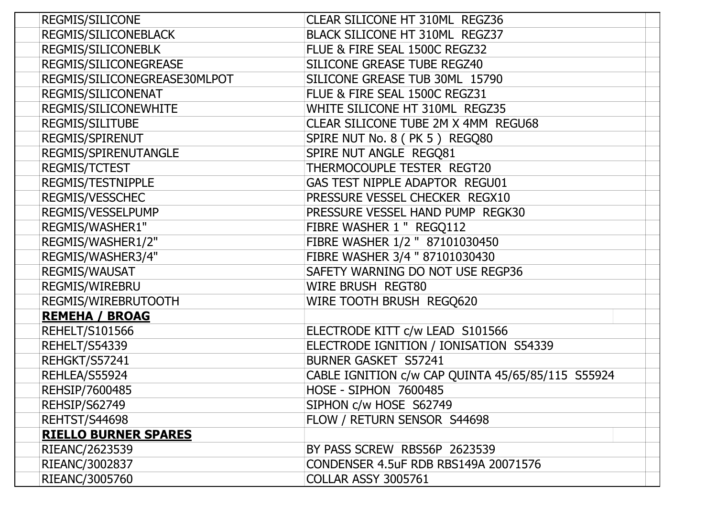| <b>REGMIS/SILICONE</b>       | CLEAR SILICONE HT 310ML REGZ36                    |
|------------------------------|---------------------------------------------------|
| REGMIS/SILICONEBLACK         | BLACK SILICONE HT 310ML REGZ37                    |
| <b>REGMIS/SILICONEBLK</b>    | FLUE & FIRE SEAL 1500C REGZ32                     |
| REGMIS/SILICONEGREASE        | SILICONE GREASE TUBE REGZ40                       |
| REGMIS/SILICONEGREASE30MLPOT | SILICONE GREASE TUB 30ML 15790                    |
| REGMIS/SILICONENAT           | FLUE & FIRE SEAL 1500C REGZ31                     |
| REGMIS/SILICONEWHITE         | WHITE SILICONE HT 310ML REGZ35                    |
| <b>REGMIS/SILITUBE</b>       | CLEAR SILICONE TUBE 2M X 4MM REGU68               |
| REGMIS/SPIRENUT              | SPIRE NUT No. 8 (PK 5) REGQ80                     |
| REGMIS/SPIRENUTANGLE         | SPIRE NUT ANGLE REGQ81                            |
| <b>REGMIS/TCTEST</b>         | THERMOCOUPLE TESTER REGT20                        |
| REGMIS/TESTNIPPLE            | GAS TEST NIPPLE ADAPTOR REGU01                    |
| REGMIS/VESSCHEC              | PRESSURE VESSEL CHECKER REGX10                    |
| REGMIS/VESSELPUMP            | PRESSURE VESSEL HAND PUMP REGK30                  |
| REGMIS/WASHER1"              | FIBRE WASHER 1 " REGQ112                          |
| REGMIS/WASHER1/2"            | FIBRE WASHER 1/2 " 87101030450                    |
| REGMIS/WASHER3/4"            | FIBRE WASHER 3/4 " 87101030430                    |
| REGMIS/WAUSAT                | SAFETY WARNING DO NOT USE REGP36                  |
| REGMIS/WIREBRU               | WIRE BRUSH REGT80                                 |
| REGMIS/WIREBRUTOOTH          | WIRE TOOTH BRUSH REGQ620                          |
| <b>REMEHA / BROAG</b>        |                                                   |
| <b>REHELT/S101566</b>        | ELECTRODE KITT c/w LEAD S101566                   |
| REHELT/S54339                | ELECTRODE IGNITION / IONISATION S54339            |
| REHGKT/S57241                | <b>BURNER GASKET S57241</b>                       |
| REHLEA/S55924                | CABLE IGNITION c/w CAP QUINTA 45/65/85/115 S55924 |
| REHSIP/7600485               | <b>HOSE - SIPHON 7600485</b>                      |
| REHSIP/S62749                | SIPHON c/w HOSE S62749                            |
| REHTST/S44698                | FLOW / RETURN SENSOR S44698                       |
| <b>RIELLO BURNER SPARES</b>  |                                                   |
| RIEANC/2623539               | BY PASS SCREW RBS56P 2623539                      |
| RIEANC/3002837               | CONDENSER 4.5uF RDB RBS149A 20071576              |
| RIEANC/3005760               | <b>COLLAR ASSY 3005761</b>                        |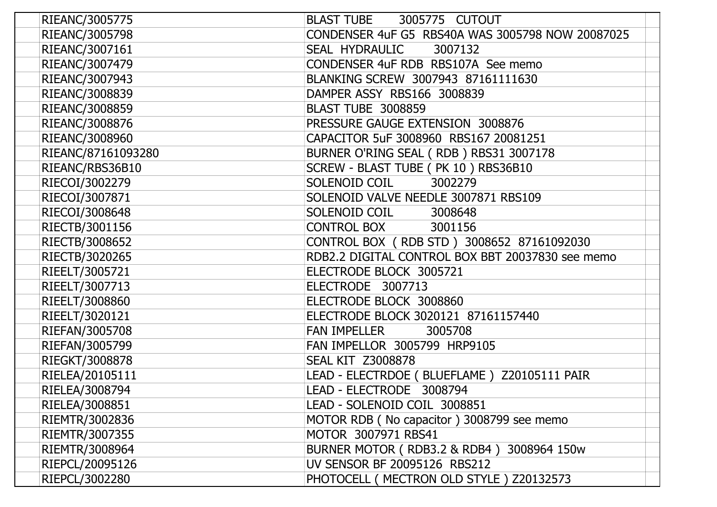| RIEANC/3005775     | <b>BLAST TUBE</b><br>3005775 CUTOUT              |
|--------------------|--------------------------------------------------|
| RIEANC/3005798     | CONDENSER 4uF G5 RBS40A WAS 3005798 NOW 20087025 |
| RIEANC/3007161     | SEAL HYDRAULIC<br>3007132                        |
| RIEANC/3007479     | CONDENSER 4uF RDB RBS107A See memo               |
| RIEANC/3007943     | BLANKING SCREW 3007943 87161111630               |
| RIEANC/3008839     | DAMPER ASSY RBS166 3008839                       |
| RIEANC/3008859     | <b>BLAST TUBE 3008859</b>                        |
| RIEANC/3008876     | PRESSURE GAUGE EXTENSION 3008876                 |
| RIEANC/3008960     | CAPACITOR 5uF 3008960 RBS167 20081251            |
| RIEANC/87161093280 | BURNER O'RING SEAL (RDB) RBS31 3007178           |
| RIEANC/RBS36B10    | SCREW - BLAST TUBE (PK 10) RBS36B10              |
| RIECOI/3002279     | SOLENOID COIL<br>3002279                         |
| RIECOI/3007871     | SOLENOID VALVE NEEDLE 3007871 RBS109             |
| RIECOI/3008648     | SOLENOID COIL<br>3008648                         |
| RIECTB/3001156     | <b>CONTROL BOX</b><br>3001156                    |
| RIECTB/3008652     | CONTROL BOX (RDB STD) 3008652 87161092030        |
| RIECTB/3020265     | RDB2.2 DIGITAL CONTROL BOX BBT 20037830 see memo |
| RIEELT/3005721     | ELECTRODE BLOCK 3005721                          |
| RIEELT/3007713     | ELECTRODE 3007713                                |
| RIEELT/3008860     | ELECTRODE BLOCK 3008860                          |
| RIEELT/3020121     | ELECTRODE BLOCK 3020121 87161157440              |
| RIEFAN/3005708     | <b>FAN IMPELLER</b><br>3005708                   |
| RIEFAN/3005799     | FAN IMPELLOR 3005799 HRP9105                     |
| RIEGKT/3008878     | <b>SEAL KIT Z3008878</b>                         |
| RIELEA/20105111    | LEAD - ELECTRDOE (BLUEFLAME) Z20105111 PAIR      |
| RIELEA/3008794     | LEAD - ELECTRODE 3008794                         |
| RIELEA/3008851     | LEAD - SOLENOID COIL 3008851                     |
| RIEMTR/3002836     | MOTOR RDB (No capacitor) 3008799 see memo        |
| RIEMTR/3007355     | MOTOR 3007971 RBS41                              |
| RIEMTR/3008964     | BURNER MOTOR (RDB3.2 & RDB4) 3008964 150w        |
| RIEPCL/20095126    | UV SENSOR BF 20095126 RBS212                     |
| RIEPCL/3002280     | PHOTOCELL ( MECTRON OLD STYLE ) Z20132573        |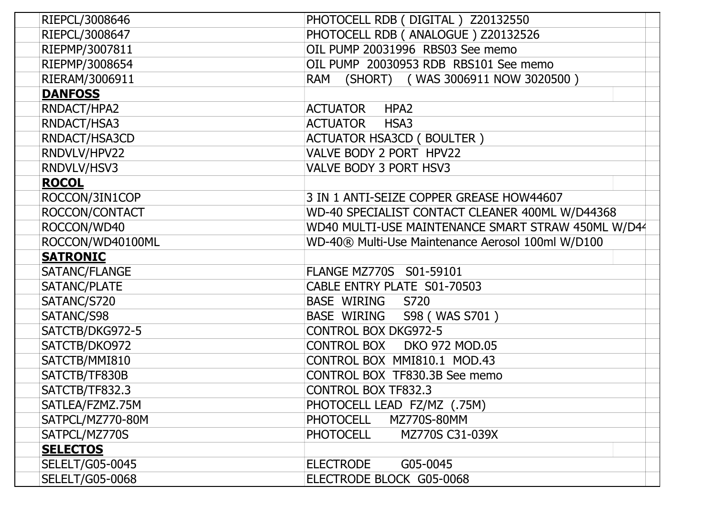| RIEPCL/3008646         | PHOTOCELL RDB (DIGITAL) Z20132550                  |
|------------------------|----------------------------------------------------|
| RIEPCL/3008647         | PHOTOCELL RDB ( ANALOGUE ) Z20132526               |
| RIEPMP/3007811         | OIL PUMP 20031996 RBS03 See memo                   |
| RIEPMP/3008654         | OIL PUMP 20030953 RDB RBS101 See memo              |
| RIERAM/3006911         | (SHORT) (WAS 3006911 NOW 3020500)<br>RAM           |
| <b>DANFOSS</b>         |                                                    |
| RNDACT/HPA2            | <b>ACTUATOR</b><br>HPA <sub>2</sub>                |
| RNDACT/HSA3            | <b>ACTUATOR</b><br>HSA3                            |
| RNDACT/HSA3CD          | <b>ACTUATOR HSA3CD (BOULTER)</b>                   |
| RNDVLV/HPV22           | VALVE BODY 2 PORT HPV22                            |
| RNDVLV/HSV3            | VALVE BODY 3 PORT HSV3                             |
| <b>ROCOL</b>           |                                                    |
| ROCCON/3IN1COP         | 3 IN 1 ANTI-SEIZE COPPER GREASE HOW44607           |
| ROCCON/CONTACT         | WD-40 SPECIALIST CONTACT CLEANER 400ML W/D44368    |
| ROCCON/WD40            | WD40 MULTI-USE MAINTENANCE SMART STRAW 450ML W/D44 |
| ROCCON/WD40100ML       | WD-40® Multi-Use Maintenance Aerosol 100ml W/D100  |
| <b>SATRONIC</b>        |                                                    |
| SATANC/FLANGE          | FLANGE MZ770S S01-59101                            |
| SATANC/PLATE           | CABLE ENTRY PLATE S01-70503                        |
| SATANC/S720            | BASE WIRING S720                                   |
| SATANC/S98             | BASE WIRING S98 (WAS S701)                         |
| SATCTB/DKG972-5        | <b>CONTROL BOX DKG972-5</b>                        |
| SATCTB/DKO972          | CONTROL BOX DKO 972 MOD.05                         |
| SATCTB/MMI810          | CONTROL BOX MMI810.1 MOD.43                        |
| SATCTB/TF830B          | CONTROL BOX TF830.3B See memo                      |
| SATCTB/TF832.3         | CONTROL BOX TF832.3                                |
| SATLEA/FZMZ.75M        | PHOTOCELL LEAD FZ/MZ (.75M)                        |
| SATPCL/MZ770-80M       | <b>PHOTOCELL</b><br>MZ770S-80MM                    |
| SATPCL/MZ770S          | <b>PHOTOCELL</b><br>MZ770S C31-039X                |
| <b>SELECTOS</b>        |                                                    |
| <b>SELELT/G05-0045</b> | <b>ELECTRODE</b><br>G05-0045                       |
| <b>SELELT/G05-0068</b> | ELECTRODE BLOCK G05-0068                           |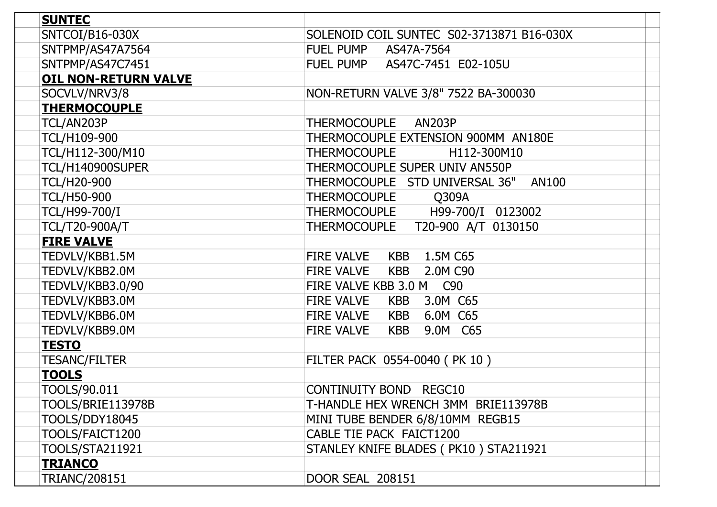| <b>SUNTEC</b>               |                                                |
|-----------------------------|------------------------------------------------|
| SNTCOI/B16-030X             | SOLENOID COIL SUNTEC S02-3713871 B16-030X      |
| SNTPMP/AS47A7564            | <b>FUEL PUMP</b><br>AS47A-7564                 |
| SNTPMP/AS47C7451            | FUEL PUMP AS47C-7451 E02-105U                  |
| <b>OIL NON-RETURN VALVE</b> |                                                |
| SOCVLV/NRV3/8               | NON-RETURN VALVE 3/8" 7522 BA-300030           |
| <b>THERMOCOUPLE</b>         |                                                |
| TCL/AN203P                  | THERMOCOUPLE AN203P                            |
| <b>TCL/H109-900</b>         | THERMOCOUPLE EXTENSION 900MM AN180E            |
| TCL/H112-300/M10            | <b>THERMOCOUPLE</b><br>H112-300M10             |
| TCL/H140900SUPER            | THERMOCOUPLE SUPER UNIV AN550P                 |
| <b>TCL/H20-900</b>          | THERMOCOUPLE STD UNIVERSAL 36"<br><b>AN100</b> |
| <b>TCL/H50-900</b>          | THERMOCOUPLE Q309A                             |
| <b>TCL/H99-700/I</b>        | THERMOCOUPLE H99-700/I 0123002                 |
| <b>TCL/T20-900A/T</b>       | THERMOCOUPLE T20-900 A/T 0130150               |
| <b>FIRE VALVE</b>           |                                                |
| TEDVLV/KBB1.5M              | KBB 1.5M C65<br><b>FIRE VALVE</b>              |
| TEDVLV/KBB2.0M              | <b>FIRE VALVE</b><br>KBB 2.0M C90              |
| TEDVLV/KBB3.0/90            | FIRE VALVE KBB 3.0 M C90                       |
| TEDVLV/KBB3.0M              | <b>FIRE VALVE</b><br>KBB 3.0M C65              |
| TEDVLV/KBB6.0M              | KBB 6.0M C65<br><b>FIRE VALVE</b>              |
| TEDVLV/KBB9.0M              | <b>FIRE VALVE</b><br>KBB<br>9.0M C65           |
| <u>TESTO</u>                |                                                |
| <b>TESANC/FILTER</b>        | FILTER PACK 0554-0040 (PK 10)                  |
| <b>TOOLS</b>                |                                                |
| TOOLS/90.011                | CONTINUITY BOND REGC10                         |
| TOOLS/BRIE113978B           | T-HANDLE HEX WRENCH 3MM BRIE113978B            |
| <b>TOOLS/DDY18045</b>       | MINI TUBE BENDER 6/8/10MM REGB15               |
| TOOLS/FAICT1200             | CABLE TIE PACK FAICT1200                       |
| <b>TOOLS/STA211921</b>      | STANLEY KNIFE BLADES (PK10) STA211921          |
| <b>TRIANCO</b>              |                                                |
| <b>TRIANC/208151</b>        | <b>DOOR SEAL 208151</b>                        |
|                             |                                                |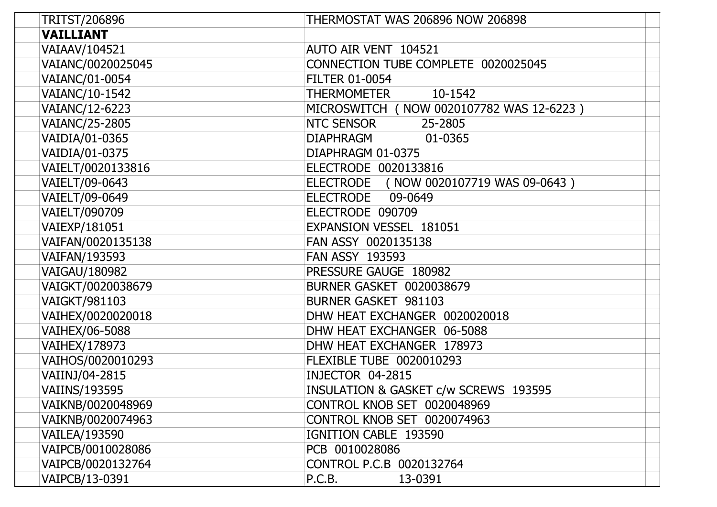| TRITST/206896        | <b>THERMOSTAT WAS 206896 NOW 206898</b>    |
|----------------------|--------------------------------------------|
| <b>VAILLIANT</b>     |                                            |
| VAIAAV/104521        | AUTO AIR VENT 104521                       |
| VAIANC/0020025045    | CONNECTION TUBE COMPLETE 0020025045        |
| VAIANC/01-0054       | <b>FILTER 01-0054</b>                      |
| VAIANC/10-1542       | THERMOMETER<br>10-1542                     |
| VAIANC/12-6223       | MICROSWITCH ( NOW 0020107782 WAS 12-6223 ) |
| VAIANC/25-2805       | NTC SENSOR<br>25-2805                      |
| VAIDIA/01-0365       | <b>DIAPHRAGM</b><br>01-0365                |
| VAIDIA/01-0375       | DIAPHRAGM 01-0375                          |
| VAIELT/0020133816    | ELECTRODE 0020133816                       |
| VAIELT/09-0643       | ELECTRODE (NOW 0020107719 WAS 09-0643)     |
| VAIELT/09-0649       | 09-0649<br>ELECTRODE                       |
| VAIELT/090709        | ELECTRODE 090709                           |
| VAIEXP/181051        | <b>EXPANSION VESSEL 181051</b>             |
| VAIFAN/0020135138    | FAN ASSY 0020135138                        |
| VAIFAN/193593        | <b>FAN ASSY 193593</b>                     |
| VAIGAU/180982        | PRESSURE GAUGE 180982                      |
| VAIGKT/0020038679    | <b>BURNER GASKET 0020038679</b>            |
| VAIGKT/981103        | BURNER GASKET 981103                       |
| VAIHEX/0020020018    | DHW HEAT EXCHANGER 0020020018              |
| VAIHEX/06-5088       | DHW HEAT EXCHANGER 06-5088                 |
| VAIHEX/178973        | DHW HEAT EXCHANGER 178973                  |
| VAIHOS/0020010293    | FLEXIBLE TUBE 0020010293                   |
| VAIINJ/04-2815       | INJECTOR 04-2815                           |
| <b>VAIINS/193595</b> | INSULATION & GASKET c/w SCREWS 193595      |
| VAIKNB/0020048969    | CONTROL KNOB SET 0020048969                |
| VAIKNB/0020074963    | <b>CONTROL KNOB SET 0020074963</b>         |
| VAILEA/193590        | IGNITION CABLE 193590                      |
| VAIPCB/0010028086    | PCB 0010028086                             |
| VAIPCB/0020132764    | CONTROL P.C.B 0020132764                   |
| VAIPCB/13-0391       | P.C.B.<br>13-0391                          |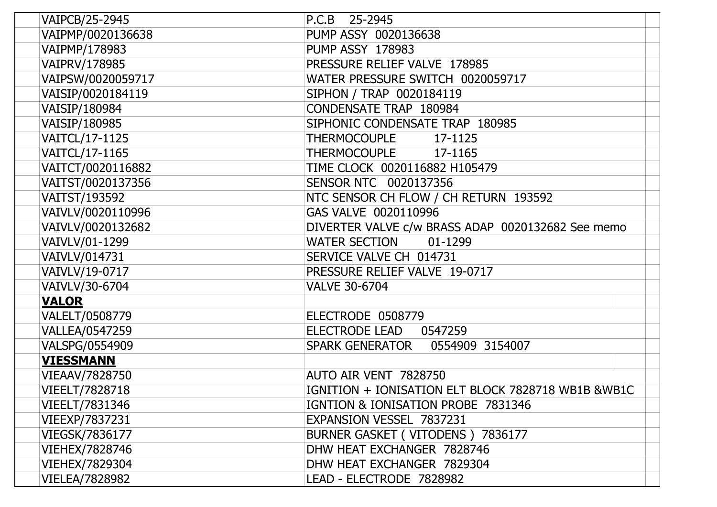| VAIPCB/25-2945    | P.C.B 25-2945                                      |
|-------------------|----------------------------------------------------|
| VAIPMP/0020136638 | PUMP ASSY 0020136638                               |
| VAIPMP/178983     | <b>PUMP ASSY 178983</b>                            |
| VAIPRV/178985     | PRESSURE RELIEF VALVE 178985                       |
| VAIPSW/0020059717 | WATER PRESSURE SWITCH 0020059717                   |
| VAISIP/0020184119 | SIPHON / TRAP 0020184119                           |
| VAISIP/180984     | <b>CONDENSATE TRAP 180984</b>                      |
| VAISIP/180985     | SIPHONIC CONDENSATE TRAP 180985                    |
| VAITCL/17-1125    | THERMOCOUPLE 17-1125                               |
| VAITCL/17-1165    | <b>THERMOCOUPLE</b><br>17-1165                     |
| VAITCT/0020116882 | TIME CLOCK 0020116882 H105479                      |
| VAITST/0020137356 | SENSOR NTC 0020137356                              |
| VAITST/193592     | NTC SENSOR CH FLOW / CH RETURN 193592              |
| VAIVLV/0020110996 | GAS VALVE 0020110996                               |
| VAIVLV/0020132682 | DIVERTER VALVE c/w BRASS ADAP 0020132682 See memo  |
| VAIVLV/01-1299    | <b>WATER SECTION</b><br>01-1299                    |
| VAIVLV/014731     | SERVICE VALVE CH 014731                            |
| VAIVLV/19-0717    | PRESSURE RELIEF VALVE 19-0717                      |
| VAIVLV/30-6704    | <b>VALVE 30-6704</b>                               |
| <b>VALOR</b>      |                                                    |
| VALELT/0508779    | ELECTRODE 0508779                                  |
| VALLEA/0547259    | ELECTRODE LEAD<br>0547259                          |
| VALSPG/0554909    | SPARK GENERATOR  0554909 3154007                   |
| <b>VIESSMANN</b>  |                                                    |
| VIEAAV/7828750    | AUTO AIR VENT 7828750                              |
| VIEELT/7828718    | IGNITION + IONISATION ELT BLOCK 7828718 WB1B &WB1C |
| VIEELT/7831346    | IGNTION & IONISATION PROBE 7831346                 |
| VIEEXP/7837231    | EXPANSION VESSEL 7837231                           |
| VIEGSK/7836177    | BURNER GASKET (VITODENS) 7836177                   |
| VIEHEX/7828746    | DHW HEAT EXCHANGER 7828746                         |
| VIEHEX/7829304    | DHW HEAT EXCHANGER 7829304                         |
| VIELEA/7828982    | LEAD - ELECTRODE 7828982                           |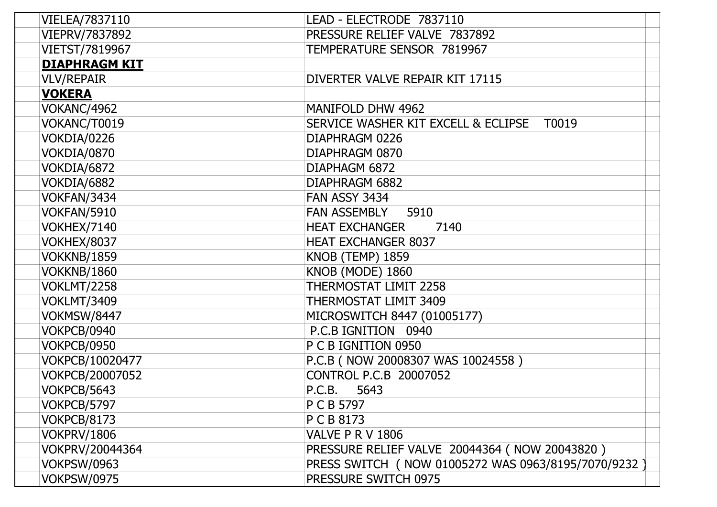| VIELEA/7837110       | LEAD - ELECTRODE 7837110                              |
|----------------------|-------------------------------------------------------|
| VIEPRV/7837892       | PRESSURE RELIEF VALVE 7837892                         |
| VIETST/7819967       | TEMPERATURE SENSOR 7819967                            |
| <b>DIAPHRAGM KIT</b> |                                                       |
| <b>VLV/REPAIR</b>    | DIVERTER VALVE REPAIR KIT 17115                       |
| <b>VOKERA</b>        |                                                       |
| VOKANC/4962          | MANIFOLD DHW 4962                                     |
| VOKANC/T0019         | SERVICE WASHER KIT EXCELL & ECLIPSE<br>T0019          |
| VOKDIA/0226          | DIAPHRAGM 0226                                        |
| VOKDIA/0870          | DIAPHRAGM 0870                                        |
| VOKDIA/6872          | DIAPHAGM 6872                                         |
| VOKDIA/6882          | DIAPHRAGM 6882                                        |
| VOKFAN/3434          | FAN ASSY 3434                                         |
| VOKFAN/5910          | <b>FAN ASSEMBLY</b><br>5910                           |
| VOKHEX/7140          | <b>HEAT EXCHANGER</b><br>7140                         |
| <b>VOKHEX/8037</b>   | <b>HEAT EXCHANGER 8037</b>                            |
| <b>VOKKNB/1859</b>   | KNOB (TEMP) 1859                                      |
| VOKKNB/1860          | KNOB (MODE) 1860                                      |
| <b>VOKLMT/2258</b>   | THERMOSTAT LIMIT 2258                                 |
| <b>VOKLMT/3409</b>   | <b>THERMOSTAT LIMIT 3409</b>                          |
| VOKMSW/8447          | MICROSWITCH 8447 (01005177)                           |
| VOKPCB/0940          | P.C.B IGNITION 0940                                   |
| <b>VOKPCB/0950</b>   | P C B IGNITION 0950                                   |
| VOKPCB/10020477      | P.C.B ( NOW 20008307 WAS 10024558 )                   |
| VOKPCB/20007052      | CONTROL P.C.B 20007052                                |
| VOKPCB/5643          | P.C.B.<br>5643                                        |
| VOKPCB/5797          | P C B 5797                                            |
| VOKPCB/8173          | P C B 8173                                            |
| <b>VOKPRV/1806</b>   | VALVE P R V 1806                                      |
| VOKPRV/20044364      | PRESSURE RELIEF VALVE 20044364 ( NOW 20043820 )       |
| <b>VOKPSW/0963</b>   | PRESS SWITCH ( NOW 01005272 WAS 0963/8195/7070/9232 ) |
| <b>VOKPSW/0975</b>   | PRESSURE SWITCH 0975                                  |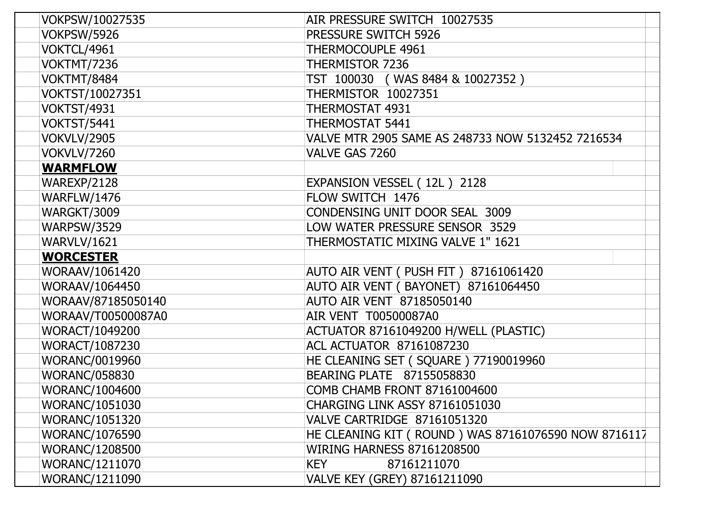| VOKPSW/10027535       | AIR PRESSURE SWITCH 10027535                        |
|-----------------------|-----------------------------------------------------|
| <b>VOKPSW/5926</b>    | <b>PRESSURE SWITCH 5926</b>                         |
| VOKTCL/4961           | THERMOCOUPLE 4961                                   |
| VOKTMT/7236           | THERMISTOR 7236                                     |
| VOKTMT/8484           | TST 100030 (WAS 8484 & 10027352)                    |
| VOKTST/10027351       | <b>THERMISTOR 10027351</b>                          |
| <b>VOKTST/4931</b>    | <b>THERMOSTAT 4931</b>                              |
| VOKTST/5441           | <b>THERMOSTAT 5441</b>                              |
| <b>VOKVLV/2905</b>    | VALVE MTR 2905 SAME AS 248733 NOW 5132452 7216534   |
| VOKVLV/7260           | VALVE GAS 7260                                      |
| <b>WARMFLOW</b>       |                                                     |
| WAREXP/2128           | EXPANSION VESSEL (12L) 2128                         |
| <b>WARFLW/1476</b>    | FLOW SWITCH 1476                                    |
| WARGKT/3009           | CONDENSING UNIT DOOR SEAL 3009                      |
| <b>WARPSW/3529</b>    | LOW WATER PRESSURE SENSOR 3529                      |
| WARVLV/1621           | THERMOSTATIC MIXING VALVE 1" 1621                   |
| <b>WORCESTER</b>      |                                                     |
| WORAAV/1061420        | AUTO AIR VENT (PUSH FIT) 87161061420                |
| WORAAV/1064450        | AUTO AIR VENT (BAYONET) 87161064450                 |
| WORAAV/87185050140    | AUTO AIR VENT 87185050140                           |
| WORAAV/T00500087A0    | AIR VENT T00500087A0                                |
| WORACT/1049200        | ACTUATOR 87161049200 H/WELL (PLASTIC)               |
| WORACT/1087230        | <b>ACL ACTUATOR 87161087230</b>                     |
| <b>WORANC/0019960</b> | HE CLEANING SET (SQUARE) 77190019960                |
| <b>WORANC/058830</b>  | BEARING PLATE 87155058830                           |
| WORANC/1004600        | COMB CHAMB FRONT 87161004600                        |
| <b>WORANC/1051030</b> | <b>CHARGING LINK ASSY 87161051030</b>               |
| <b>WORANC/1051320</b> | VALVE CARTRIDGE 87161051320                         |
| <b>WORANC/1076590</b> | HE CLEANING KIT (ROUND) WAS 87161076590 NOW 8716117 |
| <b>WORANC/1208500</b> | <b>WIRING HARNESS 87161208500</b>                   |
| <b>WORANC/1211070</b> | 87161211070<br><b>KEY</b>                           |
| WORANC/1211090        | VALVE KEY (GREY) 87161211090                        |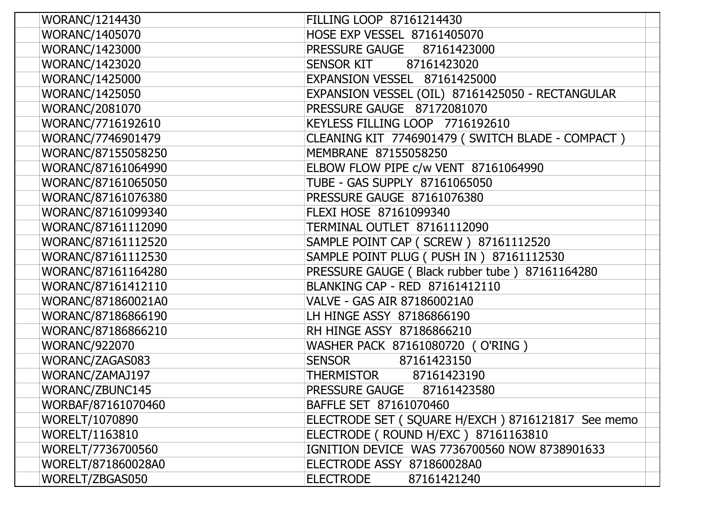| WORANC/1214430        | FILLING LOOP 87161214430                          |
|-----------------------|---------------------------------------------------|
| <b>WORANC/1405070</b> | HOSE EXP VESSEL 87161405070                       |
| <b>WORANC/1423000</b> | <b>PRESSURE GAUGE</b><br>87161423000              |
| <b>WORANC/1423020</b> | SENSOR KIT<br>87161423020                         |
| <b>WORANC/1425000</b> | EXPANSION VESSEL 87161425000                      |
| <b>WORANC/1425050</b> | EXPANSION VESSEL (OIL) 87161425050 - RECTANGULAR  |
| <b>WORANC/2081070</b> | PRESSURE GAUGE 87172081070                        |
| WORANC/7716192610     | KEYLESS FILLING LOOP 7716192610                   |
| WORANC/7746901479     | CLEANING KIT 7746901479 (SWITCH BLADE - COMPACT)  |
| WORANC/87155058250    | MEMBRANE 87155058250                              |
| WORANC/87161064990    | ELBOW FLOW PIPE c/w VENT 87161064990              |
| WORANC/87161065050    | TUBE - GAS SUPPLY 87161065050                     |
| WORANC/87161076380    | PRESSURE GAUGE 87161076380                        |
| WORANC/87161099340    | FLEXI HOSE 87161099340                            |
| WORANC/87161112090    | TERMINAL OUTLET 87161112090                       |
| WORANC/87161112520    | SAMPLE POINT CAP (SCREW) 87161112520              |
| WORANC/87161112530    | SAMPLE POINT PLUG ( PUSH IN ) 87161112530         |
| WORANC/87161164280    | PRESSURE GAUGE (Black rubber tube) 87161164280    |
| WORANC/87161412110    | BLANKING CAP - RED 87161412110                    |
| WORANC/871860021A0    | VALVE - GAS AIR 871860021A0                       |
| WORANC/87186866190    | LH HINGE ASSY 87186866190                         |
| WORANC/87186866210    | RH HINGE ASSY 87186866210                         |
| <b>WORANC/922070</b>  | WASHER PACK 87161080720 (O'RING)                  |
| WORANC/ZAGAS083       | 87161423150<br><b>SENSOR</b>                      |
| WORANC/ZAMAJ197       | <b>THERMISTOR</b><br>87161423190                  |
| WORANC/ZBUNC145       | PRESSURE GAUGE 87161423580                        |
| WORBAF/87161070460    | BAFFLE SET 87161070460                            |
| <b>WORELT/1070890</b> | ELECTRODE SET (SQUARE H/EXCH) 8716121817 See memo |
| WORELT/1163810        | ELECTRODE (ROUND H/EXC) 87161163810               |
| WORELT/7736700560     | IGNITION DEVICE WAS 7736700560 NOW 8738901633     |
| WORELT/871860028A0    | ELECTRODE ASSY 871860028A0                        |
| WORELT/ZBGAS050       | <b>ELECTRODE</b><br>87161421240                   |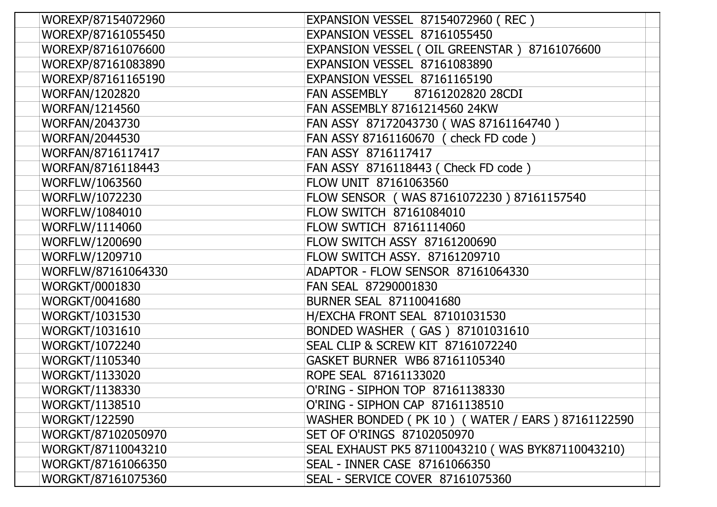| WOREXP/87154072960    | <b>EXPANSION VESSEL 87154072960 (REC)</b>         |
|-----------------------|---------------------------------------------------|
| WOREXP/87161055450    | EXPANSION VESSEL 87161055450                      |
| WOREXP/87161076600    | EXPANSION VESSEL (OIL GREENSTAR) 87161076600      |
| WOREXP/87161083890    | EXPANSION VESSEL 87161083890                      |
| WOREXP/87161165190    | EXPANSION VESSEL 87161165190                      |
| <b>WORFAN/1202820</b> | <b>FAN ASSEMBLY</b><br>87161202820 28CDI          |
| <b>WORFAN/1214560</b> | FAN ASSEMBLY 87161214560 24KW                     |
| <b>WORFAN/2043730</b> | FAN ASSY 87172043730 (WAS 87161164740)            |
| <b>WORFAN/2044530</b> | FAN ASSY 87161160670 ( check FD code )            |
| WORFAN/8716117417     | FAN ASSY 8716117417                               |
| WORFAN/8716118443     | FAN ASSY 8716118443 ( Check FD code )             |
| WORFLW/1063560        | FLOW UNIT 87161063560                             |
| <b>WORFLW/1072230</b> | FLOW SENSOR (WAS 87161072230) 87161157540         |
| WORFLW/1084010        | FLOW SWITCH 87161084010                           |
| WORFLW/1114060        | FLOW SWTICH 87161114060                           |
| WORFLW/1200690        | <b>FLOW SWITCH ASSY 87161200690</b>               |
| WORFLW/1209710        | FLOW SWITCH ASSY. 87161209710                     |
| WORFLW/87161064330    | ADAPTOR - FLOW SENSOR 87161064330                 |
| <b>WORGKT/0001830</b> | FAN SEAL 87290001830                              |
| <b>WORGKT/0041680</b> | <b>BURNER SEAL 87110041680</b>                    |
| <b>WORGKT/1031530</b> | H/EXCHA FRONT SEAL 87101031530                    |
| <b>WORGKT/1031610</b> | BONDED WASHER (GAS) 87101031610                   |
| <b>WORGKT/1072240</b> | SEAL CLIP & SCREW KIT 87161072240                 |
| WORGKT/1105340        | GASKET BURNER WB6 87161105340                     |
| <b>WORGKT/1133020</b> | ROPE SEAL 87161133020                             |
| WORGKT/1138330        | O'RING - SIPHON TOP 87161138330                   |
| <b>WORGKT/1138510</b> | O'RING - SIPHON CAP 87161138510                   |
| <b>WORGKT/122590</b>  | WASHER BONDED (PK 10) (WATER / EARS) 87161122590  |
| WORGKT/87102050970    | SET OF O'RINGS 87102050970                        |
| WORGKT/87110043210    | SEAL EXHAUST PK5 87110043210 (WAS BYK87110043210) |
| WORGKT/87161066350    | SEAL - INNER CASE 87161066350                     |
| WORGKT/87161075360    | SEAL - SERVICE COVER 87161075360                  |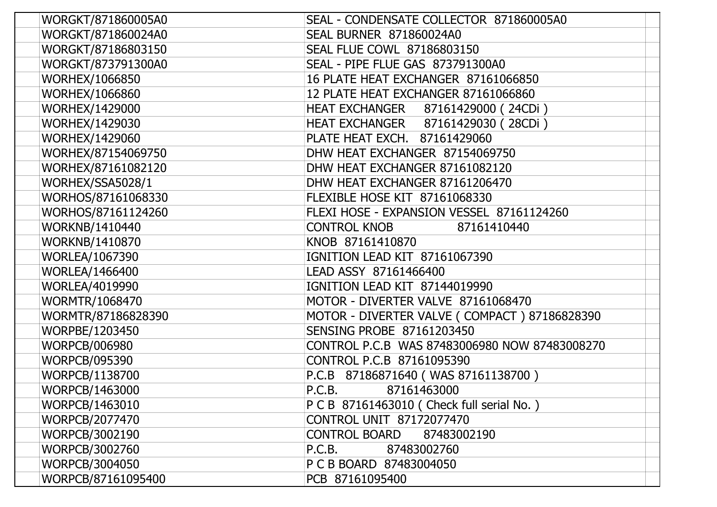| WORGKT/871860005A0                                                    | SEAL - CONDENSATE COLLECTOR 871860005A0      |
|-----------------------------------------------------------------------|----------------------------------------------|
| WORGKT/871860024A0                                                    | <b>SEAL BURNER 871860024A0</b>               |
| WORGKT/87186803150                                                    | <b>SEAL FLUE COWL 87186803150</b>            |
| WORGKT/873791300A0                                                    | SEAL - PIPE FLUE GAS 873791300A0             |
| <b>WORHEX/1066850</b>                                                 | 16 PLATE HEAT EXCHANGER 87161066850          |
| <b>WORHEX/1066860</b>                                                 | 12 PLATE HEAT EXCHANGER 87161066860          |
| <b>WORHEX/1429000</b>                                                 | HEAT EXCHANGER 87161429000 (24CDi)           |
| WORHEX/1429030                                                        | HEAT EXCHANGER 87161429030 (28CDi)           |
| <b>WORHEX/1429060</b>                                                 | PLATE HEAT EXCH. 87161429060                 |
| WORHEX/87154069750                                                    | DHW HEAT EXCHANGER 87154069750               |
| WORHEX/87161082120                                                    | DHW HEAT EXCHANGER 87161082120               |
| WORHEX/SSA5028/1                                                      | DHW HEAT EXCHANGER 87161206470               |
| WORHOS/87161068330                                                    | FLEXIBLE HOSE KIT 87161068330                |
| WORHOS/87161124260                                                    | FLEXI HOSE - EXPANSION VESSEL 87161124260    |
| WORKNB/1410440                                                        | <b>CONTROL KNOB</b><br>87161410440           |
| WORKNB/1410870                                                        | KNOB 87161410870                             |
| WORLEA/1067390                                                        | IGNITION LEAD KIT 87161067390                |
| <b>WORLEA/1466400</b>                                                 | LEAD ASSY 87161466400                        |
| WORLEA/4019990                                                        | IGNITION LEAD KIT 87144019990                |
| <b>WORMTR/1068470</b>                                                 | MOTOR - DIVERTER VALVE 87161068470           |
| WORMTR/87186828390                                                    | MOTOR - DIVERTER VALVE (COMPACT) 87186828390 |
| WORPBE/1203450                                                        | SENSING PROBE 87161203450                    |
| <b>WORPCB/006980</b><br>CONTROL P.C.B WAS 87483006980 NOW 87483008270 |                                              |
| <b>WORPCB/095390</b>                                                  | CONTROL P.C.B 87161095390                    |
| WORPCB/1138700                                                        | P.C.B 87186871640 (WAS 87161138700)          |
| WORPCB/1463000                                                        | P.C.B.<br>87161463000                        |
| WORPCB/1463010                                                        | P C B 87161463010 ( Check full serial No. )  |
| WORPCB/2077470                                                        | CONTROL UNIT 87172077470                     |
| WORPCB/3002190                                                        | <b>CONTROL BOARD</b><br>87483002190          |
| WORPCB/3002760                                                        | P.C.B.<br>87483002760                        |
| WORPCB/3004050                                                        | P C B BOARD 87483004050                      |
| WORPCB/87161095400                                                    | PCB 87161095400                              |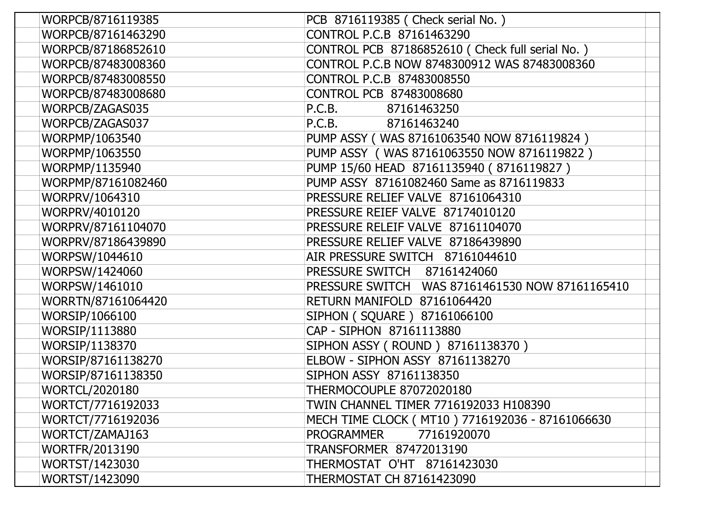| WORPCB/8716119385     | PCB 8716119385 ( Check serial No. )               |
|-----------------------|---------------------------------------------------|
| WORPCB/87161463290    | CONTROL P.C.B 87161463290                         |
| WORPCB/87186852610    | CONTROL PCB 87186852610 (Check full serial No.)   |
| WORPCB/87483008360    | CONTROL P.C.B NOW 8748300912 WAS 87483008360      |
| WORPCB/87483008550    | CONTROL P.C.B 87483008550                         |
| WORPCB/87483008680    | CONTROL PCB 87483008680                           |
| WORPCB/ZAGAS035       | 87161463250<br>P.C.B.                             |
| WORPCB/ZAGAS037       | P.C.B.<br>87161463240                             |
| WORPMP/1063540        | PUMP ASSY (WAS 87161063540 NOW 8716119824)        |
| WORPMP/1063550        | PUMP ASSY (WAS 87161063550 NOW 8716119822)        |
| WORPMP/1135940        | PUMP 15/60 HEAD 87161135940 (8716119827)          |
| WORPMP/87161082460    | PUMP ASSY 87161082460 Same as 8716119833          |
| WORPRV/1064310        | PRESSURE RELIEF VALVE 87161064310                 |
| WORPRV/4010120        | PRESSURE REIEF VALVE 87174010120                  |
| WORPRV/87161104070    | PRESSURE RELEIF VALVE 87161104070                 |
| WORPRV/87186439890    | PRESSURE RELIEF VALVE 87186439890                 |
| WORPSW/1044610        | AIR PRESSURE SWITCH 87161044610                   |
| WORPSW/1424060        | PRESSURE SWITCH 87161424060                       |
| WORPSW/1461010        | PRESSURE SWITCH WAS 87161461530 NOW 87161165410   |
| WORRTN/87161064420    | RETURN MANIFOLD 87161064420                       |
| WORSIP/1066100        | SIPHON ( SQUARE ) 87161066100                     |
| WORSIP/1113880        | CAP - SIPHON 87161113880                          |
| WORSIP/1138370        | SIPHON ASSY (ROUND) 87161138370)                  |
| WORSIP/87161138270    | ELBOW - SIPHON ASSY 87161138270                   |
| WORSIP/87161138350    | SIPHON ASSY 87161138350                           |
| <b>WORTCL/2020180</b> | <b>THERMOCOUPLE 87072020180</b>                   |
| WORTCT/7716192033     | TWIN CHANNEL TIMER 7716192033 H108390             |
| WORTCT/7716192036     | MECH TIME CLOCK ( MT10 ) 7716192036 - 87161066630 |
| WORTCT/ZAMAJ163       | 77161920070<br>PROGRAMMER                         |
| <b>WORTFR/2013190</b> | TRANSFORMER 87472013190                           |
| WORTST/1423030        | THERMOSTAT O'HT 87161423030                       |
| WORTST/1423090        | <b>THERMOSTAT CH 87161423090</b>                  |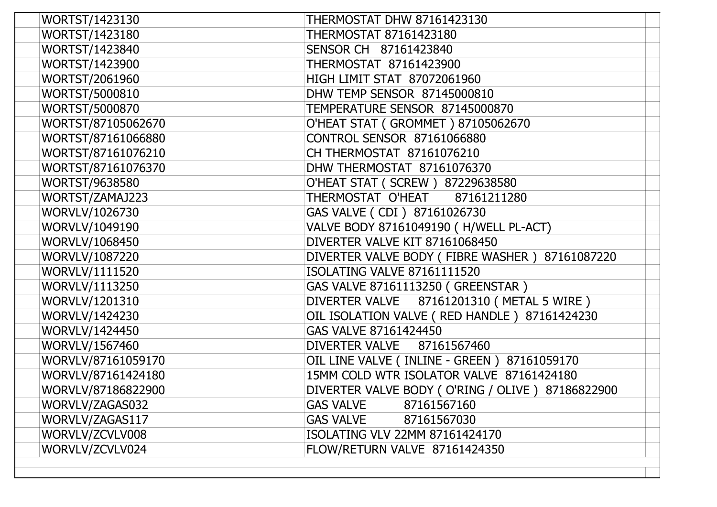| WORTST/1423130        | <b>THERMOSTAT DHW 87161423130</b>                 |
|-----------------------|---------------------------------------------------|
| WORTST/1423180        | <b>THERMOSTAT 87161423180</b>                     |
| WORTST/1423840        | SENSOR CH 87161423840                             |
| WORTST/1423900        | THERMOSTAT 87161423900                            |
| WORTST/2061960        | HIGH LIMIT STAT 87072061960                       |
| <b>WORTST/5000810</b> | DHW TEMP SENSOR 87145000810                       |
| <b>WORTST/5000870</b> | TEMPERATURE SENSOR 87145000870                    |
| WORTST/87105062670    | O'HEAT STAT (GROMMET) 87105062670                 |
| WORTST/87161066880    | <b>CONTROL SENSOR 87161066880</b>                 |
| WORTST/87161076210    | CH THERMOSTAT 87161076210                         |
| WORTST/87161076370    | DHW THERMOSTAT 87161076370                        |
| WORTST/9638580        | O'HEAT STAT ( SCREW ) 87229638580                 |
| WORTST/ZAMAJ223       | THERMOSTAT O'HEAT<br>87161211280                  |
| WORVLV/1026730        | GAS VALVE ( CDI ) 87161026730                     |
| WORVLV/1049190        | VALVE BODY 87161049190 (H/WELL PL-ACT)            |
| WORVLV/1068450        | DIVERTER VALVE KIT 87161068450                    |
| WORVLV/1087220        | DIVERTER VALVE BODY (FIBRE WASHER) 87161087220    |
| WORVLV/1111520        | <b>ISOLATING VALVE 87161111520</b>                |
| WORVLV/1113250        | GAS VALVE 87161113250 ( GREENSTAR )               |
| WORVLV/1201310        | DIVERTER VALVE 87161201310 (METAL 5 WIRE)         |
| WORVLV/1424230        | OIL ISOLATION VALVE (RED HANDLE) 87161424230      |
| WORVLV/1424450        | GAS VALVE 87161424450                             |
| <b>WORVLV/1567460</b> | DIVERTER VALVE 87161567460                        |
| WORVLV/87161059170    | OIL LINE VALVE ( INLINE - GREEN ) 87161059170     |
| WORVLV/87161424180    | 15MM COLD WTR ISOLATOR VALVE 87161424180          |
| WORVLV/87186822900    | DIVERTER VALVE BODY (O'RING / OLIVE ) 87186822900 |
| WORVLV/ZAGAS032       | <b>GAS VALVE</b><br>87161567160                   |
| WORVLV/ZAGAS117       | <b>GAS VALVE</b><br>87161567030                   |
| WORVLV/ZCVLV008       | ISOLATING VLV 22MM 87161424170                    |
| WORVLV/ZCVLV024       | FLOW/RETURN VALVE 87161424350                     |
|                       |                                                   |
|                       |                                                   |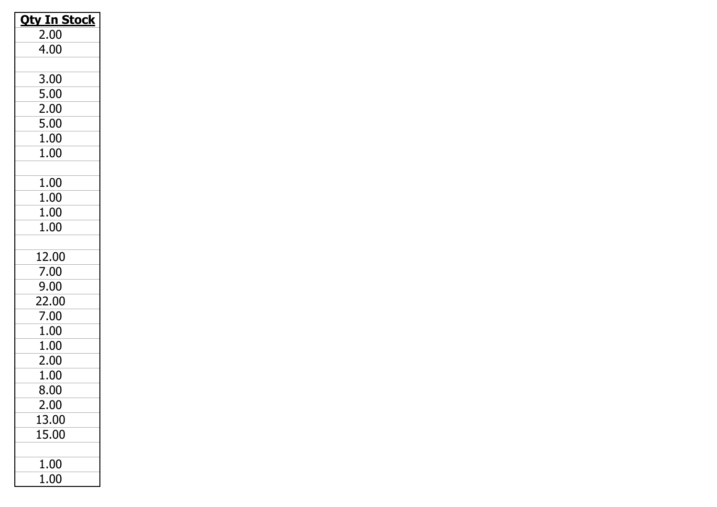| <b>Oty In Stock</b> |
|---------------------|
| 2.00                |
| 4.00                |
|                     |
| 3.00                |
| 5.00                |
| 2.00                |
| 5.00                |
| 1.00                |
| 1.00                |
|                     |
| 1.00                |
| 1.00                |
| 1.00                |
| 1.00                |
|                     |
| 12.00               |
| 7.00                |
| 9.00                |
| 22.00               |
| 7.00                |
| 1.00                |
| 1.00                |
| 2.00                |
| 1.00                |
| 8.00                |
| 2.00                |
| 13.00               |
| 15.00               |
|                     |
| $1.00\,$            |
| 1.00                |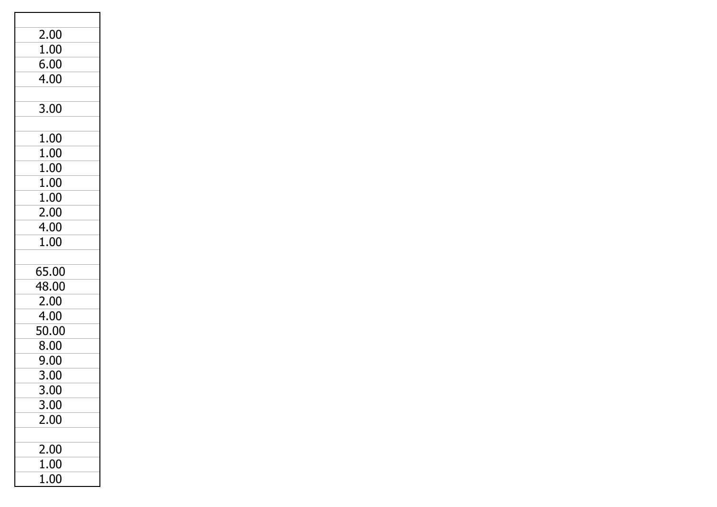| 2.00  |  |
|-------|--|
| 1.00  |  |
| 6.00  |  |
| 4.00  |  |
|       |  |
| 3.00  |  |
|       |  |
| 1.00  |  |
| 1.00  |  |
| 1.00  |  |
| 1.00  |  |
| 1.00  |  |
| 2.00  |  |
| 4.00  |  |
| 1.00  |  |
|       |  |
| 65.00 |  |
| 48.00 |  |
| 2.00  |  |
| 4.00  |  |
| 50.00 |  |
| 8.00  |  |
| 9.00  |  |
| 3.00  |  |
| 3.00  |  |
| 3.00  |  |
| 2.00  |  |
|       |  |
| 2.00  |  |
| 1.00  |  |
| 1.00  |  |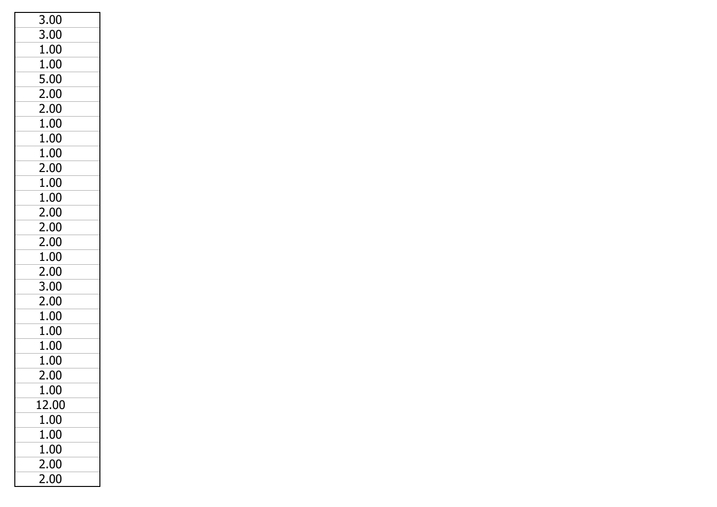| 3.00  |
|-------|
| 3.00  |
| 1.00  |
| 1.00  |
| 5.00  |
| 2.00  |
| 2.00  |
| 1.00  |
| 1.00  |
| 1.00  |
| 2.00  |
| 1.00  |
| 1.00  |
| 2.00  |
| 2.00  |
| 2.00  |
| 1.00  |
| 2.00  |
| 3.00  |
| 2.00  |
| 1.00  |
| 1.00  |
| 1.00  |
| 1.00  |
| 2.00  |
| 1.00  |
| 12.00 |
| 1.00  |
| 1.00  |
| 1.00  |
| 2.00  |
| 2.00  |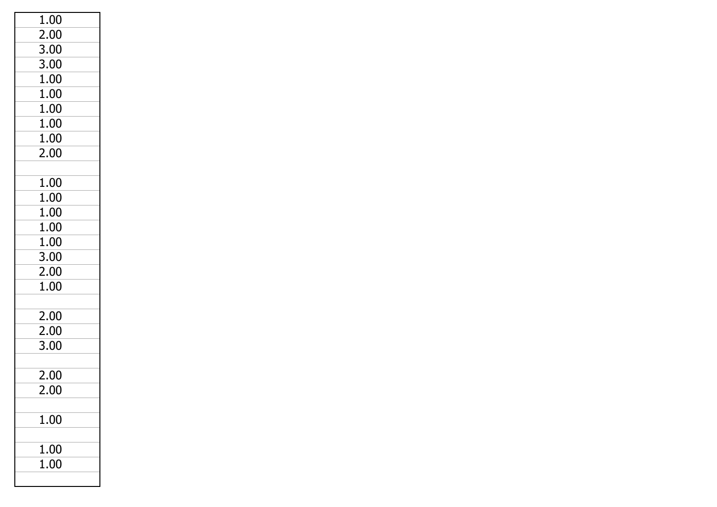| 1.00 |  |
|------|--|
| 2.00 |  |
| 3.00 |  |
| 3.00 |  |
| 1.00 |  |
| 1.00 |  |
| 1.00 |  |
| 1.00 |  |
| 1.00 |  |
| 2.00 |  |
|      |  |
| 1.00 |  |
| 1.00 |  |
| 1.00 |  |
| 1.00 |  |
| 1.00 |  |
| 3.00 |  |
| 2.00 |  |
| 1.00 |  |
|      |  |
| 2.00 |  |
| 2.00 |  |
| 3.00 |  |
|      |  |
| 2.00 |  |
| חח כ |  |
|      |  |
| 1.00 |  |
|      |  |
| 1.00 |  |
| 1.00 |  |
|      |  |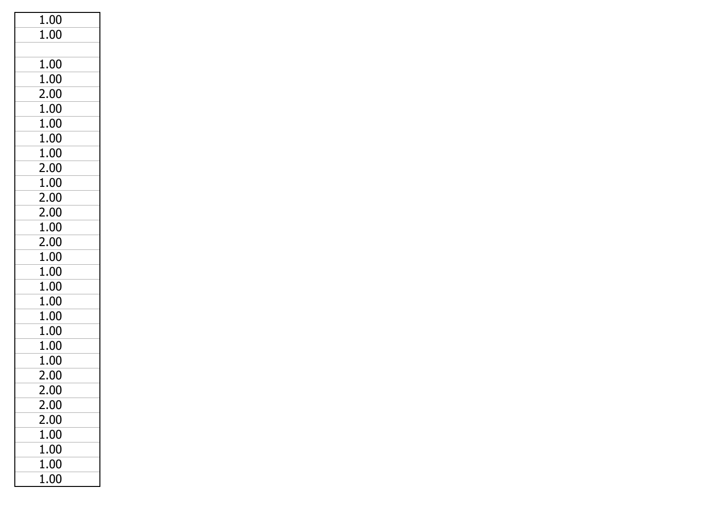| 1.00 |  |
|------|--|
| 1.00 |  |
|      |  |
| 1.00 |  |
| 1.00 |  |
| 2.00 |  |
| 1.00 |  |
| 1.00 |  |
| 1.00 |  |
| 1.00 |  |
| 2.00 |  |
| 1.00 |  |
| 2.00 |  |
| 2.00 |  |
| 1.00 |  |
| 2.00 |  |
| 1.00 |  |
| 1.00 |  |
| 1.00 |  |
| 1.00 |  |
| 1.00 |  |
| 1.00 |  |
| 1.00 |  |
| 1.00 |  |
| 2.00 |  |
| 2.00 |  |
| 2.00 |  |
| 2.00 |  |
| 1.00 |  |
| 1.00 |  |
| 1.00 |  |
| 1.00 |  |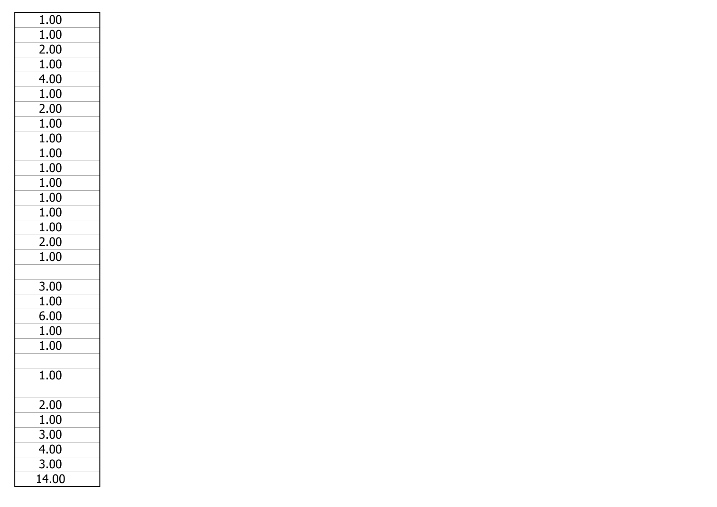| 1.00  |  |
|-------|--|
| 1.00  |  |
| 2.00  |  |
| 1.00  |  |
| 4.00  |  |
| 1.00  |  |
| 2.00  |  |
| 1.00  |  |
| 1.00  |  |
| 1.00  |  |
| 1.00  |  |
| 1.00  |  |
| 1.00  |  |
| 1.00  |  |
| 1.00  |  |
| 2.00  |  |
| 1.00  |  |
|       |  |
| 3.00  |  |
| 1.00  |  |
| 6.00  |  |
| 1.00  |  |
| 1.00  |  |
|       |  |
| 1.00  |  |
|       |  |
| 2.00  |  |
| 1.00  |  |
| 3.00  |  |
| 4.00  |  |
| 3.00  |  |
| 14.00 |  |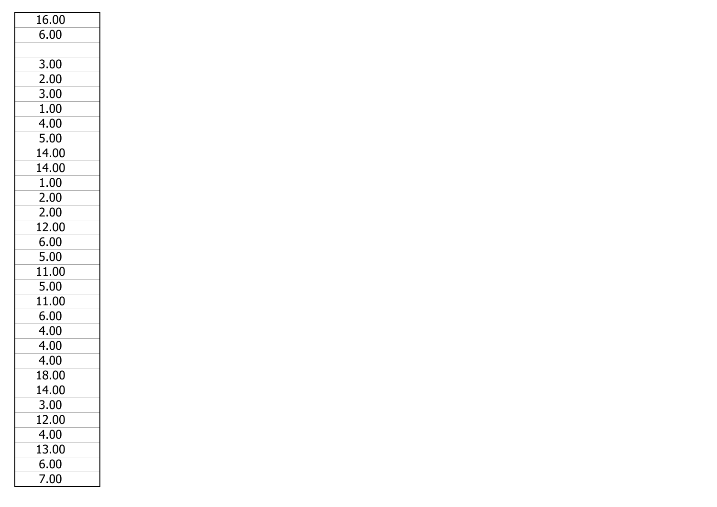| 16.00 |
|-------|
| 6.00  |
|       |
| 3.00  |
| 2.00  |
| 3.00  |
| 1.00  |
| 4.00  |
| 5.00  |
| 14.00 |
| 14.00 |
| 1.00  |
| 2.00  |
| 2.00  |
| 12.00 |
| 6.00  |
| 5.00  |
| 11.00 |
| 5.00  |
| 11.00 |
| 6.00  |
| 4.00  |
| 4.00  |
| 4.00  |
| 18.00 |
| 14.00 |
| 3.00  |
| 12.00 |
| 4.00  |
| 13.00 |
| 6.00  |
| 7.00  |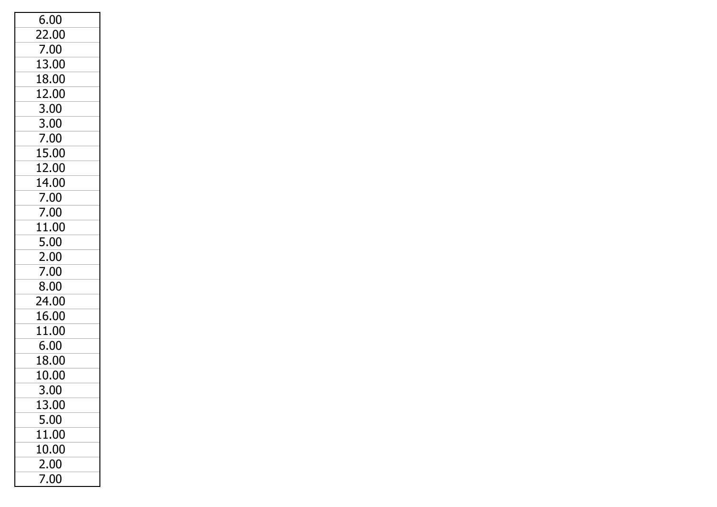| 6.00  |  |
|-------|--|
| 22.00 |  |
| 7.00  |  |
| 13.00 |  |
| 18.00 |  |
| 12.00 |  |
| 3.00  |  |
| 3.00  |  |
| 7.00  |  |
| 15.00 |  |
| 12.00 |  |
| 14.00 |  |
| 7.00  |  |
| 7.00  |  |
| 11.00 |  |
| 5.00  |  |
| 2.00  |  |
| 7.00  |  |
| 8.00  |  |
| 24.00 |  |
| 16.00 |  |
| 11.00 |  |
| 6.00  |  |
| 18.00 |  |
| 10.00 |  |
| 3.00  |  |
| 13.00 |  |
| 5.00  |  |
| 11.00 |  |
| 10.00 |  |
| 2.00  |  |
| 7.00  |  |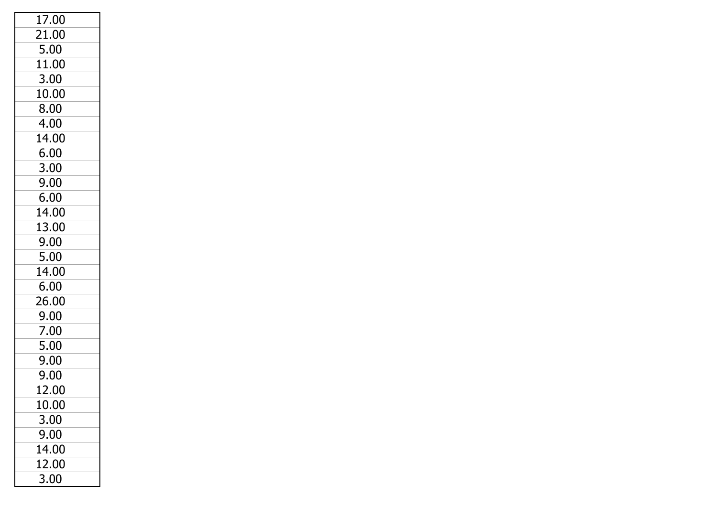| $17.\overline{00}$ |
|--------------------|
| 21.00              |
| 5.00               |
| 11.00              |
| 3.00               |
| 10.00              |
| 8.00               |
| 4.00               |
| 14.00              |
| 6.00               |
| 3.00               |
| 9.00               |
| 6.00               |
| 14.00              |
| 13.00              |
| 9.00               |
| 5.00               |
| 14.00              |
| 6.00               |
| 26.00              |
| 9.00               |
| 7.00               |
| 5.00               |
| 9.00               |
| 9.00               |
| 12.00              |
| 10.00              |
| 3.00               |
| 9.00               |
| 14.00              |
| 12.00              |
| 3.00               |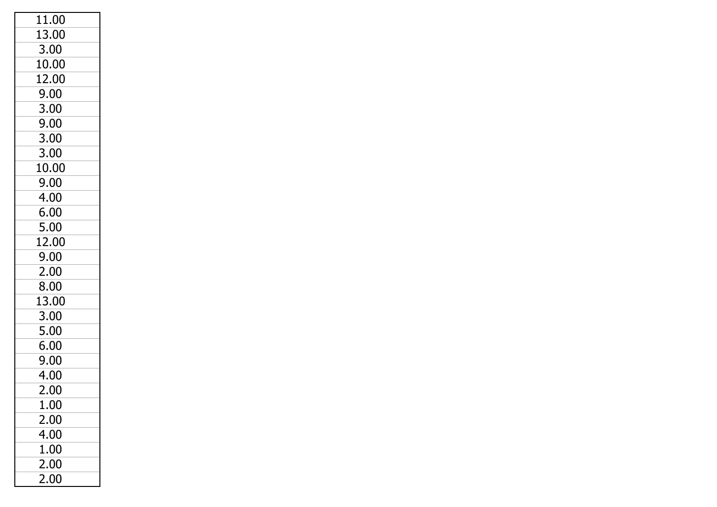| 11.00 |
|-------|
| 13.00 |
| 3.00  |
| 10.00 |
| 12.00 |
| 9.00  |
| 3.00  |
| 9.00  |
| 3.00  |
| 3.00  |
| 10.00 |
| 9.00  |
| 4.00  |
| 6.00  |
| 5.00  |
| 12.00 |
| 9.00  |
| 2.00  |
| 8.00  |
| 13.00 |
| 3.00  |
| 5.00  |
| 6.00  |
| 9.00  |
| 4.00  |
| 2.00  |
| 1.00  |
| 2.00  |
| 4.00  |
| 1.00  |
| 2.00  |
| 2.00  |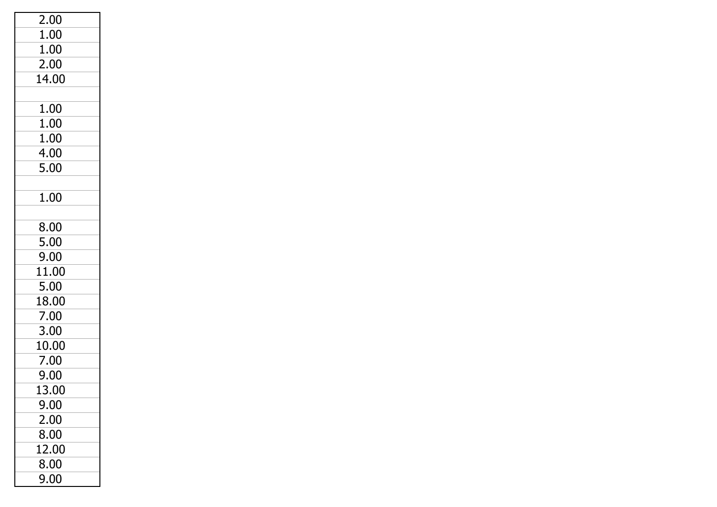| 2.00  |  |
|-------|--|
| 1.00  |  |
| 1.00  |  |
| 2.00  |  |
| 14.00 |  |
|       |  |
| 1.00  |  |
| 1.00  |  |
| 1.00  |  |
| 4.00  |  |
| 5.00  |  |
|       |  |
| 1.00  |  |
|       |  |
| 8.00  |  |
| 5.00  |  |
| 9.00  |  |
| 11.00 |  |
| 5.00  |  |
| 18.00 |  |
| 7.00  |  |
| 3.00  |  |
| 10.00 |  |
| 7.00  |  |
| 9.00  |  |
| 13.00 |  |
| 9.00  |  |
| 2.00  |  |
| 8.00  |  |
| 12.00 |  |
| 8.00  |  |
| 9.00  |  |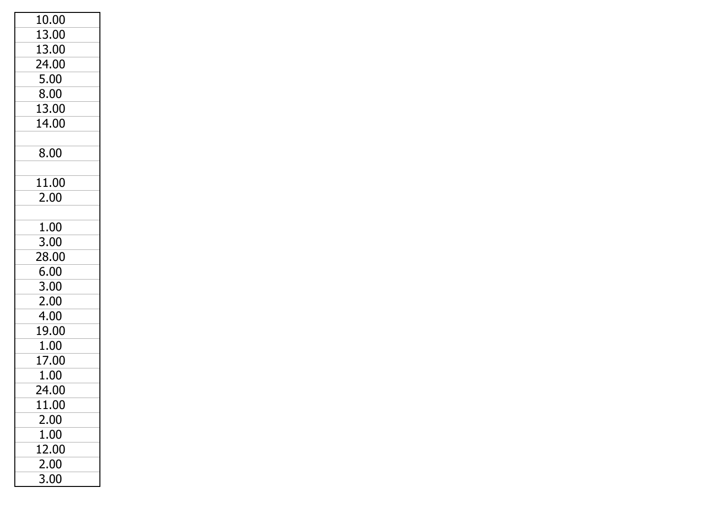| 10.00 |  |
|-------|--|
| 13.00 |  |
| 13.00 |  |
| 24.00 |  |
| 5.00  |  |
| 8.00  |  |
| 13.00 |  |
| 14.00 |  |
|       |  |
| 8.00  |  |
|       |  |
| 11.00 |  |
| 2.00  |  |
|       |  |
| 1.00  |  |
| 3.00  |  |
| 28.00 |  |
| 6.00  |  |
| 3.00  |  |
| 2.00  |  |
| 4.00  |  |
| 19.00 |  |
| 1.00  |  |
| 17.00 |  |
| 1.00  |  |
| 24.00 |  |
| 11.00 |  |
| 2.00  |  |
| 1.00  |  |
| 12.00 |  |
| 2.00  |  |
| 3.00  |  |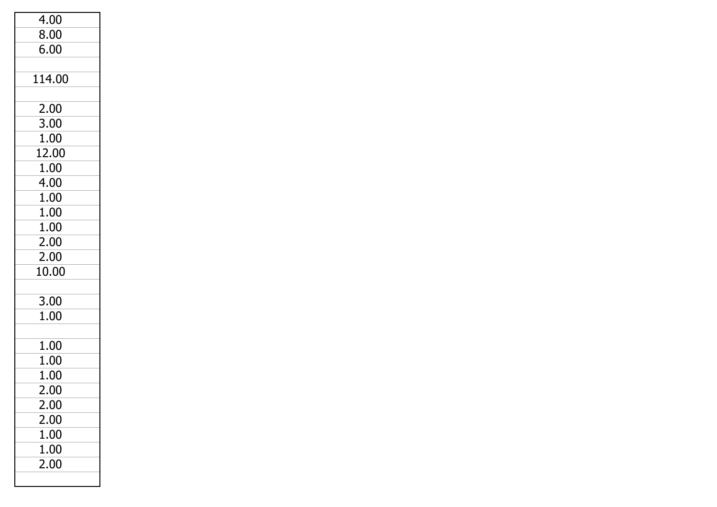| 4.00   |
|--------|
| 8.00   |
|        |
| 6.00   |
|        |
| 114.00 |
|        |
| 2.00   |
| 3.00   |
| 1.00   |
| 12.00  |
| 1.00   |
| 4.00   |
| 1.00   |
| 1.00   |
| 1.00   |
| 2.00   |
| 2.00   |
| 10.00  |
|        |
| 3.00   |
| 1.00   |
|        |
| 1.00   |
| 1.00   |
| 1.00   |
| 2.00   |
| 2.00   |
| 2.00   |
| 1.00   |
| 1.00   |
| 2.00   |
|        |
|        |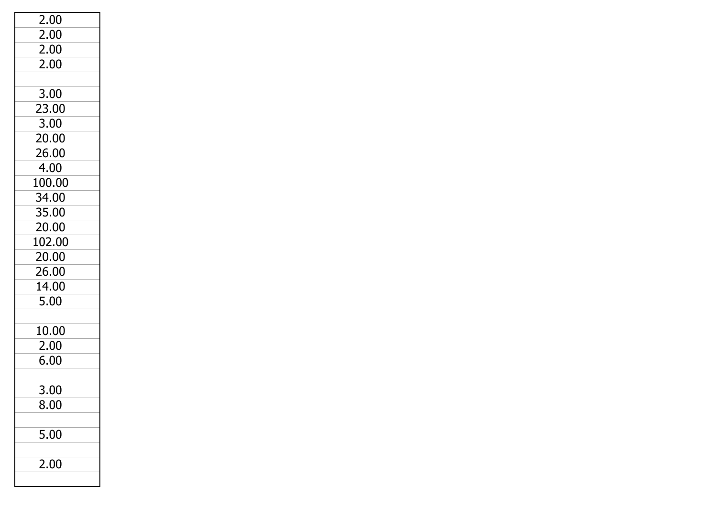| 2.00   |
|--------|
| 2.00   |
| 2.00   |
| 2.00   |
|        |
| 3.00   |
| 23.00  |
| 3.00   |
| 20.00  |
| 26.00  |
| 4.00   |
| 100.00 |
| 34.00  |
| 35.00  |
| 20.00  |
| 102.00 |
| 20.00  |
| 26.00  |
| 14.00  |
| 5.00   |
|        |
| 10.00  |
| 2.00   |
| 6.00   |
|        |
| 3.00   |
| 8.00   |
|        |
| 5.00   |
|        |
| 2.00   |
|        |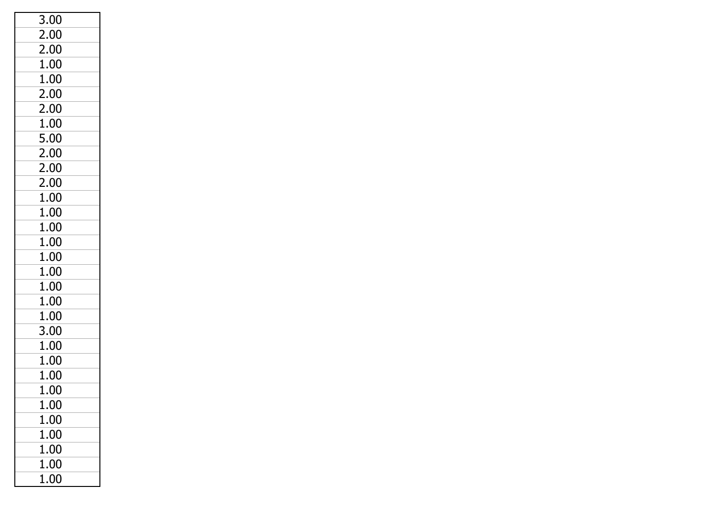| 3.00     |  |
|----------|--|
| 2.00     |  |
| 2.00     |  |
| 1.00     |  |
| 1.00     |  |
| 2.00     |  |
| 2.00     |  |
| 1.00     |  |
| 5.00     |  |
| 2.00     |  |
| 2.00     |  |
| 2.00     |  |
| 1.00     |  |
| 1.00     |  |
| 1.00     |  |
| 1.00     |  |
| 1.00     |  |
| 1.00     |  |
| 1.00     |  |
| 1.00     |  |
| 1.00     |  |
| 3.00     |  |
| 1.00     |  |
| 1.00     |  |
| 1.00     |  |
| 1.00     |  |
| 1.00     |  |
| $1.00\,$ |  |
| 1.00     |  |
| 1.00     |  |
| 1.00     |  |
| 1.00     |  |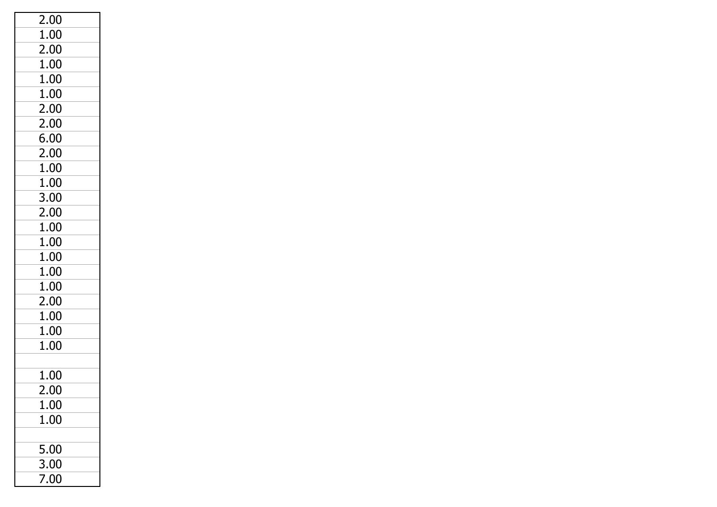| 2.00           |  |
|----------------|--|
| 1.00           |  |
| 2.00           |  |
| 1.00           |  |
| 1.00           |  |
| 1.00           |  |
| 2.00           |  |
| 2.00           |  |
| 6.00           |  |
| 2.00           |  |
| 1.00           |  |
| $1.00\,$       |  |
| 3.00           |  |
| 2.00           |  |
| 1.00           |  |
| 1.00           |  |
| 1.00           |  |
| 1.00           |  |
| 1.00           |  |
| 2.00           |  |
| 1.00           |  |
| 1.00           |  |
| 1.00           |  |
|                |  |
| 1.00           |  |
| $\overline{2}$ |  |
| 1.00           |  |
| 1.00           |  |
|                |  |
| 5.00           |  |
| 3.00           |  |
| 7.00           |  |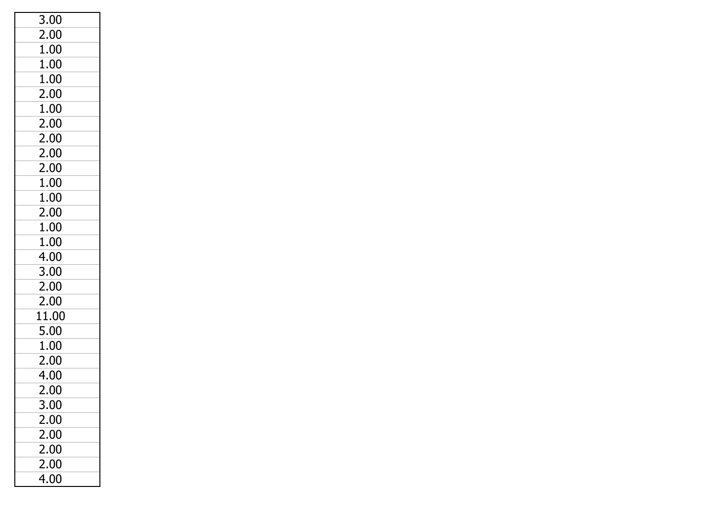| 3.00  |  |
|-------|--|
| 2.00  |  |
| 1.00  |  |
| 1.00  |  |
| 1.00  |  |
| 2.00  |  |
| 1.00  |  |
| 2.00  |  |
| 2.00  |  |
| 2.00  |  |
| 2.00  |  |
| 1.00  |  |
| 1.00  |  |
| 2.00  |  |
| 1.00  |  |
| 1.00  |  |
| 4.00  |  |
| 3.00  |  |
| 2.00  |  |
| 2.00  |  |
| 11.00 |  |
| 5.00  |  |
| 1.00  |  |
| 2.00  |  |
| 4.00  |  |
| 2.00  |  |
| 3.00  |  |
| 2.00  |  |
| 2.00  |  |
| 2.00  |  |
| 2.00  |  |
| 4.00  |  |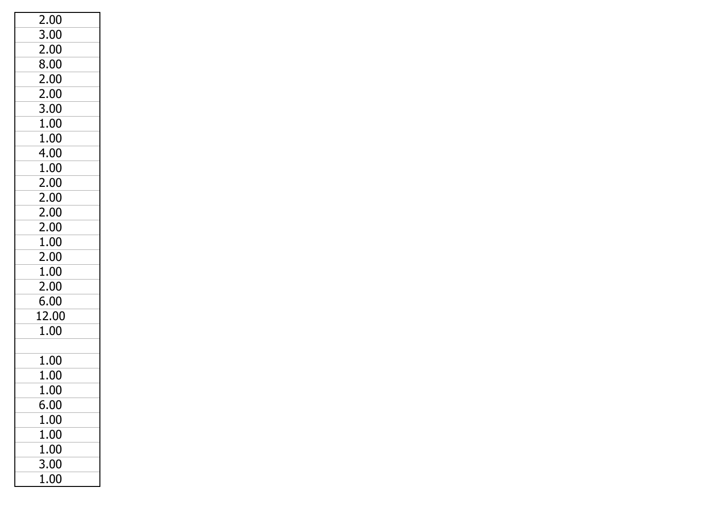| 2.00  |  |
|-------|--|
| 3.00  |  |
| 2.00  |  |
| 8.00  |  |
| 2.00  |  |
| 2.00  |  |
| 3.00  |  |
| 1.00  |  |
| 1.00  |  |
| 4.00  |  |
| 1.00  |  |
| 2.00  |  |
| 2.00  |  |
| 2.00  |  |
| 2.00  |  |
| 1.00  |  |
| 2.00  |  |
| 1.00  |  |
| 2.00  |  |
| 6.00  |  |
| 12.00 |  |
| 1.00  |  |
|       |  |
| 1.00  |  |
| 1.00  |  |
| 1.00  |  |
| 6.00  |  |
| 1.00  |  |
| 1.00  |  |
| 1.00  |  |
| 3.00  |  |
| 1.00  |  |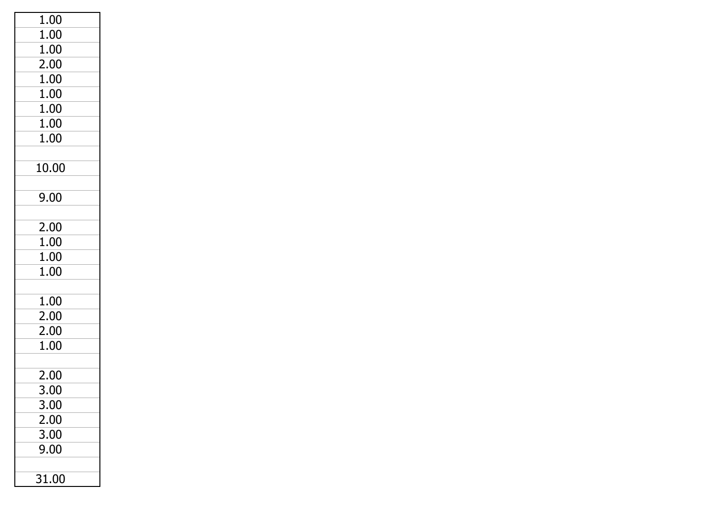| 1.00        |
|-------------|
| 1.00        |
| 1.00        |
| 2.00        |
| 1.00        |
| 1.00        |
| 1.00        |
| 1.00        |
| 1.00        |
|             |
| 10.00       |
|             |
| 9.00        |
|             |
| 2.00        |
| 1.00        |
| 1.00        |
| 1.00        |
|             |
| 1.00        |
| 2.00        |
| 2.00        |
| 1.00        |
|             |
| 2.00        |
| 3.00        |
| <u>3.00</u> |
| 2.00        |
| 3.00        |
| 9.00        |
|             |
| 31.00       |
|             |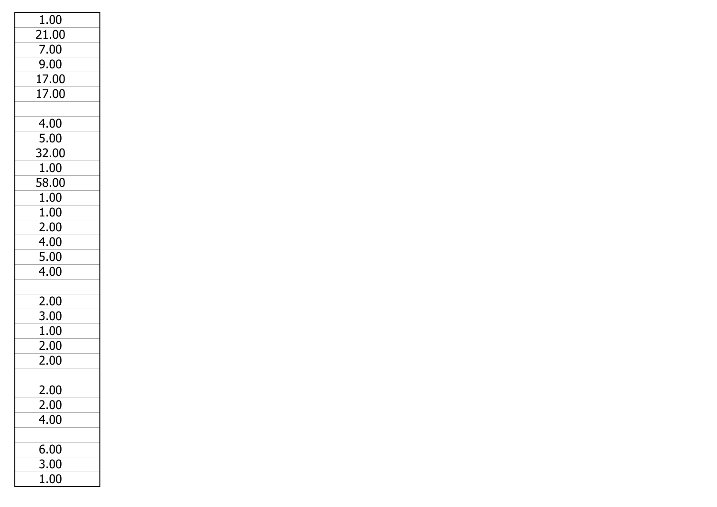| 1.00  |  |
|-------|--|
| 21.00 |  |
| 7.00  |  |
| 9.00  |  |
| 17.00 |  |
| 17.00 |  |
|       |  |
| 4.00  |  |
| 5.00  |  |
| 32.00 |  |
| 1.00  |  |
| 58.00 |  |
| 1.00  |  |
| 1.00  |  |
| 2.00  |  |
| 4.00  |  |
| 5.00  |  |
| 4.00  |  |
|       |  |
| 2.00  |  |
| 3.00  |  |
| 1.00  |  |
| 2.00  |  |
| 2.00  |  |
|       |  |
| 2.00  |  |
| 2.00  |  |
| 4.00  |  |
|       |  |
| 6.00  |  |
| 3.00  |  |
| 1.00  |  |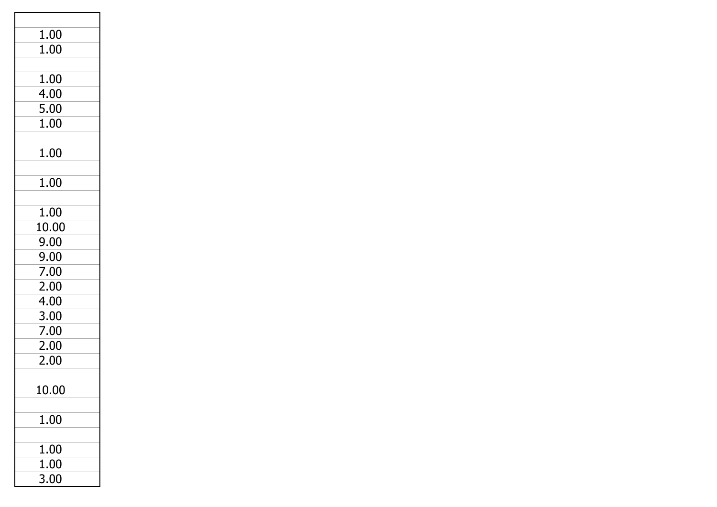| 1.00         |  |
|--------------|--|
| 1.00         |  |
|              |  |
| 1.00         |  |
| 4.00<br>5.00 |  |
| 1.00         |  |
|              |  |
| 1.00         |  |
|              |  |
| 1.00         |  |
|              |  |
| 1.00         |  |
| 10.00        |  |
| 9.00         |  |
| 9.00         |  |
| 7.00         |  |
| 2.00         |  |
| 4.00         |  |
| 3.00         |  |
| 7.00         |  |
| 2.00         |  |
| 2.00         |  |
| 10.00        |  |
|              |  |
| 1.00         |  |
|              |  |
| 1.00         |  |
| 1.00         |  |
| 3.00         |  |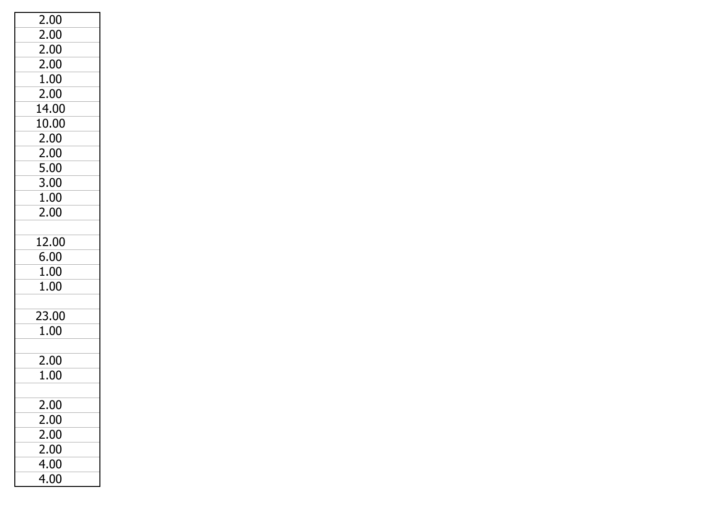| 2.00     |
|----------|
| 2.00     |
| 2.00     |
| 2.00     |
| 1.00     |
| 2.00     |
| 14.00    |
| 10.00    |
| 2.00     |
| 2.00     |
| 5.00     |
| 3.00     |
| 1.00     |
| 2.00     |
|          |
| 12.00    |
| 6.00     |
| 1.00     |
| 1.00     |
|          |
| 23.00    |
| $1.00\,$ |
|          |
| 2.00     |
| 1.00     |
|          |
| 2.00     |
| 2.00     |
| 2.00     |
| 2.00     |
| 4.00     |
| 4.00     |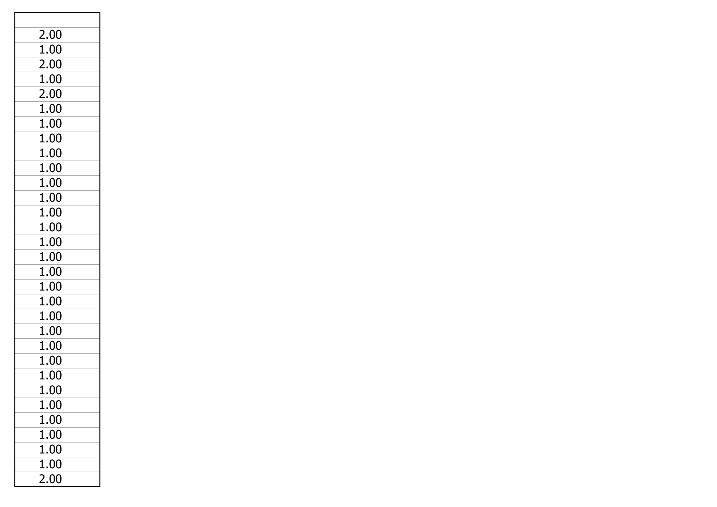| 2.00     |  |
|----------|--|
| 1.00     |  |
| 2.00     |  |
| 1.00     |  |
| 2.00     |  |
| 1.00     |  |
| 1.00     |  |
| 1.00     |  |
| 1.00     |  |
| 1.00     |  |
| 1.00     |  |
| 1.00     |  |
| 1.00     |  |
| 1.00     |  |
| 1.00     |  |
| 1.00     |  |
| 1.00     |  |
| 1.00     |  |
| 1.00     |  |
| 1.00     |  |
| 1.00     |  |
| 1.00     |  |
| 1.00     |  |
| 1.00     |  |
| $1.00\,$ |  |
| 1.00     |  |
| 1.00     |  |
| 1.00     |  |
| 1.00     |  |
| 1.00     |  |
| 2.00     |  |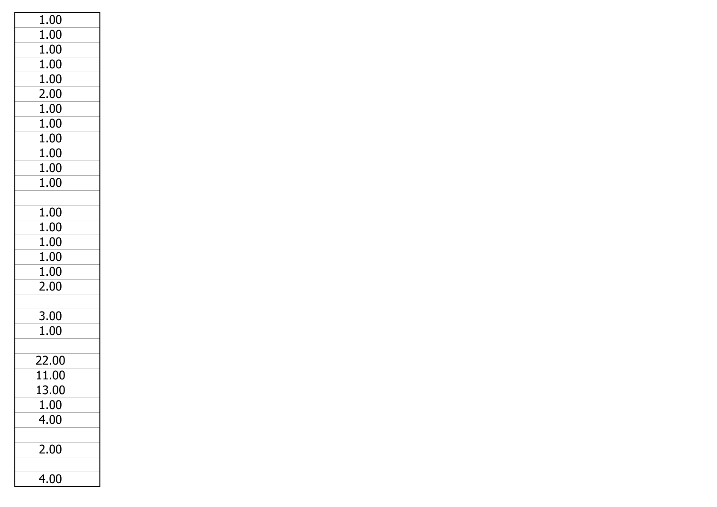| 1.00  |
|-------|
| 1.00  |
| 1.00  |
| 1.00  |
| 1.00  |
| 2.00  |
| 1.00  |
| 1.00  |
| 1.00  |
| 1.00  |
| 1.00  |
| 1.00  |
|       |
| 1.00  |
| 1.00  |
| 1.00  |
| 1.00  |
| 1.00  |
| 2.00  |
|       |
| 3.00  |
| 1.00  |
|       |
| 22.00 |
| 11.00 |
| 13.00 |
| 1.00  |
| 4.00  |
|       |
| 2.00  |
|       |
| 4.00  |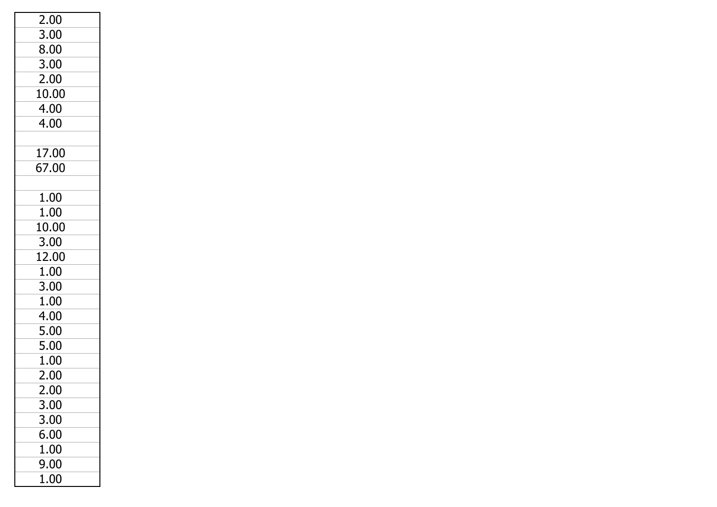| 2.00     |  |
|----------|--|
| 3.00     |  |
| 8.00     |  |
| 3.00     |  |
| 2.00     |  |
| 10.00    |  |
| 4.00     |  |
| 4.00     |  |
|          |  |
| 17.00    |  |
| 67.00    |  |
|          |  |
| 1.00     |  |
| 1.00     |  |
| 10.00    |  |
| 3.00     |  |
| 12.00    |  |
| 1.00     |  |
| 3.00     |  |
| 1.00     |  |
| 4.00     |  |
| 5.00     |  |
| 5.00     |  |
| 1.00     |  |
| 2.00     |  |
| 2.00     |  |
| 3.00     |  |
| 3.00     |  |
| 6.00     |  |
| 1.00     |  |
| 9.00     |  |
| $1.00\,$ |  |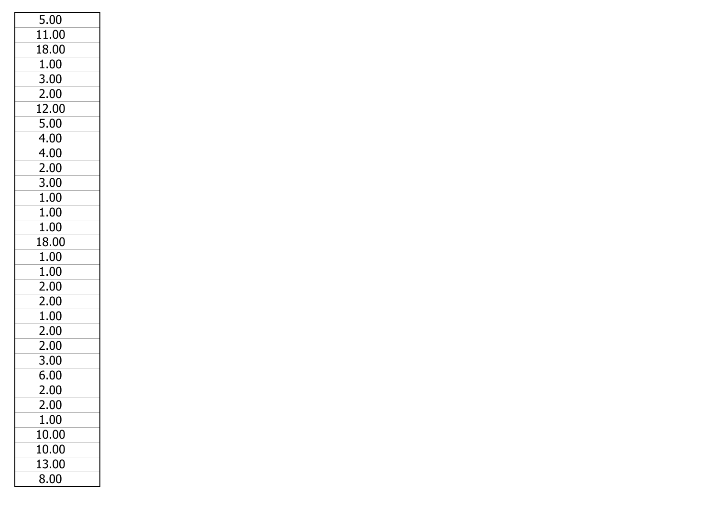| 5.00  |
|-------|
| 11.00 |
| 18.00 |
| 1.00  |
| 3.00  |
| 2.00  |
| 12.00 |
| 5.00  |
| 4.00  |
| 4.00  |
| 2.00  |
| 3.00  |
| 1.00  |
| 1.00  |
| 1.00  |
| 18.00 |
| 1.00  |
| 1.00  |
| 2.00  |
| 2.00  |
| 1.00  |
| 2.00  |
| 2.00  |
| 3.00  |
| 6.00  |
| 2.00  |
| 2.00  |
| 1.00  |
| 10.00 |
| 10.00 |
| 13.00 |
| 8.00  |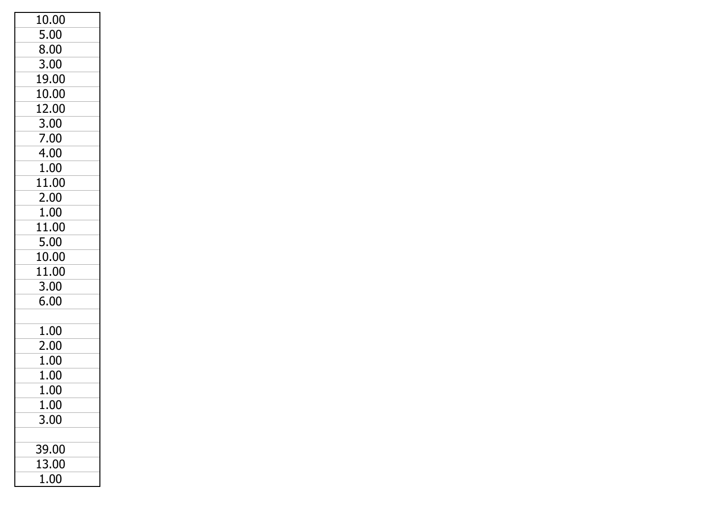| 10.00 |  |
|-------|--|
| 5.00  |  |
| 8.00  |  |
| 3.00  |  |
| 19.00 |  |
| 10.00 |  |
| 12.00 |  |
| 3.00  |  |
| 7.00  |  |
| 4.00  |  |
| 1.00  |  |
| 11.00 |  |
| 2.00  |  |
| 1.00  |  |
| 11.00 |  |
| 5.00  |  |
| 10.00 |  |
| 11.00 |  |
| 3.00  |  |
| 6.00  |  |
|       |  |
| 1.00  |  |
| 2.00  |  |
| 1.00  |  |
| 1.00  |  |
| 1.00  |  |
| 1.00  |  |
| 3.00  |  |
|       |  |
| 39.00 |  |
| 13.00 |  |
| 1.00  |  |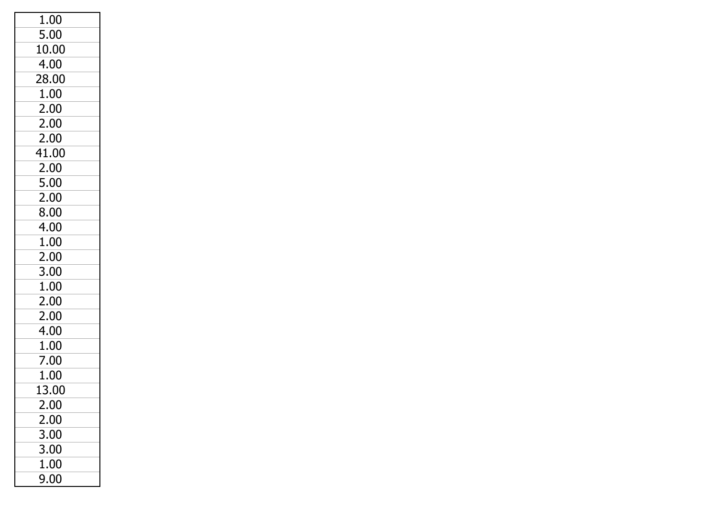| 1.00  |
|-------|
| 5.00  |
| 10.00 |
| 4.00  |
| 28.00 |
| 1.00  |
| 2.00  |
| 2.00  |
| 2.00  |
| 41.00 |
| 2.00  |
| 5.00  |
| 2.00  |
| 8.00  |
| 4.00  |
| 1.00  |
| 2.00  |
| 3.00  |
| 1.00  |
| 2.00  |
| 2.00  |
| 4.00  |
| 1.00  |
| 7.00  |
| 1.00  |
| 13.00 |
| 2.00  |
| 2.00  |
| 3.00  |
| 3.00  |
| 1.00  |
| 9.00  |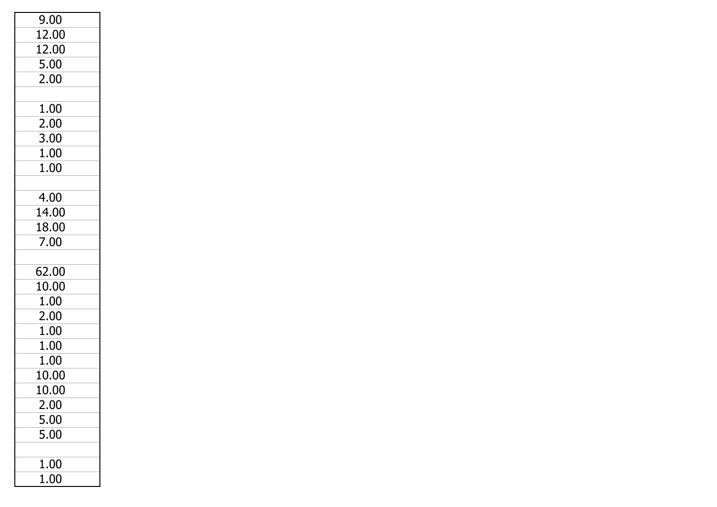| 9.00     |  |
|----------|--|
| 12.00    |  |
| 12.00    |  |
| 5.00     |  |
| 2.00     |  |
|          |  |
| 1.00     |  |
| 2.00     |  |
| 3.00     |  |
| 1.00     |  |
| 1.00     |  |
|          |  |
| 4.00     |  |
| 14.00    |  |
| 18.00    |  |
| 7.00     |  |
|          |  |
| 62.00    |  |
| 10.00    |  |
| 1.00     |  |
| 2.00     |  |
| 1.00     |  |
| 1.00     |  |
| 1.00     |  |
| 10.00    |  |
| 10.00    |  |
| 2.00     |  |
| 5.00     |  |
| 5.00     |  |
|          |  |
| 1.00     |  |
| $1.00\,$ |  |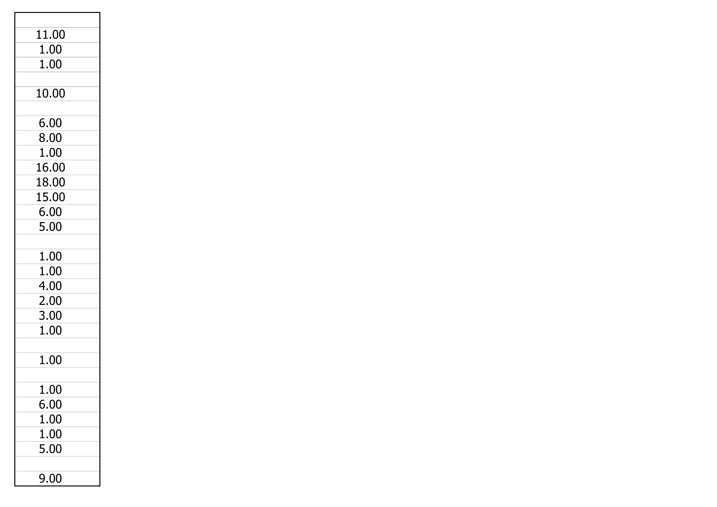| 11.00    |  |
|----------|--|
| 1.00     |  |
| 1.00     |  |
|          |  |
| 10.00    |  |
|          |  |
| 6.00     |  |
| 8.00     |  |
| 1.00     |  |
| 16.00    |  |
| 18.00    |  |
| 15.00    |  |
| 6.00     |  |
| 5.00     |  |
|          |  |
| 1.00     |  |
| 1.00     |  |
| 4.00     |  |
| 2.00     |  |
| 3.00     |  |
| 1.00     |  |
|          |  |
| 1.00     |  |
|          |  |
| 1.00     |  |
| $6.00\,$ |  |
| $1.00\,$ |  |
| 1.00     |  |
| 5.00     |  |
|          |  |
| 9.00     |  |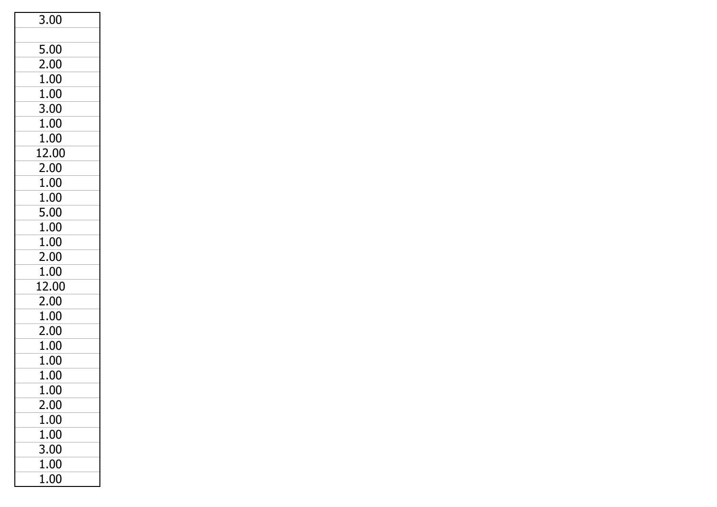| 3.00  |  |
|-------|--|
|       |  |
| 5.00  |  |
| 2.00  |  |
| 1.00  |  |
| 1.00  |  |
| 3.00  |  |
| 1.00  |  |
| 1.00  |  |
| 12.00 |  |
| 2.00  |  |
| 1.00  |  |
| 1.00  |  |
| 5.00  |  |
| 1.00  |  |
| 1.00  |  |
| 2.00  |  |
| 1.00  |  |
| 12.00 |  |
| 2.00  |  |
| 1.00  |  |
| 2.00  |  |
| 1.00  |  |
| 1.00  |  |
| 1.00  |  |
| 1.00  |  |
| 2.00  |  |
| 1.00  |  |
| 1.00  |  |
| 3.00  |  |
| 1.00  |  |
| 1.00  |  |
|       |  |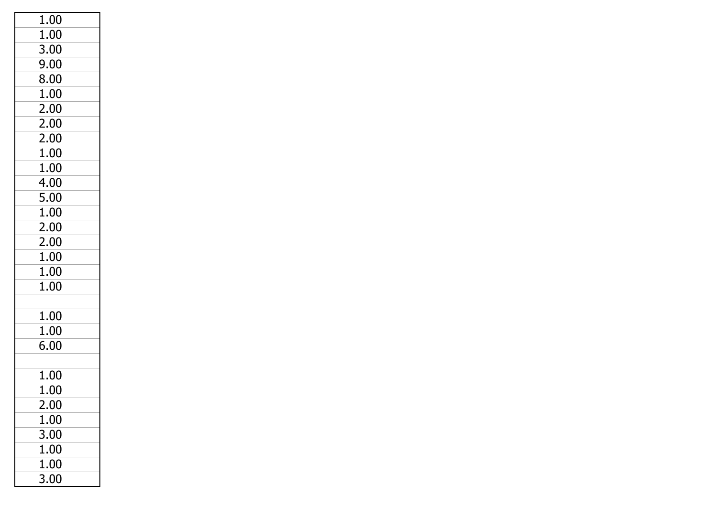| 1.00     |  |
|----------|--|
| 1.00     |  |
| 3.00     |  |
| 9.00     |  |
| 8.00     |  |
| 1.00     |  |
| 2.00     |  |
| 2.00     |  |
| 2.00     |  |
| 1.00     |  |
| 1.00     |  |
| 4.00     |  |
| 5.00     |  |
| 1.00     |  |
| 2.00     |  |
| 2.00     |  |
| 1.00     |  |
| 1.00     |  |
| 1.00     |  |
|          |  |
| 1.00     |  |
| 1.00     |  |
| 6.00     |  |
|          |  |
| 1.00     |  |
| $1.00\,$ |  |
| 2.00     |  |
| 1.00     |  |
| 3.00     |  |
| 1.00     |  |
| 1.00     |  |
| 3.00     |  |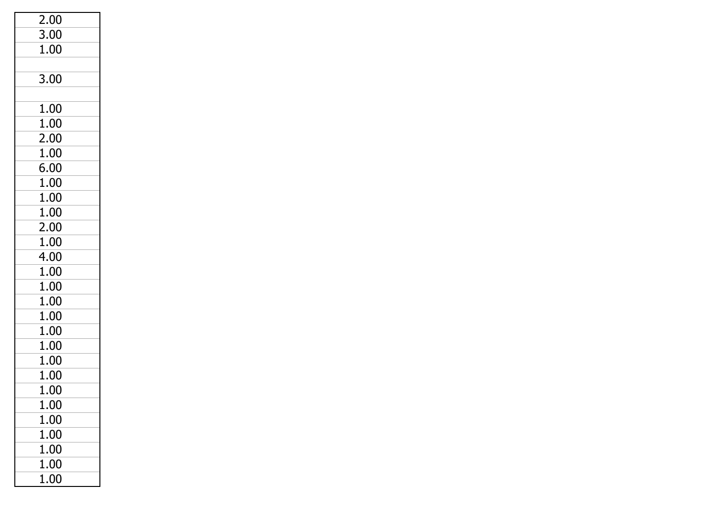| 2.00     |  |
|----------|--|
| 3.00     |  |
| 1.00     |  |
|          |  |
| 3.00     |  |
|          |  |
| 1.00     |  |
| 1.00     |  |
| 2.00     |  |
| 1.00     |  |
| 6.00     |  |
| 1.00     |  |
| 1.00     |  |
| 1.00     |  |
| 2.00     |  |
| 1.00     |  |
| 4.00     |  |
| 1.00     |  |
| 1.00     |  |
| 1.00     |  |
| 1.00     |  |
| 1.00     |  |
| 1.00     |  |
| 1.00     |  |
| 1.00     |  |
| 1.00     |  |
| 1.00     |  |
| 1.00     |  |
| 1.00     |  |
| $1.00\,$ |  |
| 1.00     |  |
| 1.00     |  |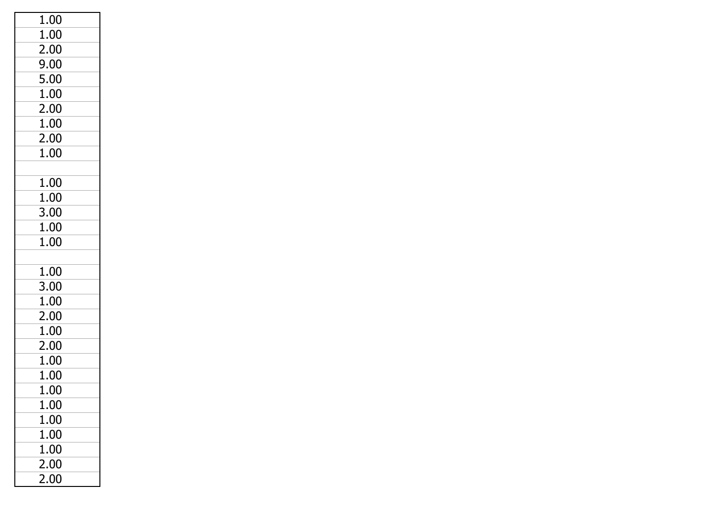| $\overline{1.00}$ |  |
|-------------------|--|
| 1.00              |  |
| 2.00              |  |
| 9.00              |  |
| 5.00              |  |
| 1.00              |  |
| 2.00              |  |
| 1.00              |  |
| 2.00              |  |
| 1.00              |  |
|                   |  |
| 1.00              |  |
| 1.00              |  |
| 3.00              |  |
| 1.00              |  |
| 1.00              |  |
|                   |  |
| 1.00              |  |
| 3.00              |  |
| 1.00              |  |
| 2.00              |  |
| 1.00              |  |
| 2.00              |  |
| 1.00              |  |
| 1.00              |  |
| 1.00              |  |
| $1.00\,$          |  |
| 1.00              |  |
| 1.00              |  |
| 1.00              |  |
| 2.00              |  |
| 2.00              |  |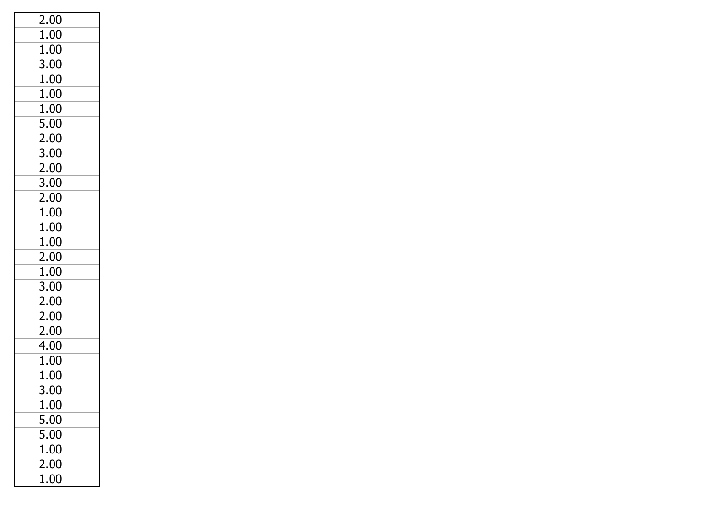| 2.00     |
|----------|
| 1.00     |
| 1.00     |
| 3.00     |
| 1.00     |
| 1.00     |
| 1.00     |
| 5.00     |
| 2.00     |
| 3.00     |
| 2.00     |
| 3.00     |
| 2.00     |
| 1.00     |
| 1.00     |
| 1.00     |
| 2.00     |
| 1.00     |
| 3.00     |
| 2.00     |
| 2.00     |
| 2.00     |
| 4.00     |
| $1.00\,$ |
| 1.00     |
| 3.00     |
| 1.00     |
| 5.00     |
| 5.00     |
| 1.00     |
| 2.00     |
| 1.00     |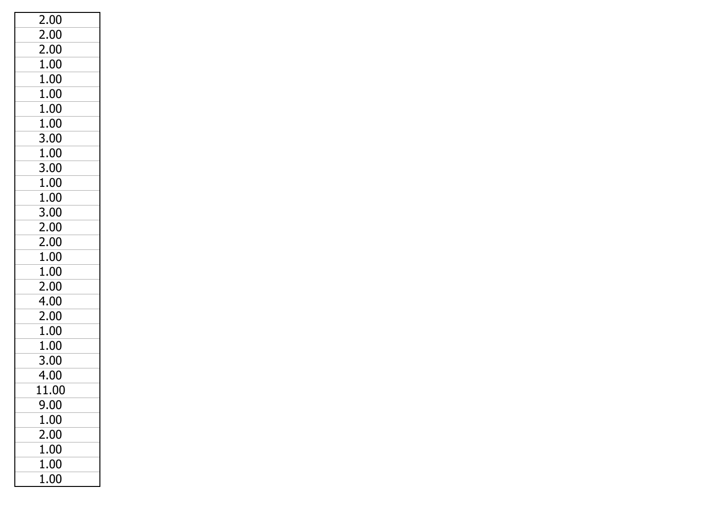| 2.00  |
|-------|
| 2.00  |
| 2.00  |
| 1.00  |
| 1.00  |
| 1.00  |
| 1.00  |
| 1.00  |
| 3.00  |
| 1.00  |
| 3.00  |
| 1.00  |
| 1.00  |
| 3.00  |
| 2.00  |
| 2.00  |
| 1.00  |
| 1.00  |
| 2.00  |
| 4.00  |
| 2.00  |
| 1.00  |
| 1.00  |
| 3.00  |
| 4.00  |
| 11.00 |
| 9.00  |
| 1.00  |
| 2.00  |
| 1.00  |
| 1.00  |
| 1.00  |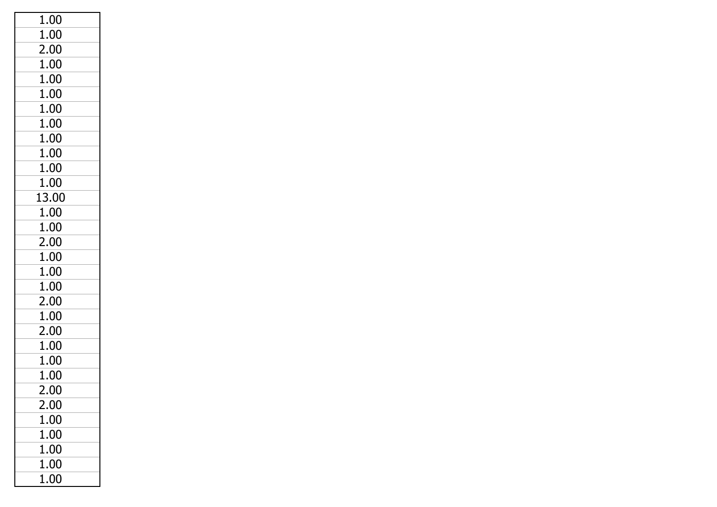| 1.00  |
|-------|
| 1.00  |
| 2.00  |
| 1.00  |
| 1.00  |
| 1.00  |
| 1.00  |
| 1.00  |
| 1.00  |
| 1.00  |
| 1.00  |
| 1.00  |
| 13.00 |
| 1.00  |
| 1.00  |
| 2.00  |
| 1.00  |
| 1.00  |
| 1.00  |
| 2.00  |
| 1.00  |
| 2.00  |
| 1.00  |
| 1.00  |
| 1.00  |
| 2.00  |
| 2.00  |
| 1.00  |
| 1.00  |
| 1.00  |
| 1.00  |
| 1.00  |